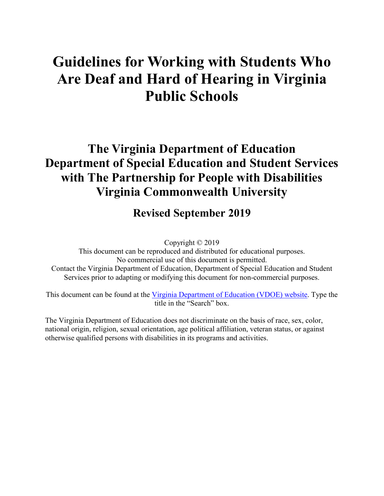# **Guidelines for Working with Students Who Are Deaf and Hard of Hearing in Virginia Public Schools**

# **The Virginia Department of Education Department of Special Education and Student Services with The Partnership for People with Disabilities Virginia Commonwealth University**

### **Revised September 2019**

Copyright © 2019

This document can be reproduced and distributed for educational purposes. No commercial use of this document is permitted. Contact the Virginia Department of Education, Department of Special Education and Student Services prior to adapting or modifying this document for non-commercial purposes.

This document can be found at the [Virginia Department of Education \(VDOE\) website.](http://www.doe.virginia.gov/) Type the title in the "Search" box.

The Virginia Department of Education does not discriminate on the basis of race, sex, color, national origin, religion, sexual orientation, age political affiliation, veteran status, or against otherwise qualified persons with disabilities in its programs and activities.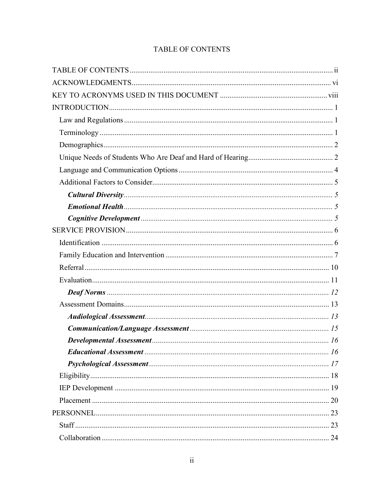#### **TABLE OF CONTENTS**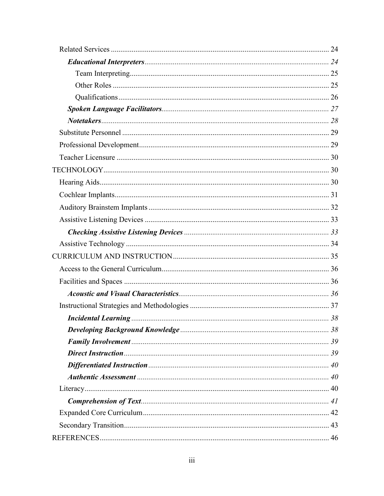| Note takes <b>max</b> 28 |  |
|--------------------------|--|
|                          |  |
|                          |  |
|                          |  |
|                          |  |
|                          |  |
|                          |  |
|                          |  |
|                          |  |
|                          |  |
|                          |  |
|                          |  |
|                          |  |
|                          |  |
|                          |  |
|                          |  |
|                          |  |
|                          |  |
|                          |  |
|                          |  |
|                          |  |
|                          |  |
|                          |  |
|                          |  |
|                          |  |
|                          |  |
|                          |  |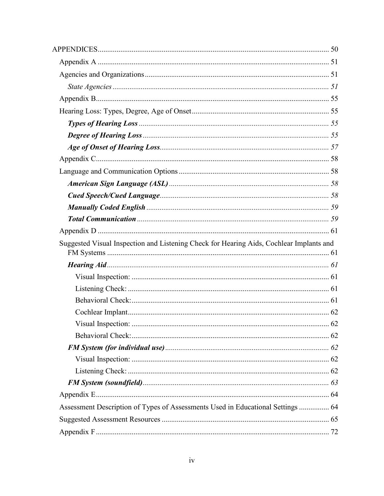| Suggested Visual Inspection and Listening Check for Hearing Aids, Cochlear Implants and |    |
|-----------------------------------------------------------------------------------------|----|
|                                                                                         |    |
|                                                                                         |    |
|                                                                                         |    |
|                                                                                         |    |
|                                                                                         |    |
|                                                                                         | 62 |
|                                                                                         |    |
|                                                                                         |    |
|                                                                                         |    |
|                                                                                         |    |
|                                                                                         |    |
|                                                                                         |    |
| Assessment Description of Types of Assessments Used in Educational Settings  64         |    |
|                                                                                         |    |
|                                                                                         |    |
|                                                                                         |    |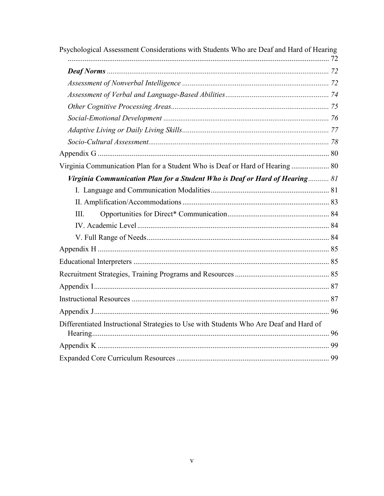| Virginia Communication Plan for a Student Who is Deaf or Hard of Hearing  80<br>III.  |
|---------------------------------------------------------------------------------------|
|                                                                                       |
| Virginia Communication Plan for a Student Who is Deaf or Hard of Hearing 81           |
|                                                                                       |
|                                                                                       |
|                                                                                       |
|                                                                                       |
|                                                                                       |
|                                                                                       |
|                                                                                       |
|                                                                                       |
|                                                                                       |
|                                                                                       |
|                                                                                       |
|                                                                                       |
|                                                                                       |
|                                                                                       |
|                                                                                       |
|                                                                                       |
|                                                                                       |
|                                                                                       |
|                                                                                       |
| Differentiated Instructional Strategies to Use with Students Who Are Deaf and Hard of |
|                                                                                       |
|                                                                                       |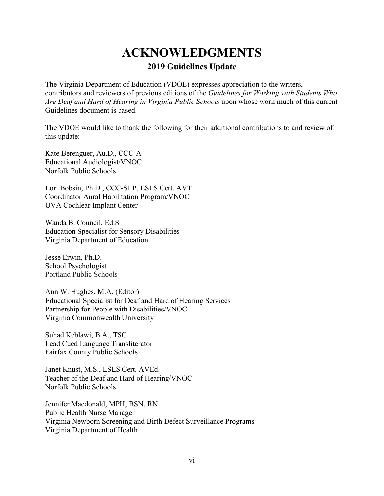### **ACKNOWLEDGMENTS 2019 Guidelines Update**

<span id="page-5-0"></span>The Virginia Department of Education (VDOE) expresses appreciation to the writers, contributors and reviewers of previous editions of the *Guidelines for Working with Students Who Are Deaf and Hard of Hearing in Virginia Public Schools* upon whose work much of this current Guidelines document is based.

The VDOE would like to thank the following for their additional contributions to and review of this update:

Kate Berenguer, Au.D., CCC-A Educational Audiologist/VNOC Norfolk Public Schools

Lori Bobsin, Ph.D., CCC-SLP, LSLS Cert. AVT Coordinator Aural Habilitation Program/VNOC UVA Cochlear Implant Center

Wanda B. Council, Ed.S. Education Specialist for Sensory Disabilities Virginia Department of Education

Jesse Erwin, Ph.D. School Psychologist Portland Public Schools

Ann W. Hughes, M.A. (Editor) Educational Specialist for Deaf and Hard of Hearing Services Partnership for People with Disabilities/VNOC Virginia Commonwealth University

Suhad Keblawi, B.A., TSC Lead Cued Language Transliterator Fairfax County Public Schools

Janet Knust, M.S., LSLS Cert. AVEd. Teacher of the Deaf and Hard of Hearing/VNOC Norfolk Public Schools

Jennifer Macdonald, MPH, BSN, RN Public Health Nurse Manager Virginia Newborn Screening and Birth Defect Surveillance Programs Virginia Department of Health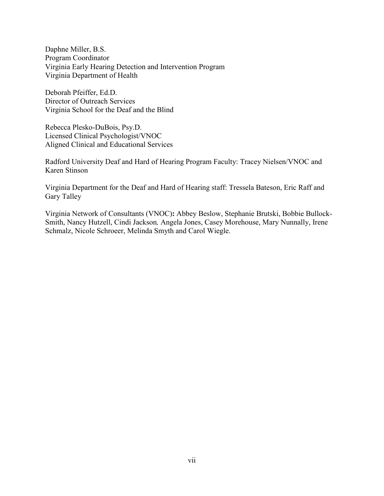Daphne Miller, B.S. Program Coordinator Virginia Early Hearing Detection and Intervention Program Virginia Department of Health

Deborah Pfeiffer, Ed.D. Director of Outreach Services Virginia School for the Deaf and the Blind

Rebecca Plesko-DuBois, Psy.D. Licensed Clinical Psychologist/VNOC Aligned Clinical and Educational Services

Radford University Deaf and Hard of Hearing Program Faculty: Tracey Nielsen/VNOC and Karen Stinson

Virginia Department for the Deaf and Hard of Hearing staff: Tressela Bateson, Eric Raff and Gary Talley

Virginia Network of Consultants (VNOC)**:** Abbey Beslow, Stephanie Brutski, Bobbie Bullock-Smith, Nancy Hutzell, Cindi Jackson*,* Angela Jones, Casey Morehouse, Mary Nunnally, Irene Schmalz, Nicole Schroeer, Melinda Smyth and Carol Wiegle.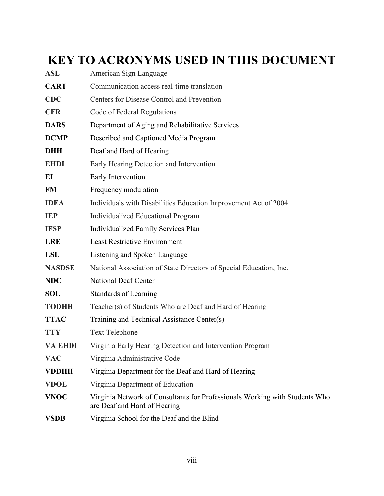# <span id="page-7-0"></span>**KEY TO ACRONYMS USED IN THIS DOCUMENT**

| <b>ASL</b>     | American Sign Language                                                                                      |
|----------------|-------------------------------------------------------------------------------------------------------------|
| <b>CART</b>    | Communication access real-time translation                                                                  |
| <b>CDC</b>     | Centers for Disease Control and Prevention                                                                  |
| <b>CFR</b>     | Code of Federal Regulations                                                                                 |
| <b>DARS</b>    | Department of Aging and Rehabilitative Services                                                             |
| <b>DCMP</b>    | Described and Captioned Media Program                                                                       |
| <b>DHH</b>     | Deaf and Hard of Hearing                                                                                    |
| <b>EHDI</b>    | Early Hearing Detection and Intervention                                                                    |
| EI             | Early Intervention                                                                                          |
| <b>FM</b>      | Frequency modulation                                                                                        |
| <b>IDEA</b>    | Individuals with Disabilities Education Improvement Act of 2004                                             |
| <b>IEP</b>     | Individualized Educational Program                                                                          |
| <b>IFSP</b>    | <b>Individualized Family Services Plan</b>                                                                  |
| <b>LRE</b>     | <b>Least Restrictive Environment</b>                                                                        |
| <b>LSL</b>     | Listening and Spoken Language                                                                               |
| <b>NASDSE</b>  | National Association of State Directors of Special Education, Inc.                                          |
| <b>NDC</b>     | <b>National Deaf Center</b>                                                                                 |
| <b>SOL</b>     | <b>Standards of Learning</b>                                                                                |
| <b>TODHH</b>   | Teacher(s) of Students Who are Deaf and Hard of Hearing                                                     |
| <b>TTAC</b>    | Training and Technical Assistance Center(s)                                                                 |
| <b>TTY</b>     | <b>Text Telephone</b>                                                                                       |
| <b>VA EHDI</b> | Virginia Early Hearing Detection and Intervention Program                                                   |
| <b>VAC</b>     | Virginia Administrative Code                                                                                |
| <b>VDDHH</b>   | Virginia Department for the Deaf and Hard of Hearing                                                        |
| <b>VDOE</b>    | Virginia Department of Education                                                                            |
| <b>VNOC</b>    | Virginia Network of Consultants for Professionals Working with Students Who<br>are Deaf and Hard of Hearing |
| <b>VSDB</b>    | Virginia School for the Deaf and the Blind                                                                  |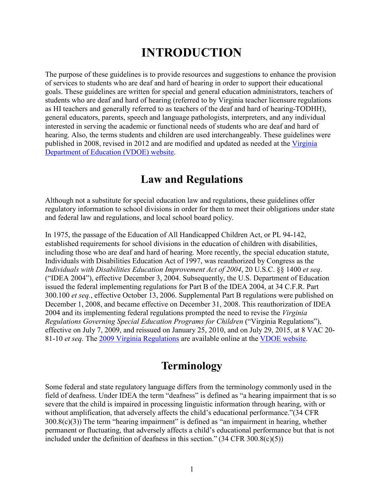# **INTRODUCTION**

<span id="page-8-0"></span>The purpose of these guidelines is to provide resources and suggestions to enhance the provision of services to students who are deaf and hard of hearing in order to support their educational goals. These guidelines are written for special and general education administrators, teachers of students who are deaf and hard of hearing (referred to by Virginia teacher licensure regulations as HI teachers and generally referred to as teachers of the deaf and hard of hearing-TODHH), general educators, parents, speech and language pathologists, interpreters, and any individual interested in serving the academic or functional needs of students who are deaf and hard of hearing. Also, the terms students and children are used interchangeably. These guidelines were published in 2008, revised in 2012 and are modified and updated as needed at the [Virginia](http://www.doe.virginia.gov/)  [Department of Education \(VDOE\) website.](http://www.doe.virginia.gov/)

### **Law and Regulations**

Although not a substitute for special education law and regulations, these guidelines offer regulatory information to school divisions in order for them to meet their obligations under state and federal law and regulations, and local school board policy.

In 1975, the passage of the Education of All Handicapped Children Act, or PL 94-142, established requirements for school divisions in the education of children with disabilities, including those who are deaf and hard of hearing. More recently, the special education statute, Individuals with Disabilities Education Act of 1997, was reauthorized by Congress as the *Individuals with Disabilities Education Improvement Act of 2004*, 20 U.S.C. §§ 1400 *et seq*. ("IDEA 2004"), effective December 3, 2004. Subsequently, the U.S. Department of Education issued the federal implementing regulations for Part B of the IDEA 2004, at 34 C.F.R. Part 300.100 *et seq.*, effective October 13, 2006. Supplemental Part B regulations were published on December 1, 2008, and became effective on December 31, 2008. This reauthorization of IDEA 2004 and its implementing federal regulations prompted the need to revise the *Virginia Regulations Governing Special Education Programs for Children* ("Virginia Regulations"), effective on July 7, 2009, and reissued on January 25, 2010, and on July 29, 2015, at 8 VAC 20- 81-10 *et seq.* The [2009 Virginia Regulations](http://www.doe.virginia.gov/special_ed/regulations/state/regs_speced_disability_va.pdf) are available online at the [VDOE website.](http://www.doe.virginia.gov/)

### **Terminology**

Some federal and state regulatory language differs from the terminology commonly used in the field of deafness. Under IDEA the term "deafness" is defined as "a hearing impairment that is so severe that the child is impaired in processing linguistic information through hearing, with or without amplification, that adversely affects the child's educational performance."(34 CFR  $300.8(c)(3)$ ) The term "hearing impairment" is defined as "an impairment in hearing, whether permanent or fluctuating, that adversely affects a child's educational performance but that is not included under the definition of deafness in this section."  $(34 \text{ CFR } 300.8(c)(5))$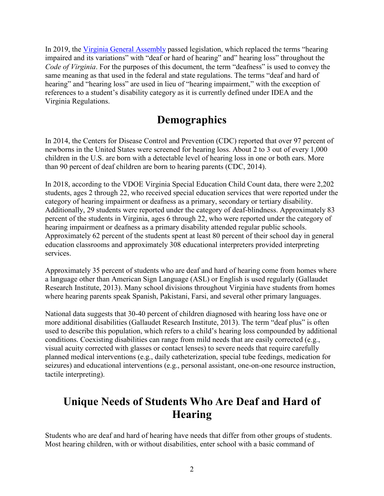<span id="page-9-0"></span>In 2019, the [Virginia General Assembly](https://lis.virginia.gov/cgi-bin/legp604.exe?191+cab+HC10128HB2137+UCHB3) passed legislation, which replaced the terms "hearing impaired and its variations" with "deaf or hard of hearing" and" hearing loss" throughout the *Code of Virginia*. For the purposes of this document, the term "deafness" is used to convey the same meaning as that used in the federal and state regulations. The terms "deaf and hard of hearing" and "hearing loss" are used in lieu of "hearing impairment," with the exception of references to a student's disability category as it is currently defined under IDEA and the Virginia Regulations.

### **Demographics**

In 2014, the Centers for Disease Control and Prevention (CDC) reported that over 97 percent of newborns in the United States were screened for hearing loss. About 2 to 3 out of every 1,000 children in the U.S. are born with a detectable level of hearing loss in one or both ears. More than 90 percent of deaf children are born to hearing parents (CDC, 2014).

In 2018, according to the VDOE Virginia Special Education Child Count data, there were 2,202 students, ages 2 through 22, who received special education services that were reported under the category of hearing impairment or deafness as a primary, secondary or tertiary disability. Additionally, 29 students were reported under the category of deaf-blindness. Approximately 83 percent of the students in Virginia, ages 6 through 22, who were reported under the category of hearing impairment or deafness as a primary disability attended regular public schools. Approximately 62 percent of the students spent at least 80 percent of their school day in general education classrooms and approximately 308 educational interpreters provided interpreting services.

Approximately 35 percent of students who are deaf and hard of hearing come from homes where a language other than American Sign Language (ASL) or English is used regularly (Gallaudet Research Institute, 2013). Many school divisions throughout Virginia have students from homes where hearing parents speak Spanish, Pakistani, Farsi, and several other primary languages.

National data suggests that 30-40 percent of children diagnosed with hearing loss have one or more additional disabilities (Gallaudet Research Institute, 2013). The term "deaf plus" is often used to describe this population, which refers to a child's hearing loss compounded by additional conditions. Coexisting disabilities can range from mild needs that are easily corrected (e.g., visual acuity corrected with glasses or contact lenses) to severe needs that require carefully planned medical interventions (e.g., daily catheterization, special tube feedings, medication for seizures) and educational interventions (e.g., personal assistant, one-on-one resource instruction, tactile interpreting).

### **Unique Needs of Students Who Are Deaf and Hard of Hearing**

Students who are deaf and hard of hearing have needs that differ from other groups of students. Most hearing children, with or without disabilities, enter school with a basic command of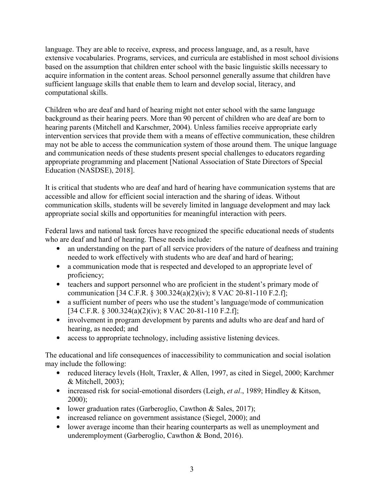language. They are able to receive, express, and process language, and, as a result, have extensive vocabularies. Programs, services, and curricula are established in most school divisions based on the assumption that children enter school with the basic linguistic skills necessary to acquire information in the content areas. School personnel generally assume that children have sufficient language skills that enable them to learn and develop social, literacy, and computational skills.

Children who are deaf and hard of hearing might not enter school with the same language background as their hearing peers. More than 90 percent of children who are deaf are born to hearing parents (Mitchell and Karschmer, 2004). Unless families receive appropriate early intervention services that provide them with a means of effective communication, these children may not be able to access the communication system of those around them. The unique language and communication needs of these students present special challenges to educators regarding appropriate programming and placement [National Association of State Directors of Special Education (NASDSE), 2018].

It is critical that students who are deaf and hard of hearing have communication systems that are accessible and allow for efficient social interaction and the sharing of ideas. Without communication skills, students will be severely limited in language development and may lack appropriate social skills and opportunities for meaningful interaction with peers.

Federal laws and national task forces have recognized the specific educational needs of students who are deaf and hard of hearing. These needs include:

- an understanding on the part of all service providers of the nature of deafness and training needed to work effectively with students who are deaf and hard of hearing;
- a communication mode that is respected and developed to an appropriate level of proficiency;
- teachers and support personnel who are proficient in the student's primary mode of communication [34 C.F.R. § 300.324(a)(2)(iv); 8 VAC 20-81-110 F.2.f];
- a sufficient number of peers who use the student's language/mode of communication  $[34 \text{ C.F.R.} \$   $300.324(a)(2)(iv)$ ; 8 VAC 20-81-110 F.2.f];
- involvement in program development by parents and adults who are deaf and hard of hearing, as needed; and
- access to appropriate technology, including assistive listening devices.

The educational and life consequences of inaccessibility to communication and social isolation may include the following:

- reduced literacy levels (Holt, Traxler, & Allen, 1997, as cited in Siegel, 2000; Karchmer & Mitchell, 2003);
- increased risk for social-emotional disorders (Leigh, *et al*., 1989; Hindley & Kitson, 2000);
- lower graduation rates (Garberoglio, Cawthon & Sales, 2017);
- increased reliance on government assistance (Siegel, 2000); and
- lower average income than their hearing counterparts as well as unemployment and underemployment (Garberoglio, Cawthon & Bond, 2016).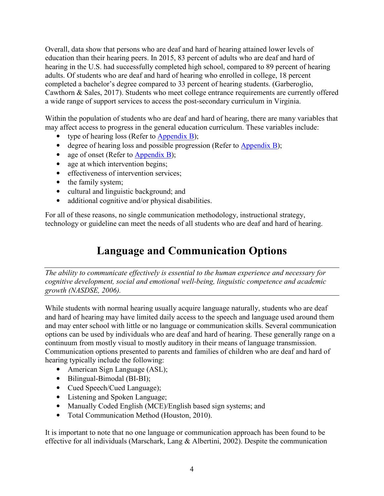<span id="page-11-0"></span>Overall, data show that persons who are deaf and hard of hearing attained lower levels of education than their hearing peers. In 2015, 83 percent of adults who are deaf and hard of hearing in the U.S. had successfully completed high school, compared to 89 percent of hearing adults. Of students who are deaf and hard of hearing who enrolled in college, 18 percent completed a bachelor's degree compared to 33 percent of hearing students. (Garberoglio, Cawthorn & Sales, 2017). Students who meet college entrance requirements are currently offered a wide range of support services to access the post-secondary curriculum in Virginia.

Within the population of students who are deaf and hard of hearing, there are many variables that may affect access to progress in the general education curriculum. These variables include:

- type of hearing loss (Refer to [Appendix B\)](#page-62-0);
- degree of hearing loss and possible progression (Refer to [Appendix B\)](#page-62-0);
- age of onset (Refer to [Appendix B\)](#page-64-0);
- age at which intervention begins;
- effectiveness of intervention services:
- the family system;
- cultural and linguistic background; and
- additional cognitive and/or physical disabilities.

For all of these reasons, no single communication methodology, instructional strategy, technology or guideline can meet the needs of all students who are deaf and hard of hearing.

### **Language and Communication Options**

*The ability to communicate effectively is essential to the human experience and necessary for cognitive development, social and emotional well-being, linguistic competence and academic growth (NASDSE, 2006).* 

While students with normal hearing usually acquire language naturally, students who are deaf and hard of hearing may have limited daily access to the speech and language used around them and may enter school with little or no language or communication skills. Several communication options can be used by individuals who are deaf and hard of hearing. These generally range on a continuum from mostly visual to mostly auditory in their means of language transmission. Communication options presented to parents and families of children who are deaf and hard of hearing typically include the following:

- American Sign Language (ASL);
- Bilingual-Bimodal (BI-BI);
- Cued Speech/Cued Language);
- Listening and Spoken Language;
- Manually Coded English (MCE)/English based sign systems; and
- Total Communication Method (Houston, 2010).

It is important to note that no one language or communication approach has been found to be effective for all individuals (Marschark, Lang & Albertini, 2002). Despite the communication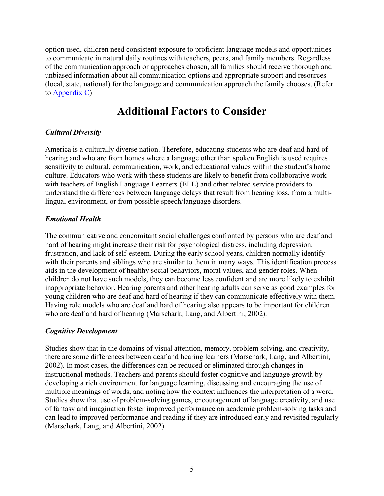<span id="page-12-0"></span>option used, children need consistent exposure to proficient language models and opportunities to communicate in natural daily routines with teachers, peers, and family members. Regardless of the communication approach or approaches chosen, all families should receive thorough and unbiased information about all communication options and appropriate support and resources (local, state, national) for the language and communication approach the family chooses. (Refer to [Appendix C\)](#page-65-0)

### **Additional Factors to Consider**

#### *Cultural Diversity*

America is a culturally diverse nation. Therefore, educating students who are deaf and hard of hearing and who are from homes where a language other than spoken English is used requires sensitivity to cultural, communication, work, and educational values within the student's home culture. Educators who work with these students are likely to benefit from collaborative work with teachers of English Language Learners (ELL) and other related service providers to understand the differences between language delays that result from hearing loss, from a multilingual environment, or from possible speech/language disorders.

#### *Emotional Health*

The communicative and concomitant social challenges confronted by persons who are deaf and hard of hearing might increase their risk for psychological distress, including depression, frustration, and lack of self-esteem. During the early school years, children normally identify with their parents and siblings who are similar to them in many ways. This identification process aids in the development of healthy social behaviors, moral values, and gender roles. When children do not have such models, they can become less confident and are more likely to exhibit inappropriate behavior. Hearing parents and other hearing adults can serve as good examples for young children who are deaf and hard of hearing if they can communicate effectively with them. Having role models who are deaf and hard of hearing also appears to be important for children who are deaf and hard of hearing (Marschark, Lang, and Albertini, 2002).

#### *Cognitive Development*

Studies show that in the domains of visual attention, memory, problem solving, and creativity, there are some differences between deaf and hearing learners (Marschark, Lang, and Albertini, 2002). In most cases, the differences can be reduced or eliminated through changes in instructional methods. Teachers and parents should foster cognitive and language growth by developing a rich environment for language learning, discussing and encouraging the use of multiple meanings of words, and noting how the context influences the interpretation of a word. Studies show that use of problem-solving games, encouragement of language creativity, and use of fantasy and imagination foster improved performance on academic problem-solving tasks and can lead to improved performance and reading if they are introduced early and revisited regularly (Marschark, Lang, and Albertini, 2002).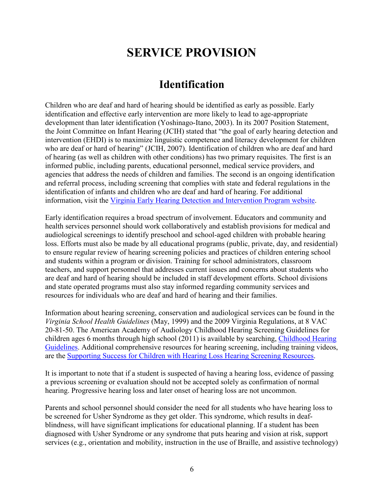# **SERVICE PROVISION**

### **Identification**

<span id="page-13-0"></span>Children who are deaf and hard of hearing should be identified as early as possible. Early identification and effective early intervention are more likely to lead to age-appropriate development than later identification (Yoshinago-Itano, 2003). In its 2007 Position Statement, the Joint Committee on Infant Hearing (JCIH) stated that "the goal of early hearing detection and intervention (EHDI) is to maximize linguistic competence and literacy development for children who are deaf or hard of hearing" (JCIH, 2007). Identification of children who are deaf and hard of hearing (as well as children with other conditions) has two primary requisites. The first is an informed public, including parents, educational personnel, medical service providers, and agencies that address the needs of children and families. The second is an ongoing identification and referral process, including screening that complies with state and federal regulations in the identification of infants and children who are deaf and hard of hearing. For additional information, visit the [Virginia Early Hearing Detection and Intervention Program website.](http://www.vdh.virginia.gov/early-hearing-detection-and-intervention)

Early identification requires a broad spectrum of involvement. Educators and community and health services personnel should work collaboratively and establish provisions for medical and audiological screenings to identify preschool and school-aged children with probable hearing loss. Efforts must also be made by all educational programs (public, private, day, and residential) to ensure regular review of hearing screening policies and practices of children entering school and students within a program or division. Training for school administrators, classroom teachers, and support personnel that addresses current issues and concerns about students who are deaf and hard of hearing should be included in staff development efforts. School divisions and state operated programs must also stay informed regarding community services and resources for individuals who are deaf and hard of hearing and their families.

Information about hearing screening, conservation and audiological services can be found in the *Virginia School Health Guidelines* (May, 1999) and the 2009 Virginia Regulations, at 8 VAC 20-81-50. The American Academy of Audiology Childhood Hearing Screening Guidelines for children ages 6 months through high school (2011) is available by searching, [Childhood Hearing](https://www.cdc.gov/ncbddd/hearingloss/documents/aaa_childhood-hearing-guidelines_2011.pdf)  [Guidelines.](https://www.cdc.gov/ncbddd/hearingloss/documents/aaa_childhood-hearing-guidelines_2011.pdf) Additional comprehensive resources for hearing screening, including training videos, are the [Supporting Success for Children with Hearing Loss Hearing Screening Resources.](https://successforkidswithhearingloss.com/for-professionals/hearing-screening-resources/)

It is important to note that if a student is suspected of having a hearing loss, evidence of passing a previous screening or evaluation should not be accepted solely as confirmation of normal hearing. Progressive hearing loss and later onset of hearing loss are not uncommon.

Parents and school personnel should consider the need for all students who have hearing loss to be screened for Usher Syndrome as they get older. This syndrome, which results in deafblindness, will have significant implications for educational planning. If a student has been diagnosed with Usher Syndrome or any syndrome that puts hearing and vision at risk, support services (e.g., orientation and mobility, instruction in the use of Braille, and assistive technology)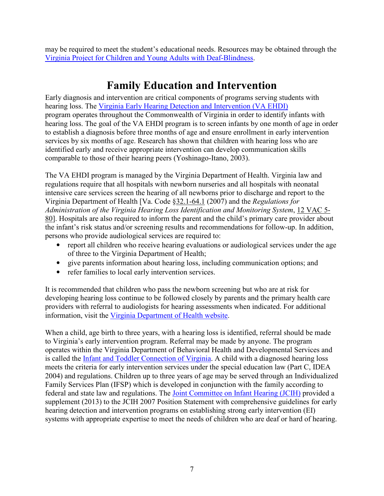<span id="page-14-0"></span>may be required to meet the student's educational needs. Resources may be obtained through the [Virginia Project for Children and Young Adults with Deaf-Blindness.](https://partnership.vcu.edu/programs/education/vadbp/)

### **Family Education and Intervention**

Early diagnosis and intervention are critical components of programs serving students with hearing loss. The [Virginia Early Hearing Detection and Intervention \(VA EHDI\)](http://www.vdh.virginia.gov/early-hearing-detection-and-intervention/) program operates throughout the Commonwealth of Virginia in order to identify infants with hearing loss. The goal of the VA EHDI program is to screen infants by one month of age in order to establish a diagnosis before three months of age and ensure enrollment in early intervention services by six months of age. Research has shown that children with hearing loss who are identified early and receive appropriate intervention can develop communication skills comparable to those of their hearing peers (Yoshinago-Itano, 2003).

The VA EHDI program is managed by the Virginia Department of Health. Virginia law and regulations require that all hospitals with newborn nurseries and all hospitals with neonatal intensive care services screen the hearing of all newborns prior to discharge and report to the Virginia Department of Health [Va. Code §[32.1-64.1](http://leg1.state.va.us/cgi-bin/legp504.exe?000+cod+32.1-64.1) (2007) and the *Regulations for Administration of the Virginia Hearing Loss Identification and Monitoring System*, [12 VAC 5-](http://leg1.state.va.us/000/reg/TOC12005.HTM#C0080) [80](http://leg1.state.va.us/000/reg/TOC12005.HTM#C0080)]. Hospitals are also required to inform the parent and the child's primary care provider about the infant's risk status and/or screening results and recommendations for follow-up. In addition, persons who provide audiological services are required to:

- report all children who receive hearing evaluations or audiological services under the age of three to the Virginia Department of Health;
- give parents information about hearing loss, including communication options; and
- refer families to local early intervention services.

It is recommended that children who pass the newborn screening but who are at risk for developing hearing loss continue to be followed closely by parents and the primary health care providers with referral to audiologists for hearing assessments when indicated. For additional information, visit the [Virginia Department of Health website.](http://www.vdh.virginia.gov/early-hearing-detection-and-intervention/)

When a child, age birth to three years, with a hearing loss is identified, referral should be made to Virginia's early intervention program. Referral may be made by anyone. The program operates within the Virginia Department of Behavioral Health and Developmental Services and is called the [Infant and Toddler Connection of Virginia.](http://www.infantva.org/) A child with a diagnosed hearing loss meets the criteria for early intervention services under the special education law (Part C, IDEA 2004) and regulations. Children up to three years of age may be served through an Individualized Family Services Plan (IFSP) which is developed in conjunction with the family according to federal and state law and regulations. The [Joint Committee on Infant Hearing \(JCIH\)](http://www.jcih.org/) provided a supplement (2013) to the JCIH 2007 Position Statement with comprehensive guidelines for early hearing detection and intervention programs on establishing strong early intervention (EI) systems with appropriate expertise to meet the needs of children who are deaf or hard of hearing.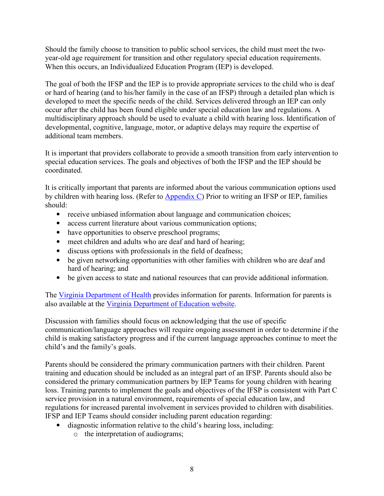Should the family choose to transition to public school services, the child must meet the twoyear-old age requirement for transition and other regulatory special education requirements. When this occurs, an Individualized Education Program (IEP) is developed.

The goal of both the IFSP and the IEP is to provide appropriate services to the child who is deaf or hard of hearing (and to his/her family in the case of an IFSP) through a detailed plan which is developed to meet the specific needs of the child. Services delivered through an IEP can only occur after the child has been found eligible under special education law and regulations. A multidisciplinary approach should be used to evaluate a child with hearing loss. Identification of developmental, cognitive, language, motor, or adaptive delays may require the expertise of additional team members.

It is important that providers collaborate to provide a smooth transition from early intervention to special education services. The goals and objectives of both the IFSP and the IEP should be coordinated.

It is critically important that parents are informed about the various communication options used by children with hearing loss. (Refer to [Appendix C\)](#page-65-0) Prior to writing an IFSP or IEP, families should:

- receive unbiased information about language and communication choices;
- access current literature about various communication options;
- have opportunities to observe preschool programs;
- meet children and adults who are deaf and hard of hearing;
- discuss options with professionals in the field of deafness;
- be given networking opportunities with other families with children who are deaf and hard of hearing; and
- be given access to state and national resources that can provide additional information.

The [Virginia Department of Health](http://www.vdh.virginia.gov/early-hearing-detection-and-intervention) provides information for parents. Information for parents is also available at the [Virginia Department of Education website.](http://www.doe.virginia.gov/special_ed/parents/index.shtml)

Discussion with families should focus on acknowledging that the use of specific communication/language approaches will require ongoing assessment in order to determine if the child is making satisfactory progress and if the current language approaches continue to meet the child's and the family's goals.

Parents should be considered the primary communication partners with their children. Parent training and education should be included as an integral part of an IFSP. Parents should also be considered the primary communication partners by IEP Teams for young children with hearing loss. Training parents to implement the goals and objectives of the IFSP is consistent with Part C service provision in a natural environment, requirements of special education law, and regulations for increased parental involvement in services provided to children with disabilities. IFSP and IEP Teams should consider including parent education regarding:

- diagnostic information relative to the child's hearing loss, including:
	- o the interpretation of audiograms;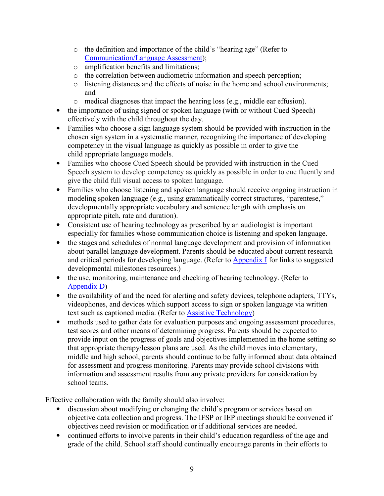- o the definition and importance of the child's "hearing age" (Refer to [Communication/Language Assessment\)](#page-22-0);
- o amplification benefits and limitations;
- o the correlation between audiometric information and speech perception;
- o listening distances and the effects of noise in the home and school environments; and
- o medical diagnoses that impact the hearing loss (e.g., middle ear effusion).
- the importance of using signed or spoken language (with or without Cued Speech) effectively with the child throughout the day.
- Families who choose a sign language system should be provided with instruction in the chosen sign system in a systematic manner, recognizing the importance of developing competency in the visual language as quickly as possible in order to give the child appropriate language models.
- Families who choose Cued Speech should be provided with instruction in the Cued Speech system to develop competency as quickly as possible in order to cue fluently and give the child full visual access to spoken language.
- Families who choose listening and spoken language should receive ongoing instruction in modeling spoken language (e.g., using grammatically correct structures, "parentese," developmentally appropriate vocabulary and sentence length with emphasis on appropriate pitch, rate and duration).
- Consistent use of hearing technology as prescribed by an audiologist is important especially for families whose communication choice is listening and spoken language.
- the stages and schedules of normal language development and provision of information about parallel language development. Parents should be educated about current research and critical periods for developing language. (Refer to **Appendix I** for links to suggested developmental milestones resources.)
- the use, monitoring, maintenance and checking of hearing technology. (Refer to [Appendix D\)](#page-68-0)
- the availability of and the need for alerting and safety devices, telephone adapters, TTYs, videophones, and devices which support access to sign or spoken language via written text such as captioned media. (Refer to **[Assistive Technology](#page-41-0)**)
- methods used to gather data for evaluation purposes and ongoing assessment procedures, test scores and other means of determining progress. Parents should be expected to provide input on the progress of goals and objectives implemented in the home setting so that appropriate therapy/lesson plans are used. As the child moves into elementary, middle and high school, parents should continue to be fully informed about data obtained for assessment and progress monitoring. Parents may provide school divisions with information and assessment results from any private providers for consideration by school teams.

Effective collaboration with the family should also involve:

- discussion about modifying or changing the child's program or services based on objective data collection and progress. The IFSP or IEP meetings should be convened if objectives need revision or modification or if additional services are needed.
- continued efforts to involve parents in their child's education regardless of the age and grade of the child. School staff should continually encourage parents in their efforts to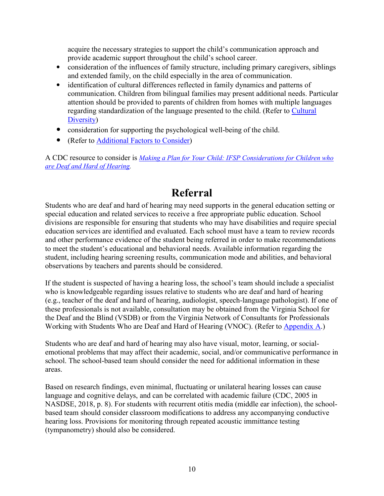<span id="page-17-0"></span>acquire the necessary strategies to support the child's communication approach and provide academic support throughout the child's school career.

- consideration of the influences of family structure, including primary caregivers, siblings and extended family, on the child especially in the area of communication.
- identification of cultural differences reflected in family dynamics and patterns of communication. Children from bilingual families may present additional needs. Particular attention should be provided to parents of children from homes with multiple languages regarding standardization of the language presented to the child. (Refer to [Cultural](#page-12-0)  [Diversity\)](#page-12-0)
- consideration for supporting the psychological well-being of the child.
- (Refer to [Additional Factors to Consider\)](#page-12-0)

A CDC resource to consider is *[Making a Plan for Your Child: IFSP Considerations for Children who](https://www.cdc.gov/ncbddd/hearingloss/freematerials/planforyourchild.pdf)  [are Deaf and Hard of Hearing.](https://www.cdc.gov/ncbddd/hearingloss/freematerials/planforyourchild.pdf)* 

### **Referral**

Students who are deaf and hard of hearing may need supports in the general education setting or special education and related services to receive a free appropriate public education. School divisions are responsible for ensuring that students who may have disabilities and require special education services are identified and evaluated. Each school must have a team to review records and other performance evidence of the student being referred in order to make recommendations to meet the student's educational and behavioral needs. Available information regarding the student, including hearing screening results, communication mode and abilities, and behavioral observations by teachers and parents should be considered.

If the student is suspected of having a hearing loss, the school's team should include a specialist who is knowledgeable regarding issues relative to students who are deaf and hard of hearing (e.g., teacher of the deaf and hard of hearing, audiologist, speech-language pathologist). If one of these professionals is not available, consultation may be obtained from the Virginia School for the Deaf and the Blind (VSDB) or from the Virginia Network of Consultants for Professionals Working with Students Who are Deaf and Hard of Hearing (VNOC). (Refer to [Appendix A.](#page-58-0))

Students who are deaf and hard of hearing may also have visual, motor, learning, or socialemotional problems that may affect their academic, social, and/or communicative performance in school. The school-based team should consider the need for additional information in these areas.

Based on research findings, even minimal, fluctuating or unilateral hearing losses can cause language and cognitive delays, and can be correlated with academic failure (CDC, 2005 in NASDSE, 2018, p. 8). For students with recurrent otitis media (middle ear infection), the schoolbased team should consider classroom modifications to address any accompanying conductive hearing loss. Provisions for monitoring through repeated acoustic immittance testing (tympanometry) should also be considered.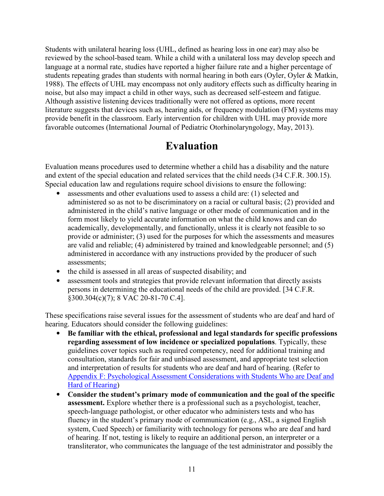<span id="page-18-0"></span>Students with unilateral hearing loss (UHL, defined as hearing loss in one ear) may also be reviewed by the school-based team. While a child with a unilateral loss may develop speech and language at a normal rate, studies have reported a higher failure rate and a higher percentage of students repeating grades than students with normal hearing in both ears (Oyler, Oyler & Matkin, 1988). The effects of UHL may encompass not only auditory effects such as difficulty hearing in noise, but also may impact a child in other ways, such as decreased self-esteem and fatigue. Although assistive listening devices traditionally were not offered as options, more recent literature suggests that devices such as, hearing aids, or frequency modulation (FM) systems may provide benefit in the classroom. Early intervention for children with UHL may provide more favorable outcomes (International Journal of Pediatric Otorhinolaryngology, May, 2013).

### **Evaluation**

Evaluation means procedures used to determine whether a child has a disability and the nature and extent of the special education and related services that the child needs (34 C.F.R. 300.15). Special education law and regulations require school divisions to ensure the following:

- assessments and other evaluations used to assess a child are: (1) selected and administered so as not to be discriminatory on a racial or cultural basis; (2) provided and administered in the child's native language or other mode of communication and in the form most likely to yield accurate information on what the child knows and can do academically, developmentally, and functionally, unless it is clearly not feasible to so provide or administer; (3) used for the purposes for which the assessments and measures are valid and reliable; (4) administered by trained and knowledgeable personnel; and (5) administered in accordance with any instructions provided by the producer of such assessments;
- the child is assessed in all areas of suspected disability; and
- assessment tools and strategies that provide relevant information that directly assists persons in determining the educational needs of the child are provided. [34 C.F.R. §300.304(c)(7); 8 VAC 20-81-70 C.4].

These specifications raise several issues for the assessment of students who are deaf and hard of hearing. Educators should consider the following guidelines:

- **Be familiar with the ethical, professional and legal standards for specific professions regarding assessment of low incidence or specialized populations**. Typically, these guidelines cover topics such as required competency, need for additional training and consultation, standards for fair and unbiased assessment, and appropriate test selection and interpretation of results for students who are deaf and hard of hearing. (Refer to [Appendix F: Psychological Assessment Considerations with Students Who are Deaf and](#page-79-0)  [Hard of Hearing\)](#page-79-0)
- **Consider the student's primary mode of communication and the goal of the specific assessment.** Explore whether there is a professional such as a psychologist, teacher, speech-language pathologist, or other educator who administers tests and who has fluency in the student's primary mode of communication (e.g., ASL, a signed English system, Cued Speech) or familiarity with technology for persons who are deaf and hard of hearing. If not, testing is likely to require an additional person, an interpreter or a transliterator, who communicates the language of the test administrator and possibly the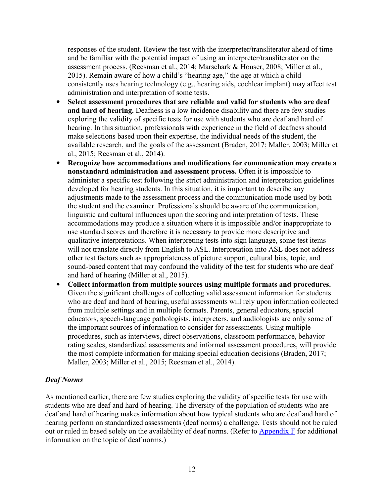<span id="page-19-0"></span>responses of the student. Review the test with the interpreter/transliterator ahead of time and be familiar with the potential impact of using an interpreter/transliterator on the assessment process. (Reesman et al., 2014; Marschark & Houser, 2008; Miller et al., 2015). Remain aware of how a child's "hearing age," the age at which a child consistently uses hearing technology (e.g., hearing aids, cochlear implant) may affect test administration and interpretation of some tests.

- **Select assessment procedures that are reliable and valid for students who are deaf and hard of hearing.** Deafness is a low incidence disability and there are few studies exploring the validity of specific tests for use with students who are deaf and hard of hearing. In this situation, professionals with experience in the field of deafness should make selections based upon their expertise, the individual needs of the student, the available research, and the goals of the assessment (Braden, 2017; Maller, 2003; Miller et al., 2015; Reesman et al., 2014).
- **Recognize how accommodations and modifications for communication may create a nonstandard administration and assessment process.** Often it is impossible to administer a specific test following the strict administration and interpretation guidelines developed for hearing students. In this situation, it is important to describe any adjustments made to the assessment process and the communication mode used by both the student and the examiner. Professionals should be aware of the communication, linguistic and cultural influences upon the scoring and interpretation of tests. These accommodations may produce a situation where it is impossible and/or inappropriate to use standard scores and therefore it is necessary to provide more descriptive and qualitative interpretations. When interpreting tests into sign language, some test items will not translate directly from English to ASL. Interpretation into ASL does not address other test factors such as appropriateness of picture support, cultural bias, topic, and sound-based content that may confound the validity of the test for students who are deaf and hard of hearing (Miller et al., 2015).
- **Collect information from multiple sources using multiple formats and procedures.**  Given the significant challenges of collecting valid assessment information for students who are deaf and hard of hearing, useful assessments will rely upon information collected from multiple settings and in multiple formats. Parents, general educators, special educators, speech-language pathologists, interpreters, and audiologists are only some of the important sources of information to consider for assessments. Using multiple procedures, such as interviews, direct observations, classroom performance, behavior rating scales, standardized assessments and informal assessment procedures, will provide the most complete information for making special education decisions (Braden, 2017; Maller, 2003; Miller et al., 2015; Reesman et al., 2014).

#### *Deaf Norms*

As mentioned earlier, there are few studies exploring the validity of specific tests for use with students who are deaf and hard of hearing. The diversity of the population of students who are deaf and hard of hearing makes information about how typical students who are deaf and hard of hearing perform on standardized assessments (deaf norms) a challenge. Tests should not be ruled out or ruled in based solely on the availability of deaf norms. (Refer to [Appendix F](#page-79-0) for additional information on the topic of deaf norms.)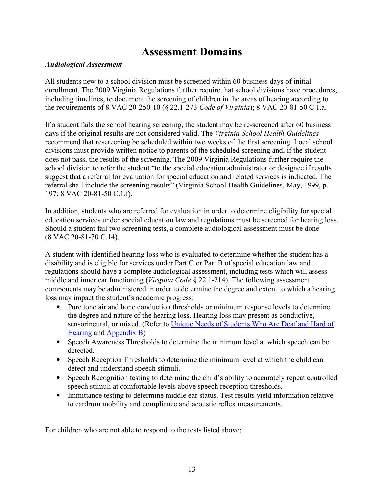### **Assessment Domains**

#### <span id="page-20-0"></span>*Audiological Assessment*

All students new to a school division must be screened within 60 business days of initial enrollment. The 2009 Virginia Regulations further require that school divisions have procedures, including timelines, to document the screening of children in the areas of hearing according to the requirements of 8 VAC 20-250-10 (§ 22.1-273 *Code of Virginia*); 8 VAC 20-81-50 C 1.a.

If a student fails the school hearing screening, the student may be re-screened after 60 business days if the original results are not considered valid. The *Virginia School Health Guidelines* recommend that rescreening be scheduled within two weeks of the first screening. Local school divisions must provide written notice to parents of the scheduled screening and, if the student does not pass, the results of the screening. The 2009 Virginia Regulations further require the school division to refer the student "to the special education administrator or designee if results suggest that a referral for evaluation for special education and related services is indicated. The referral shall include the screening results" (Virginia School Health Guidelines, May, 1999, p. 197; 8 VAC 20-81-50 C.1.f).

In addition, students who are referred for evaluation in order to determine eligibility for special education services under special education law and regulations must be screened for hearing loss. Should a student fail two screening tests, a complete audiological assessment must be done (8 VAC 20-81-70 C.14).

A student with identified hearing loss who is evaluated to determine whether the student has a disability and is eligible for services under Part C or Part B of special education law and regulations should have a complete audiological assessment, including tests which will assess middle and inner ear functioning (*Virginia Code* § 22.1-214). The following assessment components may be administered in order to determine the degree and extent to which a hearing loss may impact the student's academic progress:

- Pure tone air and bone conduction thresholds or minimum response levels to determine the degree and nature of the hearing loss. Hearing loss may present as conductive, sensorineural, or mixed. (Refer to [Unique Needs of Students Who Are Deaf and Hard of](#page-9-0)  [Hearing](#page-9-0) and [Appendix B](#page-58-0))
- Speech Awareness Thresholds to determine the minimum level at which speech can be detected.
- Speech Reception Thresholds to determine the minimum level at which the child can detect and understand speech stimuli.
- Speech Recognition testing to determine the child's ability to accurately repeat controlled speech stimuli at comfortable levels above speech reception thresholds.
- Immittance testing to determine middle ear status. Test results yield information relative to eardrum mobility and compliance and acoustic reflex measurements.

For children who are not able to respond to the tests listed above: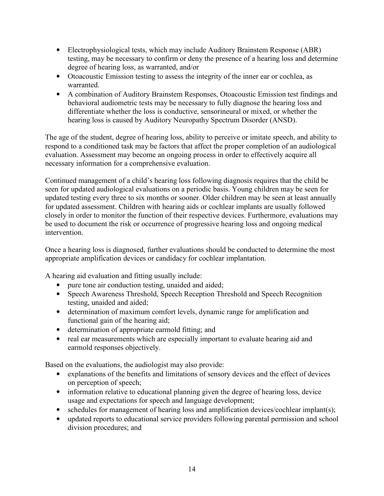- Electrophysiological tests, which may include Auditory Brainstem Response (ABR) testing, may be necessary to confirm or deny the presence of a hearing loss and determine degree of hearing loss, as warranted, and/or
- Otoacoustic Emission testing to assess the integrity of the inner ear or cochlea, as warranted.
- A combination of Auditory Brainstem Responses, Otoacoustic Emission test findings and behavioral audiometric tests may be necessary to fully diagnose the hearing loss and differentiate whether the loss is conductive, sensorineural or mixed, or whether the hearing loss is caused by Auditory Neuropathy Spectrum Disorder (ANSD).

The age of the student, degree of hearing loss, ability to perceive or imitate speech, and ability to respond to a conditioned task may be factors that affect the proper completion of an audiological evaluation. Assessment may become an ongoing process in order to effectively acquire all necessary information for a comprehensive evaluation.

Continued management of a child's hearing loss following diagnosis requires that the child be seen for updated audiological evaluations on a periodic basis. Young children may be seen for updated testing every three to six months or sooner. Older children may be seen at least annually for updated assessment. Children with hearing aids or cochlear implants are usually followed closely in order to monitor the function of their respective devices. Furthermore, evaluations may be used to document the risk or occurrence of progressive hearing loss and ongoing medical intervention.

Once a hearing loss is diagnosed, further evaluations should be conducted to determine the most appropriate amplification devices or candidacy for cochlear implantation.

A hearing aid evaluation and fitting usually include:

- pure tone air conduction testing, unaided and aided;
- Speech Awareness Threshold, Speech Reception Threshold and Speech Recognition testing, unaided and aided;
- determination of maximum comfort levels, dynamic range for amplification and functional gain of the hearing aid;
- determination of appropriate earmold fitting; and
- real ear measurements which are especially important to evaluate hearing aid and earmold responses objectively.

Based on the evaluations, the audiologist may also provide:

- explanations of the benefits and limitations of sensory devices and the effect of devices on perception of speech;
- information relative to educational planning given the degree of hearing loss, device usage and expectations for speech and language development;
- schedules for management of hearing loss and amplification devices/cochlear implant(s);
- updated reports to educational service providers following parental permission and school division procedures; and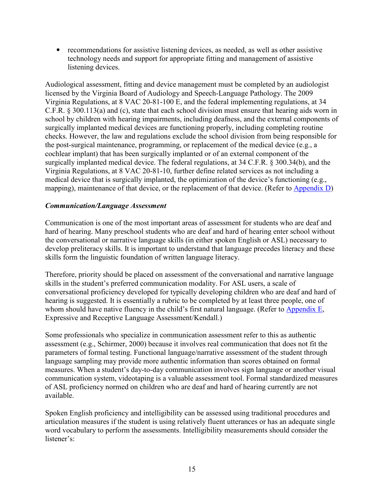<span id="page-22-0"></span>• recommendations for assistive listening devices, as needed, as well as other assistive technology needs and support for appropriate fitting and management of assistive listening devices.

Audiological assessment, fitting and device management must be completed by an audiologist licensed by the Virginia Board of Audiology and Speech-Language Pathology. The 2009 Virginia Regulations, at 8 VAC 20-81-100 E, and the federal implementing regulations, at 34 C.F.R. § 300.113(a) and (c), state that each school division must ensure that hearing aids worn in school by children with hearing impairments, including deafness, and the external components of surgically implanted medical devices are functioning properly, including completing routine checks. However, the law and regulations exclude the school division from being responsible for the post-surgical maintenance, programming, or replacement of the medical device (e.g., a cochlear implant) that has been surgically implanted or of an external component of the surgically implanted medical device. The federal regulations, at 34 C.F.R. § 300.34(b), and the Virginia Regulations, at 8 VAC 20-81-10, further define related services as not including a medical device that is surgically implanted, the optimization of the device's functioning (e.g., mapping), maintenance of that device, or the replacement of that device. (Refer to [Appendix D\)](#page-68-0)

#### *Communication/Language Assessment*

Communication is one of the most important areas of assessment for students who are deaf and hard of hearing. Many preschool students who are deaf and hard of hearing enter school without the conversational or narrative language skills (in either spoken English or ASL) necessary to develop preliteracy skills. It is important to understand that language precedes literacy and these skills form the linguistic foundation of written language literacy.

Therefore, priority should be placed on assessment of the conversational and narrative language skills in the student's preferred communication modality. For ASL users, a scale of conversational proficiency developed for typically developing children who are deaf and hard of hearing is suggested. It is essentially a rubric to be completed by at least three people, one of whom should have native fluency in the child's first natural language. (Refer to [Appendix E,](#page-71-0) Expressive and Receptive Language Assessment/Kendall.)

Some professionals who specialize in communication assessment refer to this as authentic assessment (e.g., Schirmer, 2000) because it involves real communication that does not fit the parameters of formal testing. Functional language/narrative assessment of the student through language sampling may provide more authentic information than scores obtained on formal measures. When a student's day-to-day communication involves sign language or another visual communication system, videotaping is a valuable assessment tool. Formal standardized measures of ASL proficiency normed on children who are deaf and hard of hearing currently are not available.

Spoken English proficiency and intelligibility can be assessed using traditional procedures and articulation measures if the student is using relatively fluent utterances or has an adequate single word vocabulary to perform the assessments. Intelligibility measurements should consider the listener's: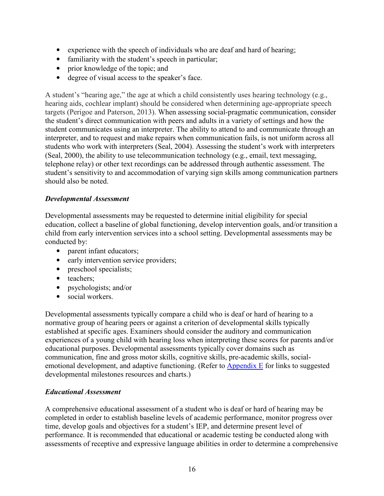- <span id="page-23-0"></span>• experience with the speech of individuals who are deaf and hard of hearing;
- familiarity with the student's speech in particular;
- prior knowledge of the topic; and
- degree of visual access to the speaker's face.

A student's "hearing age," the age at which a child consistently uses hearing technology (e.g., hearing aids, cochlear implant) should be considered when determining age-appropriate speech targets (Perigoe and Paterson, 2013). When assessing social-pragmatic communication, consider the student's direct communication with peers and adults in a variety of settings and how the student communicates using an interpreter. The ability to attend to and communicate through an interpreter, and to request and make repairs when communication fails, is not uniform across all students who work with interpreters (Seal, 2004). Assessing the student's work with interpreters (Seal, 2000), the ability to use telecommunication technology (e.g., email, text messaging, telephone relay) or other text recordings can be addressed through authentic assessment. The student's sensitivity to and accommodation of varying sign skills among communication partners should also be noted.

#### *Developmental Assessment*

Developmental assessments may be requested to determine initial eligibility for special education, collect a baseline of global functioning, develop intervention goals, and/or transition a child from early intervention services into a school setting. Developmental assessments may be conducted by:

- parent infant educators;
- early intervention service providers;
- preschool specialists;
- teachers;
- psychologists; and/or
- social workers.

Developmental assessments typically compare a child who is deaf or hard of hearing to a normative group of hearing peers or against a criterion of developmental skills typically established at specific ages. Examiners should consider the auditory and communication experiences of a young child with hearing loss when interpreting these scores for parents and/or educational purposes. Developmental assessments typically cover domains such as communication, fine and gross motor skills, cognitive skills, pre-academic skills, socialemotional development, and adaptive functioning. (Refer to [Appendix E](#page-71-0) for links to suggested developmental milestones resources and charts.)

#### *Educational Assessment*

A comprehensive educational assessment of a student who is deaf or hard of hearing may be completed in order to establish baseline levels of academic performance, monitor progress over time, develop goals and objectives for a student's IEP, and determine present level of performance. It is recommended that educational or academic testing be conducted along with assessments of receptive and expressive language abilities in order to determine a comprehensive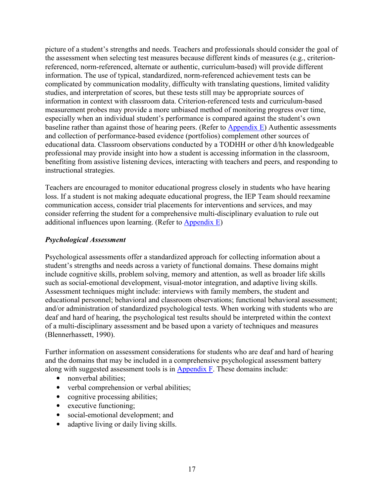<span id="page-24-0"></span>picture of a student's strengths and needs. Teachers and professionals should consider the goal of the assessment when selecting test measures because different kinds of measures (e.g., criterionreferenced, norm-referenced, alternate or authentic, curriculum-based) will provide different information. The use of typical, standardized, norm-referenced achievement tests can be complicated by communication modality, difficulty with translating questions, limited validity studies, and interpretation of scores, but these tests still may be appropriate sources of information in context with classroom data. Criterion-referenced tests and curriculum-based measurement probes may provide a more unbiased method of monitoring progress over time, especially when an individual student's performance is compared against the student's own baseline rather than against those of hearing peers. (Refer to [Appendix E\)](#page-71-0) Authentic assessments and collection of performance-based evidence (portfolios) complement other sources of educational data. Classroom observations conducted by a TODHH or other d/hh knowledgeable professional may provide insight into how a student is accessing information in the classroom, benefiting from assistive listening devices, interacting with teachers and peers, and responding to instructional strategies.

Teachers are encouraged to monitor educational progress closely in students who have hearing loss. If a student is not making adequate educational progress, the IEP Team should reexamine communication access, consider trial placements for interventions and services, and may consider referring the student for a comprehensive multi-disciplinary evaluation to rule out additional influences upon learning. (Refer to [Appendix E\)](#page-71-0)

#### *Psychological Assessment*

Psychological assessments offer a standardized approach for collecting information about a student's strengths and needs across a variety of functional domains. These domains might include cognitive skills, problem solving, memory and attention, as well as broader life skills such as social-emotional development, visual-motor integration, and adaptive living skills. Assessment techniques might include: interviews with family members, the student and educational personnel; behavioral and classroom observations; functional behavioral assessment; and/or administration of standardized psychological tests. When working with students who are deaf and hard of hearing, the psychological test results should be interpreted within the context of a multi-disciplinary assessment and be based upon a variety of techniques and measures (Blennerhassett, 1990).

Further information on assessment considerations for students who are deaf and hard of hearing and the domains that may be included in a comprehensive psychological assessment battery along with suggested assessment tools is in [Appendix F.](#page-79-0) These domains include:

- nonverbal abilities:
- verbal comprehension or verbal abilities;
- cognitive processing abilities;
- executive functioning;
- social-emotional development; and
- adaptive living or daily living skills.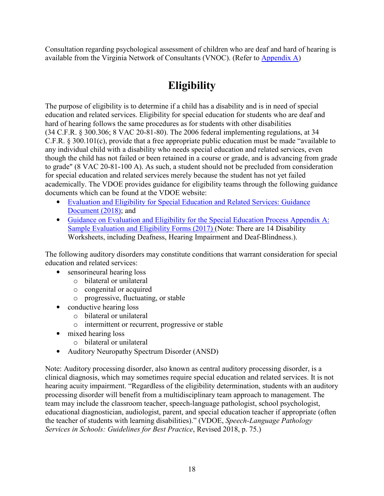<span id="page-25-0"></span>Consultation regarding psychological assessment of children who are deaf and hard of hearing is available from the Virginia Network of Consultants (VNOC). (Refer to [Appendix A\)](#page-58-0)

## **Eligibility**

The purpose of eligibility is to determine if a child has a disability and is in need of special education and related services. Eligibility for special education for students who are deaf and hard of hearing follows the same procedures as for students with other disabilities (34 C.F.R. § 300.306; 8 VAC 20-81-80). The 2006 federal implementing regulations, at 34 C.F.R. § 300.101(c), provide that a free appropriate public education must be made "available to any individual child with a disability who needs special education and related services, even though the child has not failed or been retained in a course or grade, and is advancing from grade to grade" (8 VAC 20-81-100 A). As such, a student should not be precluded from consideration for special education and related services merely because the student has not yet failed academically. The VDOE provides guidance for eligibility teams through the following guidance documents which can be found at the VDOE website:

- Evaluation and Eligibility for Special Education and Related Services: Guidance [Document](http://www.doe.virginia.gov/special_ed/disabilities/guidance_evaluation_eligibility.docx) (2018); and
- Guidance on Evaluation and Eligibility for the Special Education Process Appendix A: [Sample Evaluation and Eligibility Forms \(2017\)](http://www.doe.virginia.gov/special_ed/disabilities/guidance_evaluation_eligibility_appendix_a.docx) (Note: There are 14 Disability Worksheets, including Deafness, Hearing Impairment and Deaf-Blindness.).

The following auditory disorders may constitute conditions that warrant consideration for special education and related services:

- sensorineural hearing loss
	- o bilateral or unilateral
	- o congenital or acquired
	- o progressive, fluctuating, or stable
- conductive hearing loss
	- o bilateral or unilateral
	- o intermittent or recurrent, progressive or stable
- mixed hearing loss
	- o bilateral or unilateral
- Auditory Neuropathy Spectrum Disorder (ANSD)

Note: Auditory processing disorder, also known as central auditory processing disorder, is a clinical diagnosis, which may sometimes require special education and related services. It is not hearing acuity impairment. "Regardless of the eligibility determination, students with an auditory processing disorder will benefit from a multidisciplinary team approach to management. The team may include the classroom teacher, speech-language pathologist, school psychologist, educational diagnostician, audiologist, parent, and special education teacher if appropriate (often the teacher of students with learning disabilities)." (VDOE, *Speech-Language Pathology Services in Schools: Guidelines for Best Practice*, Revised 2018, p. 75.)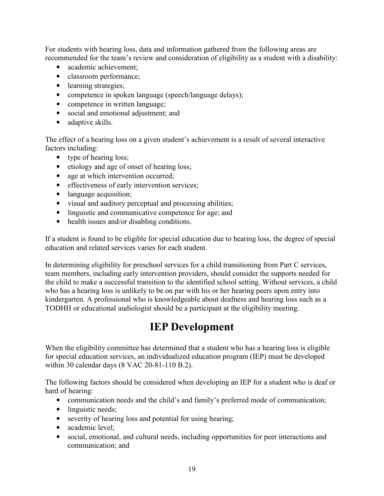<span id="page-26-0"></span>For students with hearing loss, data and information gathered from the following areas are recommended for the team's review and consideration of eligibility as a student with a disability:

- academic achievement:
- classroom performance;
- learning strategies;
- competence in spoken language (speech/language delays);
- competence in written language;
- social and emotional adjustment; and
- adaptive skills.

The effect of a hearing loss on a given student's achievement is a result of several interactive factors including:

- type of hearing loss;
- etiology and age of onset of hearing loss;
- age at which intervention occurred;
- effectiveness of early intervention services;
- language acquisition;
- visual and auditory perceptual and processing abilities;
- linguistic and communicative competence for age; and
- health issues and/or disabling conditions.

If a student is found to be eligible for special education due to hearing loss, the degree of special education and related services varies for each student.

In determining eligibility for preschool services for a child transitioning from Part C services, team members, including early intervention providers, should consider the supports needed for the child to make a successful transition to the identified school setting. Without services, a child who has a hearing loss is unlikely to be on par with his or her hearing peers upon entry into kindergarten. A professional who is knowledgeable about deafness and hearing loss such as a TODHH or educational audiologist should be a participant at the eligibility meeting.

### **IEP Development**

When the eligibility committee has determined that a student who has a hearing loss is eligible for special education services, an individualized education program (IEP) must be developed within 30 calendar days (8 VAC 20-81-110 B.2).

The following factors should be considered when developing an IEP for a student who is deaf or hard of hearing:

- communication needs and the child's and family's preferred mode of communication;
- linguistic needs;
- severity of hearing loss and potential for using hearing;
- academic level:
- social, emotional, and cultural needs, including opportunities for peer interactions and communication; and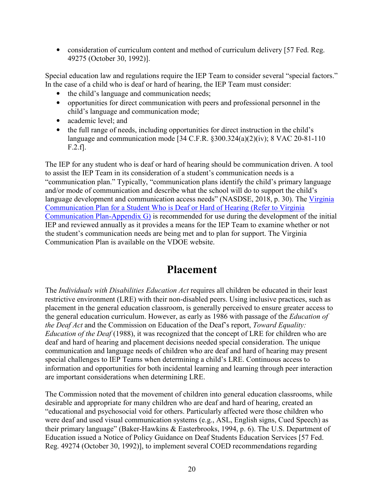<span id="page-27-0"></span>• consideration of curriculum content and method of curriculum delivery [57 Fed. Reg. 49275 (October 30, 1992)].

Special education law and regulations require the IEP Team to consider several "special factors." In the case of a child who is deaf or hard of hearing, the IEP Team must consider:

- the child's language and communication needs;
- opportunities for direct communication with peers and professional personnel in the child's language and communication mode;
- academic level: and
- the full range of needs, including opportunities for direct instruction in the child's language and communication mode [34 C.F.R. §300.324(a)(2)(iv); 8 VAC 20-81-110 F.2.f].

The IEP for any student who is deaf or hard of hearing should be communication driven. A tool to assist the IEP Team in its consideration of a student's communication needs is a "communication plan." Typically, "communication plans identify the child's primary language and/or mode of communication and describe what the school will do to support the child's language development and communication access needs" (NASDSE, 2018, p. 30). The Virginia [Communication Plan for a Student Who is Deaf or Hard of Hearing \(Refer to Virginia](http://www.doe.virginia.gov/special_ed/disabilities/sensory_disabilities/hearing_impairment/va_communication_plan.docx) [Communication Plan-Appendix G\)](http://www.doe.virginia.gov/special_ed/disabilities/sensory_disabilities/hearing_impairment/va_communication_plan.docx) is recommended for use during the development of the initial IEP and reviewed annually as it provides a means for the IEP Team to examine whether or not the student's communication needs are being met and to plan for support. The Virginia Communication Plan is available on the VDOE website.

### **Placement**

The *Individuals with Disabilities Education Act* requires all children be educated in their least restrictive environment (LRE) with their non-disabled peers. Using inclusive practices, such as placement in the general education classroom, is generally perceived to ensure greater access to the general education curriculum. However, as early as 1986 with passage of the *Education of the Deaf Act* and the Commission on Education of the Deaf's report, *Toward Equality: Education of the Deaf* (1988), it was recognized that the concept of LRE for children who are deaf and hard of hearing and placement decisions needed special consideration. The unique communication and language needs of children who are deaf and hard of hearing may present special challenges to IEP Teams when determining a child's LRE. Continuous access to information and opportunities for both incidental learning and learning through peer interaction are important considerations when determining LRE.

The Commission noted that the movement of children into general education classrooms, while desirable and appropriate for many children who are deaf and hard of hearing, created an "educational and psychosocial void for others. Particularly affected were those children who were deaf and used visual communication systems (e.g., ASL, English signs, Cued Speech) as their primary language" (Baker-Hawkins & Easterbrooks, 1994, p. 6). The U.S. Department of Education issued a Notice of Policy Guidance on Deaf Students Education Services [57 Fed. Reg. 49274 (October 30, 1992)], to implement several COED recommendations regarding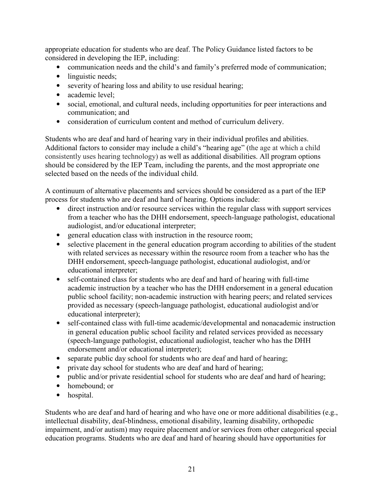appropriate education for students who are deaf. The Policy Guidance listed factors to be considered in developing the IEP, including:

- communication needs and the child's and family's preferred mode of communication;
- linguistic needs:
- severity of hearing loss and ability to use residual hearing;
- academic level;
- social, emotional, and cultural needs, including opportunities for peer interactions and communication; and
- consideration of curriculum content and method of curriculum delivery.

Students who are deaf and hard of hearing vary in their individual profiles and abilities. Additional factors to consider may include a child's "hearing age" (the age at which a child consistently uses hearing technology) as well as additional disabilities. All program options should be considered by the IEP Team, including the parents, and the most appropriate one selected based on the needs of the individual child.

A continuum of alternative placements and services should be considered as a part of the IEP process for students who are deaf and hard of hearing. Options include:

- direct instruction and/or resource services within the regular class with support services from a teacher who has the DHH endorsement, speech-language pathologist, educational audiologist, and/or educational interpreter;
- general education class with instruction in the resource room;
- selective placement in the general education program according to abilities of the student with related services as necessary within the resource room from a teacher who has the DHH endorsement, speech-language pathologist, educational audiologist, and/or educational interpreter;
- self-contained class for students who are deaf and hard of hearing with full-time academic instruction by a teacher who has the DHH endorsement in a general education public school facility; non-academic instruction with hearing peers; and related services provided as necessary (speech-language pathologist, educational audiologist and/or educational interpreter);
- self-contained class with full-time academic/developmental and nonacademic instruction in general education public school facility and related services provided as necessary (speech-language pathologist, educational audiologist, teacher who has the DHH endorsement and/or educational interpreter);
- separate public day school for students who are deaf and hard of hearing;
- private day school for students who are deaf and hard of hearing;
- public and/or private residential school for students who are deaf and hard of hearing;
- homebound; or
- hospital.

Students who are deaf and hard of hearing and who have one or more additional disabilities (e.g., intellectual disability, deaf-blindness, emotional disability, learning disability, orthopedic impairment, and/or autism) may require placement and/or services from other categorical special education programs. Students who are deaf and hard of hearing should have opportunities for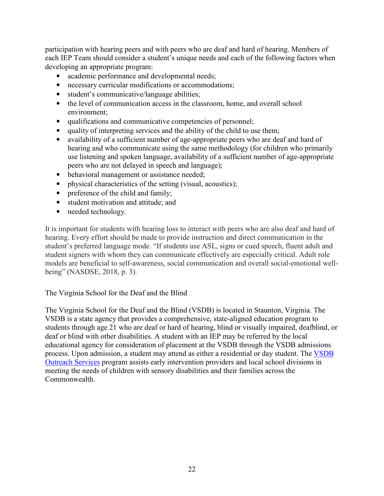<span id="page-29-0"></span>participation with hearing peers and with peers who are deaf and hard of hearing. Members of each IEP Team should consider a student's unique needs and each of the following factors when developing an appropriate program:

- academic performance and developmental needs;
- necessary curricular modifications or accommodations;
- student's communicative/language abilities;
- the level of communication access in the classroom, home, and overall school environment;
- qualifications and communicative competencies of personnel;
- quality of interpreting services and the ability of the child to use them;
- availability of a sufficient number of age-appropriate peers who are deaf and hard of hearing and who communicate using the same methodology (for children who primarily use listening and spoken language, availability of a sufficient number of age-appropriate peers who are not delayed in speech and language);
- behavioral management or assistance needed;
- physical characteristics of the setting (visual, acoustics);
- preference of the child and family;
- student motivation and attitude; and
- needed technology.

It is important for students with hearing loss to interact with peers who are also deaf and hard of hearing. Every effort should be made to provide instruction and direct communication in the student's preferred language mode. "If students use ASL, signs or cued speech, fluent adult and student signers with whom they can communicate effectively are especially critical. Adult role models are beneficial to self-awareness, social communication and overall social-emotional wellbeing" (NASDSE, 2018, p. 3).

#### The Virginia School for the Deaf and the Blind

The Virginia School for the Deaf and the Blind (VSDB) is located in Staunton, Virginia. The VSDB is a state agency that provides a comprehensive, state-aligned education program to students through age 21 who are deaf or hard of hearing, blind or visually impaired, deafblind, or deaf or blind with other disabilities. A student with an IEP may be referred by the local educational agency for consideration of placement at the VSDB through the VSDB admissions process. Upon admission, a student may attend as either a residential or day student. The [VSDB](https://www.vsdb.k12.va.us/)  [Outreach Services](https://www.vsdb.k12.va.us/) program assists early intervention providers and local school divisions in meeting the needs of children with sensory disabilities and their families across the **Commonwealth**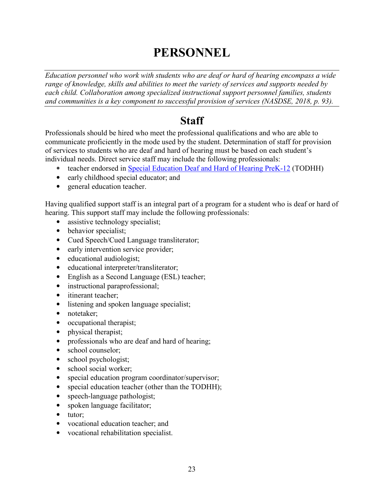# **PERSONNEL**

<span id="page-30-0"></span>*Education personnel who work with students who are deaf or hard of hearing encompass a wide range of knowledge, skills and abilities to meet the variety of services and supports needed by each child. Collaboration among specialized instructional support personnel families, students and communities is a key component to successful provision of services (NASDSE, 2018, p. 93).* 

### **Staff**

Professionals should be hired who meet the professional qualifications and who are able to communicate proficiently in the mode used by the student. Determination of staff for provision of services to students who are deaf and hard of hearing must be based on each student's individual needs. Direct service staff may include the following professionals:

- teacher endorsed in [Special Education Deaf and Hard of Hearing PreK-12](https://law.lis.virginia.gov/admincode/title8/agency20/chapter23/section530/) (TODHH)
- early childhood special educator; and
- general education teacher.

Having qualified support staff is an integral part of a program for a student who is deaf or hard of hearing. This support staff may include the following professionals:

- assistive technology specialist;
- behavior specialist;
- Cued Speech/Cued Language transliterator;
- early intervention service provider;
- educational audiologist;
- educational interpreter/transliterator;
- English as a Second Language (ESL) teacher;
- instructional paraprofessional;
- itinerant teacher;
- listening and spoken language specialist;
- notetaker;
- occupational therapist;
- physical therapist;
- professionals who are deaf and hard of hearing;
- school counselor;
- school psychologist;
- school social worker;
- special education program coordinator/supervisor;
- special education teacher (other than the TODHH);
- speech-language pathologist;
- spoken language facilitator;
- tutor:
- vocational education teacher; and
- vocational rehabilitation specialist.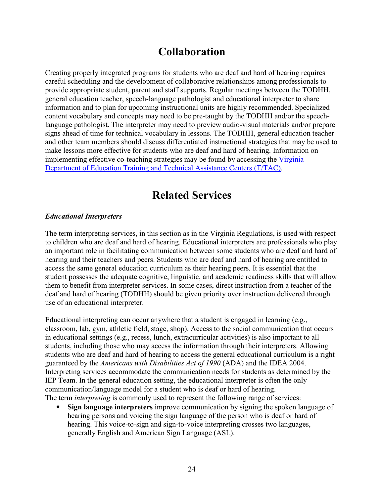### **Collaboration**

<span id="page-31-0"></span>Creating properly integrated programs for students who are deaf and hard of hearing requires careful scheduling and the development of collaborative relationships among professionals to provide appropriate student, parent and staff supports. Regular meetings between the TODHH, general education teacher, speech-language pathologist and educational interpreter to share information and to plan for upcoming instructional units are highly recommended. Specialized content vocabulary and concepts may need to be pre-taught by the TODHH and/or the speechlanguage pathologist. The interpreter may need to preview audio-visual materials and/or prepare signs ahead of time for technical vocabulary in lessons. The TODHH, general education teacher and other team members should discuss differentiated instructional strategies that may be used to make lessons more effective for students who are deaf and hard of hearing. Information on implementing effective co-teaching strategies may be found by accessing the [Virginia](http://www.ttaconline.org/)  [Department of Education Training and Technical Assistance Centers \(T/TAC\).](http://www.ttaconline.org/)

### **Related Services**

#### *Educational Interpreters*

The term interpreting services, in this section as in the Virginia Regulations, is used with respect to children who are deaf and hard of hearing. Educational interpreters are professionals who play an important role in facilitating communication between some students who are deaf and hard of hearing and their teachers and peers. Students who are deaf and hard of hearing are entitled to access the same general education curriculum as their hearing peers. It is essential that the student possesses the adequate cognitive, linguistic, and academic readiness skills that will allow them to benefit from interpreter services. In some cases, direct instruction from a teacher of the deaf and hard of hearing (TODHH) should be given priority over instruction delivered through use of an educational interpreter.

Educational interpreting can occur anywhere that a student is engaged in learning (e.g., classroom, lab, gym, athletic field, stage, shop). Access to the social communication that occurs in educational settings (e.g., recess, lunch, extracurricular activities) is also important to all students, including those who may access the information through their interpreters. Allowing students who are deaf and hard of hearing to access the general educational curriculum is a right guaranteed by the *Americans with Disabilities Act of 1990* (ADA) and the IDEA 2004. Interpreting services accommodate the communication needs for students as determined by the IEP Team. In the general education setting, the educational interpreter is often the only communication/language model for a student who is deaf or hard of hearing. The term *interpreting* is commonly used to represent the following range of services:

• **Sign language interpreters** improve communication by signing the spoken language of hearing persons and voicing the sign language of the person who is deaf or hard of hearing. This voice-to-sign and sign-to-voice interpreting crosses two languages, generally English and American Sign Language (ASL).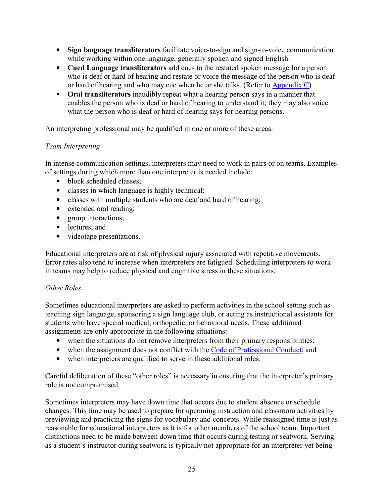- <span id="page-32-0"></span>• **Sign language transliterators** facilitate voice-to-sign and sign-to-voice communication while working within one language, generally spoken and signed English.
- **Cued Language transliterators** add cues to the restated spoken message for a person who is deaf or hard of hearing and restate or voice the message of the person who is deaf or hard of hearing and who may cue when he or she talks. (Refer to [Appendix C\)](#page-65-0)
- **Oral transliterators** inaudibly repeat what a hearing person says in a manner that enables the person who is deaf or hard of hearing to understand it; they may also voice what the person who is deaf or hard of hearing says for hearing persons.

An interpreting professional may be qualified in one or more of these areas.

#### *Team Interpreting*

In intense communication settings, interpreters may need to work in pairs or on teams. Examples of settings during which more than one interpreter is needed include:

- block scheduled classes;
- classes in which language is highly technical;
- classes with multiple students who are deaf and hard of hearing;
- extended oral reading;
- group interactions;
- lectures; and
- videotape presentations.

Educational interpreters are at risk of physical injury associated with repetitive movements. Error rates also tend to increase when interpreters are fatigued. Scheduling interpreters to work in teams may help to reduce physical and cognitive stress in these situations.

#### *Other Roles*

Sometimes educational interpreters are asked to perform activities in the school setting such as teaching sign language, sponsoring a sign language club, or acting as instructional assistants for students who have special medical, orthopedic, or behavioral needs. These additional assignments are only appropriate in the following situations:

- when the situations do not remove interpreters from their primary responsibilities;
- when the assignment does not conflict with the [Code of Professional Conduct;](http://rid.org/ethics/code-of-professional-conduct) and
- when interpreters are qualified to serve in these additional roles.

Careful deliberation of these "other roles" is necessary in ensuring that the interpreter's primary role is not compromised.

Sometimes interpreters may have down time that occurs due to student absence or schedule changes. This time may be used to prepare for upcoming instruction and classroom activities by previewing and practicing the signs for vocabulary and concepts. While reassigned time is just as reasonable for educational interpreters as it is for other members of the school team. Important distinctions need to be made between down time that occurs during testing or seatwork. Serving as a student's instructor during seatwork is typically not appropriate for an interpreter yet being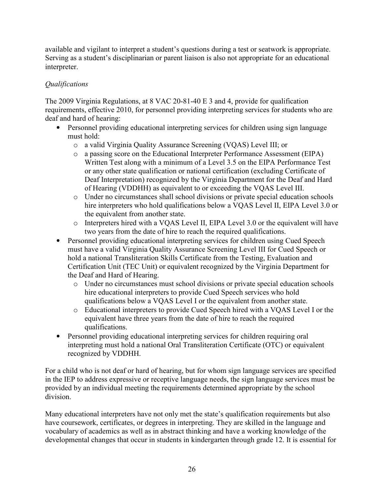<span id="page-33-0"></span>available and vigilant to interpret a student's questions during a test or seatwork is appropriate. Serving as a student's disciplinarian or parent liaison is also not appropriate for an educational interpreter.

#### *Qualifications*

The 2009 Virginia Regulations, at 8 VAC 20-81-40 E 3 and 4, provide for qualification requirements, effective 2010, for personnel providing interpreting services for students who are deaf and hard of hearing:

- Personnel providing educational interpreting services for children using sign language must hold:
	- o a valid Virginia Quality Assurance Screening (VQAS) Level III; or
	- o a passing score on the Educational Interpreter Performance Assessment (EIPA) Written Test along with a minimum of a Level 3.5 on the EIPA Performance Test or any other state qualification or national certification (excluding Certificate of Deaf Interpretation) recognized by the Virginia Department for the Deaf and Hard of Hearing (VDDHH) as equivalent to or exceeding the VQAS Level III.
	- o Under no circumstances shall school divisions or private special education schools hire interpreters who hold qualifications below a VQAS Level II, EIPA Level 3.0 or the equivalent from another state.
	- o Interpreters hired with a VQAS Level II, EIPA Level 3.0 or the equivalent will have two years from the date of hire to reach the required qualifications.
- Personnel providing educational interpreting services for children using Cued Speech must have a valid Virginia Quality Assurance Screening Level III for Cued Speech or hold a national Transliteration Skills Certificate from the Testing, Evaluation and Certification Unit (TEC Unit) or equivalent recognized by the Virginia Department for the Deaf and Hard of Hearing.
	- o Under no circumstances must school divisions or private special education schools hire educational interpreters to provide Cued Speech services who hold qualifications below a VQAS Level I or the equivalent from another state.
	- o Educational interpreters to provide Cued Speech hired with a VQAS Level I or the equivalent have three years from the date of hire to reach the required qualifications.
- Personnel providing educational interpreting services for children requiring oral interpreting must hold a national Oral Transliteration Certificate (OTC) or equivalent recognized by VDDHH.

For a child who is not deaf or hard of hearing, but for whom sign language services are specified in the IEP to address expressive or receptive language needs, the sign language services must be provided by an individual meeting the requirements determined appropriate by the school division.

Many educational interpreters have not only met the state's qualification requirements but also have coursework, certificates, or degrees in interpreting. They are skilled in the language and vocabulary of academics as well as in abstract thinking and have a working knowledge of the developmental changes that occur in students in kindergarten through grade 12. It is essential for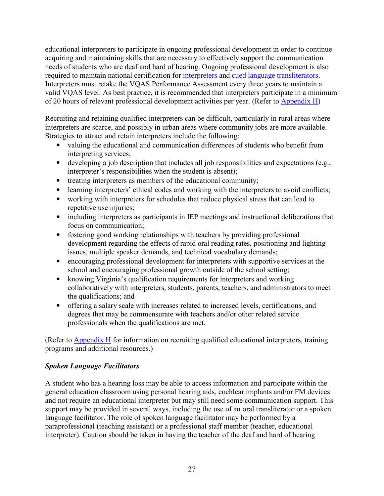<span id="page-34-0"></span>educational interpreters to participate in ongoing professional development in order to continue acquiring and maintaining skills that are necessary to effectively support the communication needs of students who are deaf and hard of hearing. Ongoing professional development is also required to maintain national certification for [interpreters](https://rid.org/rid-certification-overview/maintaining-certification/) and [cued language transliterators.](http://www.tecunit.org/maintenance/certification-maintenance-program/) Interpreters must retake the VQAS Performance Assessment every three years to maintain a valid VQAS level. As best practice, it is recommended that interpreters participate in a minimum of 20 hours of relevant professional development activities per year. (Refer to [Appendix H\)](#page-92-0)

Recruiting and retaining qualified interpreters can be difficult, particularly in rural areas where interpreters are scarce, and possibly in urban areas where community jobs are more available. Strategies to attract and retain interpreters include the following:

- valuing the educational and communication differences of students who benefit from interpreting services;
- developing a job description that includes all job responsibilities and expectations (e.g., interpreter's responsibilities when the student is absent);
- treating interpreters as members of the educational community;
- learning interpreters' ethical codes and working with the interpreters to avoid conflicts;
- working with interpreters for schedules that reduce physical stress that can lead to repetitive use injuries;
- including interpreters as participants in IEP meetings and instructional deliberations that focus on communication;
- fostering good working relationships with teachers by providing professional development regarding the effects of rapid oral reading rates, positioning and lighting issues, multiple speaker demands, and technical vocabulary demands;
- encouraging professional development for interpreters with supportive services at the school and encouraging professional growth outside of the school setting;
- knowing Virginia's qualification requirements for interpreters and working collaboratively with interpreters, students, parents, teachers, and administrators to meet the qualifications; and
- offering a salary scale with increases related to increased levels, certifications, and degrees that may be commensurate with teachers and/or other related service professionals when the qualifications are met.

(Refer to  $\Delta$ ppendix H for information on recruiting qualified educational interpreters, training programs and additional resources.)

#### *Spoken Language Facilitators*

A student who has a hearing loss may be able to access information and participate within the general education classroom using personal hearing aids, cochlear implants and/or FM devices and not require an educational interpreter but may still need some communication support. This support may be provided in several ways, including the use of an oral transliterator or a spoken language facilitator. The role of spoken language facilitator may be performed by a paraprofessional (teaching assistant) or a professional staff member (teacher, educational interpreter). Caution should be taken in having the teacher of the deaf and hard of hearing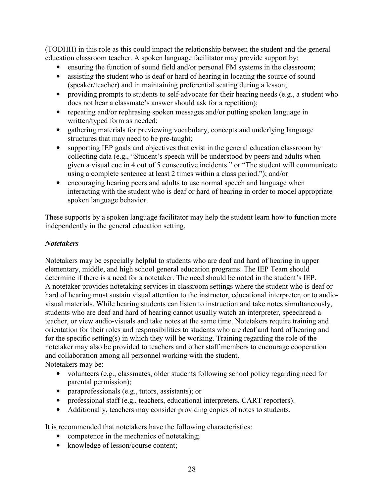<span id="page-35-0"></span>(TODHH) in this role as this could impact the relationship between the student and the general education classroom teacher. A spoken language facilitator may provide support by:

- ensuring the function of sound field and/or personal FM systems in the classroom;
- assisting the student who is deaf or hard of hearing in locating the source of sound (speaker/teacher) and in maintaining preferential seating during a lesson;
- providing prompts to students to self-advocate for their hearing needs (e.g., a student who does not hear a classmate's answer should ask for a repetition);
- repeating and/or rephrasing spoken messages and/or putting spoken language in written/typed form as needed;
- gathering materials for previewing vocabulary, concepts and underlying language structures that may need to be pre-taught;
- supporting IEP goals and objectives that exist in the general education classroom by collecting data (e.g., "Student's speech will be understood by peers and adults when given a visual cue in 4 out of 5 consecutive incidents." or "The student will communicate using a complete sentence at least 2 times within a class period."); and/or
- encouraging hearing peers and adults to use normal speech and language when interacting with the student who is deaf or hard of hearing in order to model appropriate spoken language behavior.

These supports by a spoken language facilitator may help the student learn how to function more independently in the general education setting.

#### *Notetakers*

Notetakers may be especially helpful to students who are deaf and hard of hearing in upper elementary, middle, and high school general education programs. The IEP Team should determine if there is a need for a notetaker. The need should be noted in the student's IEP. A notetaker provides notetaking services in classroom settings where the student who is deaf or hard of hearing must sustain visual attention to the instructor, educational interpreter, or to audiovisual materials. While hearing students can listen to instruction and take notes simultaneously, students who are deaf and hard of hearing cannot usually watch an interpreter, speechread a teacher, or view audio-visuals and take notes at the same time. Notetakers require training and orientation for their roles and responsibilities to students who are deaf and hard of hearing and for the specific setting(s) in which they will be working. Training regarding the role of the notetaker may also be provided to teachers and other staff members to encourage cooperation and collaboration among all personnel working with the student. Notetakers may be:

- volunteers (e.g., classmates, older students following school policy regarding need for parental permission);
- paraprofessionals (e.g., tutors, assistants); or
- professional staff (e.g., teachers, educational interpreters, CART reporters).
- Additionally, teachers may consider providing copies of notes to students.

It is recommended that notetakers have the following characteristics:

- competence in the mechanics of notetaking;
- knowledge of lesson/course content;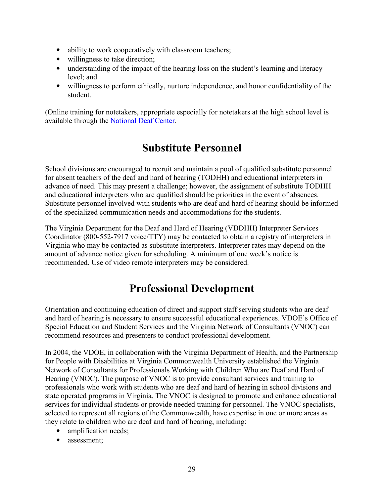- ability to work cooperatively with classroom teachers;
- willingness to take direction;
- understanding of the impact of the hearing loss on the student's learning and literacy level; and
- willingness to perform ethically, nurture independence, and honor confidentiality of the student.

(Online training for notetakers, appropriate especially for notetakers at the high school level is available through the [National Deaf Center.](https://explore.nationaldeafcenter.org/courses/note-taker-training)

# **Substitute Personnel**

School divisions are encouraged to recruit and maintain a pool of qualified substitute personnel for absent teachers of the deaf and hard of hearing (TODHH) and educational interpreters in advance of need. This may present a challenge; however, the assignment of substitute TODHH and educational interpreters who are qualified should be priorities in the event of absences. Substitute personnel involved with students who are deaf and hard of hearing should be informed of the specialized communication needs and accommodations for the students.

The Virginia Department for the Deaf and Hard of Hearing (VDDHH) Interpreter Services Coordinator (800-552-7917 voice/TTY) may be contacted to obtain a registry of interpreters in Virginia who may be contacted as substitute interpreters. Interpreter rates may depend on the amount of advance notice given for scheduling. A minimum of one week's notice is recommended. Use of video remote interpreters may be considered.

## **Professional Development**

Orientation and continuing education of direct and support staff serving students who are deaf and hard of hearing is necessary to ensure successful educational experiences. VDOE's Office of Special Education and Student Services and the Virginia Network of Consultants (VNOC) can recommend resources and presenters to conduct professional development.

In 2004, the VDOE, in collaboration with the Virginia Department of Health, and the Partnership for People with Disabilities at Virginia Commonwealth University established the Virginia Network of Consultants for Professionals Working with Children Who are Deaf and Hard of Hearing (VNOC). The purpose of VNOC is to provide consultant services and training to professionals who work with students who are deaf and hard of hearing in school divisions and state operated programs in Virginia. The VNOC is designed to promote and enhance educational services for individual students or provide needed training for personnel. The VNOC specialists, selected to represent all regions of the Commonwealth, have expertise in one or more areas as they relate to children who are deaf and hard of hearing, including:

- amplification needs;
- assessment: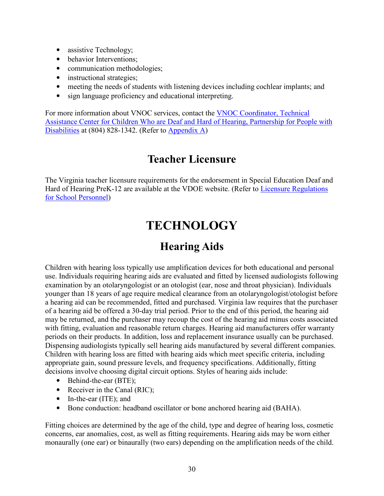- assistive Technology;
- behavior Interventions;
- communication methodologies;
- instructional strategies;
- meeting the needs of students with listening devices including cochlear implants; and
- sign language proficiency and educational interpreting.

For more information about VNOC services, contact the VNOC Coordinator, Technical [Assistance Center for Children Who are Deaf and Hard of Hearing, Partnership for People with](https://partnership.vcu.edu/VNOC/)  [Disabilities](https://partnership.vcu.edu/VNOC/) at (804) 828-1342. (Refer to [Appendix A\)](#page-58-0)

## **Teacher Licensure**

The Virginia teacher licensure requirements for the endorsement in Special Education Deaf and Hard of Hearing PreK-12 are available at the VDOE website. (Refer to [Licensure Regulations](https://law.lis.virginia.gov/admincode/title8/agency20/chapter23/)  [for School Personnel\)](https://law.lis.virginia.gov/admincode/title8/agency20/chapter23/)

# **TECHNOLOGY**

# **Hearing Aids**

Children with hearing loss typically use amplification devices for both educational and personal use. Individuals requiring hearing aids are evaluated and fitted by licensed audiologists following examination by an otolaryngologist or an otologist (ear, nose and throat physician). Individuals younger than 18 years of age require medical clearance from an otolaryngologist/otologist before a hearing aid can be recommended, fitted and purchased. Virginia law requires that the purchaser of a hearing aid be offered a 30-day trial period. Prior to the end of this period, the hearing aid may be returned, and the purchaser may recoup the cost of the hearing aid minus costs associated with fitting, evaluation and reasonable return charges. Hearing aid manufacturers offer warranty periods on their products. In addition, loss and replacement insurance usually can be purchased. Dispensing audiologists typically sell hearing aids manufactured by several different companies. Children with hearing loss are fitted with hearing aids which meet specific criteria, including appropriate gain, sound pressure levels, and frequency specifications. Additionally, fitting decisions involve choosing digital circuit options. Styles of hearing aids include:

- Behind-the-ear (BTE);
- Receiver in the Canal (RIC);
- In-the-ear (ITE); and
- Bone conduction: headband oscillator or bone anchored hearing aid (BAHA).

Fitting choices are determined by the age of the child, type and degree of hearing loss, cosmetic concerns, ear anomalies, cost, as well as fitting requirements. Hearing aids may be worn either monaurally (one ear) or binaurally (two ears) depending on the amplification needs of the child.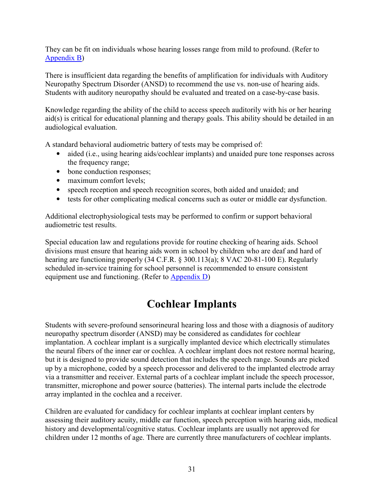They can be fit on individuals whose hearing losses range from mild to profound. (Refer to [Appendix B\)](#page-58-0)

There is insufficient data regarding the benefits of amplification for individuals with Auditory Neuropathy Spectrum Disorder (ANSD) to recommend the use vs. non-use of hearing aids. Students with auditory neuropathy should be evaluated and treated on a case-by-case basis.

Knowledge regarding the ability of the child to access speech auditorily with his or her hearing aid(s) is critical for educational planning and therapy goals. This ability should be detailed in an audiological evaluation.

A standard behavioral audiometric battery of tests may be comprised of:

- aided (i.e., using hearing aids/cochlear implants) and unaided pure tone responses across the frequency range;
- bone conduction responses;
- maximum comfort levels;
- speech reception and speech recognition scores, both aided and unaided; and
- tests for other complicating medical concerns such as outer or middle ear dysfunction.

Additional electrophysiological tests may be performed to confirm or support behavioral audiometric test results.

Special education law and regulations provide for routine checking of hearing aids. School divisions must ensure that hearing aids worn in school by children who are deaf and hard of hearing are functioning properly (34 C.F.R. § 300.113(a); 8 VAC 20-81-100 E). Regularly scheduled in-service training for school personnel is recommended to ensure consistent equipment use and functioning. (Refer to [Appendix D\)](#page-68-0)

# **Cochlear Implants**

Students with severe-profound sensorineural hearing loss and those with a diagnosis of auditory neuropathy spectrum disorder (ANSD) may be considered as candidates for cochlear implantation. A cochlear implant is a surgically implanted device which electrically stimulates the neural fibers of the inner ear or cochlea. A cochlear implant does not restore normal hearing, but it is designed to provide sound detection that includes the speech range. Sounds are picked up by a microphone, coded by a speech processor and delivered to the implanted electrode array via a transmitter and receiver. External parts of a cochlear implant include the speech processor, transmitter, microphone and power source (batteries). The internal parts include the electrode array implanted in the cochlea and a receiver.

Children are evaluated for candidacy for cochlear implants at cochlear implant centers by assessing their auditory acuity, middle ear function, speech perception with hearing aids, medical history and developmental/cognitive status. Cochlear implants are usually not approved for children under 12 months of age. There are currently three manufacturers of cochlear implants.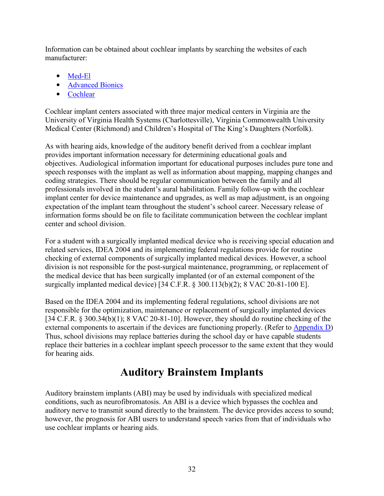Information can be obtained about cochlear implants by searching the websites of each manufacturer:

- [Med-El](http://www.medel.com/)
- [Advanced Bionics](http://www.advancedbionics.com/)
- [Cochlear](http://www.cochlear.com/)

Cochlear implant centers associated with three major medical centers in Virginia are the University of Virginia Health Systems (Charlottesville), Virginia Commonwealth University Medical Center (Richmond) and Children's Hospital of The King's Daughters (Norfolk).

As with hearing aids, knowledge of the auditory benefit derived from a cochlear implant provides important information necessary for determining educational goals and objectives. Audiological information important for educational purposes includes pure tone and speech responses with the implant as well as information about mapping, mapping changes and coding strategies. There should be regular communication between the family and all professionals involved in the student's aural habilitation. Family follow-up with the cochlear implant center for device maintenance and upgrades, as well as map adjustment, is an ongoing expectation of the implant team throughout the student's school career. Necessary release of information forms should be on file to facilitate communication between the cochlear implant center and school division.

For a student with a surgically implanted medical device who is receiving special education and related services, IDEA 2004 and its implementing federal regulations provide for routine checking of external components of surgically implanted medical devices. However, a school division is not responsible for the post-surgical maintenance, programming, or replacement of the medical device that has been surgically implanted (or of an external component of the surgically implanted medical device) [34 C.F.R. § 300.113(b)(2); 8 VAC 20-81-100 E].

Based on the IDEA 2004 and its implementing federal regulations, school divisions are not responsible for the optimization, maintenance or replacement of surgically implanted devices [34 C.F.R. § 300.34(b)(1); 8 VAC 20-81-10]. However, they should do routine checking of the external components to ascertain if the devices are functioning properly. (Refer to [Appendix D\)](#page-68-0) Thus, school divisions may replace batteries during the school day or have capable students replace their batteries in a cochlear implant speech processor to the same extent that they would for hearing aids.

# **Auditory Brainstem Implants**

Auditory brainstem implants (ABI) may be used by individuals with specialized medical conditions, such as neurofibromatosis. An ABI is a device which bypasses the cochlea and auditory nerve to transmit sound directly to the brainstem. The device provides access to sound; however, the prognosis for ABI users to understand speech varies from that of individuals who use cochlear implants or hearing aids.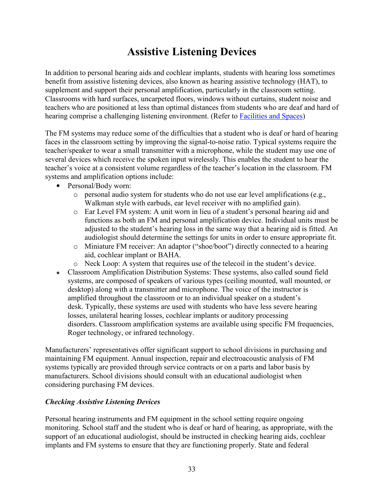# **Assistive Listening Devices**

In addition to personal hearing aids and cochlear implants, students with hearing loss sometimes benefit from assistive listening devices, also known as hearing assistive technology (HAT), to supplement and support their personal amplification, particularly in the classroom setting. Classrooms with hard surfaces, uncarpeted floors, windows without curtains, student noise and teachers who are positioned at less than optimal distances from students who are deaf and hard of hearing comprise a challenging listening environment. (Refer to [Facilities and Spaces\)](#page-43-0)

The FM systems may reduce some of the difficulties that a student who is deaf or hard of hearing faces in the classroom setting by improving the signal-to-noise ratio. Typical systems require the teacher/speaker to wear a small transmitter with a microphone, while the student may use one of several devices which receive the spoken input wirelessly. This enables the student to hear the teacher's voice at a consistent volume regardless of the teacher's location in the classroom. FM systems and amplification options include:

- Personal/Body worn:
	- $\circ$  personal audio system for students who do not use ear level amplifications (e.g., Walkman style with earbuds, ear level receiver with no amplified gain).
	- o Ear Level FM system: A unit worn in lieu of a student's personal hearing aid and functions as both an FM and personal amplification device. Individual units must be adjusted to the student's hearing loss in the same way that a hearing aid is fitted. An audiologist should determine the settings for units in order to ensure appropriate fit.
	- o Miniature FM receiver: An adaptor ("shoe/boot") directly connected to a hearing aid, cochlear implant or BAHA.
	- o Neck Loop: A system that requires use of the telecoil in the student's device.
- Classroom Amplification Distribution Systems: These systems, also called sound field systems, are composed of speakers of various types (ceiling mounted, wall mounted, or desktop) along with a transmitter and microphone. The voice of the instructor is amplified throughout the classroom or to an individual speaker on a student's desk. Typically, these systems are used with students who have less severe hearing losses, unilateral hearing losses, cochlear implants or auditory processing disorders. Classroom amplification systems are available using specific FM frequencies, Roger technology, or infrared technology.

Manufacturers' representatives offer significant support to school divisions in purchasing and maintaining FM equipment. Annual inspection, repair and electroacoustic analysis of FM systems typically are provided through service contracts or on a parts and labor basis by manufacturers. School divisions should consult with an educational audiologist when considering purchasing FM devices.

## *Checking Assistive Listening Devices*

Personal hearing instruments and FM equipment in the school setting require ongoing monitoring. School staff and the student who is deaf or hard of hearing, as appropriate, with the support of an educational audiologist, should be instructed in checking hearing aids, cochlear implants and FM systems to ensure that they are functioning properly. State and federal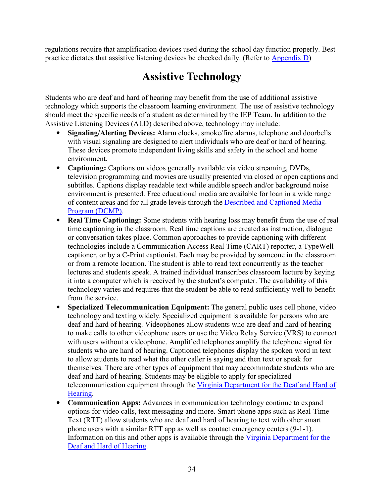regulations require that amplification devices used during the school day function properly. Best practice dictates that assistive listening devices be checked daily. (Refer to [Appendix D](#page-68-0))

# **Assistive Technology**

Students who are deaf and hard of hearing may benefit from the use of additional assistive technology which supports the classroom learning environment. The use of assistive technology should meet the specific needs of a student as determined by the IEP Team. In addition to the Assistive Listening Devices (ALD) described above, technology may include:

- **Signaling/Alerting Devices:** Alarm clocks, smoke/fire alarms, telephone and doorbells with visual signaling are designed to alert individuals who are deaf or hard of hearing. These devices promote independent living skills and safety in the school and home environment.
- **Captioning:** Captions on videos generally available via video streaming, DVDs, television programming and movies are usually presented via closed or open captions and subtitles. Captions display readable text while audible speech and/or background noise environment is presented. Free educational media are available for loan in a wide range of content areas and for all grade levels through the [Described and Captioned Media](http://www.dcmp.org/)  [Program \(DCMP\).](http://www.dcmp.org/)
- **Real Time Captioning:** Some students with hearing loss may benefit from the use of real time captioning in the classroom. Real time captions are created as instruction, dialogue or conversation takes place. Common approaches to provide captioning with different technologies include a Communication Access Real Time (CART) reporter, a TypeWell captioner, or by a C-Print captionist. Each may be provided by someone in the classroom or from a remote location. The student is able to read text concurrently as the teacher lectures and students speak. A trained individual transcribes classroom lecture by keying it into a computer which is received by the student's computer. The availability of this technology varies and requires that the student be able to read sufficiently well to benefit from the service.
- **Specialized Telecommunication Equipment:** The general public uses cell phone, video technology and texting widely. Specialized equipment is available for persons who are deaf and hard of hearing. Videophones allow students who are deaf and hard of hearing to make calls to other videophone users or use the Video Relay Service (VRS) to connect with users without a videophone. Amplified telephones amplify the telephone signal for students who are hard of hearing. Captioned telephones display the spoken word in text to allow students to read what the other caller is saying and then text or speak for themselves. There are other types of equipment that may accommodate students who are deaf and hard of hearing. Students may be eligible to apply for specialized telecommunication equipment through the Virginia Department for the Deaf and Hard of [Hearing.](http://www.vddhh.org/)
- **Communication Apps:** Advances in communication technology continue to expand options for video calls, text messaging and more. Smart phone apps such as Real-Time Text (RTT) allow students who are deaf and hard of hearing to text with other smart phone users with a similar RTT app as well as contact emergency centers (9-1-1). Information on this and other apps is available through the [Virginia Department for the](https://www.vddhh.org/)  [Deaf and Hard of Hearing.](https://www.vddhh.org/)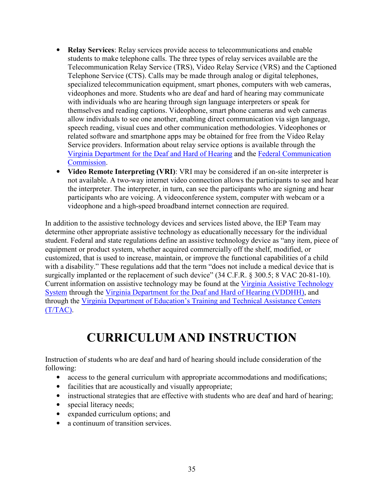- **Relay Services**: Relay services provide access to telecommunications and enable students to make telephone calls. The three types of relay services available are the Telecommunication Relay Service (TRS), Video Relay Service (VRS) and the Captioned Telephone Service (CTS). Calls may be made through analog or digital telephones, specialized telecommunication equipment, smart phones, computers with web cameras, videophones and more. Students who are deaf and hard of hearing may communicate with individuals who are hearing through sign language interpreters or speak for themselves and reading captions. Videophone, smart phone cameras and web cameras allow individuals to see one another, enabling direct communication via sign language, speech reading, visual cues and other communication methodologies. Videophones or related software and smartphone apps may be obtained for free from the Video Relay Service providers. Information about relay service options is available through the [Virginia Department for the Deaf and Hard of Hearing](http://www.varelay.org/) and the [Federal Communication](https://www.fcc.gov/general/telecommunications-relay-services-trs#block-menu-block-4) [Commission.](https://www.fcc.gov/general/telecommunications-relay-services-trs#block-menu-block-4)
- **Video Remote Interpreting (VRI)**: VRI may be considered if an on-site interpreter is not available. A two-way internet video connection allows the participants to see and hear the interpreter. The interpreter, in turn, can see the participants who are signing and hear participants who are voicing. A videoconference system, computer with webcam or a videophone and a high-speed broadband internet connection are required.

In addition to the assistive technology devices and services listed above, the IEP Team may determine other appropriate assistive technology as educationally necessary for the individual student. Federal and state regulations define an assistive technology device as "any item, piece of equipment or product system, whether acquired commercially off the shelf, modified, or customized, that is used to increase, maintain, or improve the functional capabilities of a child with a disability." These regulations add that the term "does not include a medical device that is surgically implanted or the replacement of such device" (34 C.F.R. § 300.5; 8 VAC 20-81-10). Current information on assistive technology may be found at the [Virginia Assistive Technology](http://www.vats.org/)  [System](http://www.vats.org/) through the [Virginia Department for the Deaf and Hard of Hearing \(VDDHH\),](http://www.vddhh.org/) and through the [Virginia Department of Education's Training and Technical Assistance Centers](http://www.ttaconline.org/)  [\(T/TAC\).](http://www.ttaconline.org/)

# **CURRICULUM AND INSTRUCTION**

Instruction of students who are deaf and hard of hearing should include consideration of the following:

- access to the general curriculum with appropriate accommodations and modifications;
- facilities that are acoustically and visually appropriate;
- instructional strategies that are effective with students who are deaf and hard of hearing;
- special literacy needs;
- expanded curriculum options; and
- a continuum of transition services.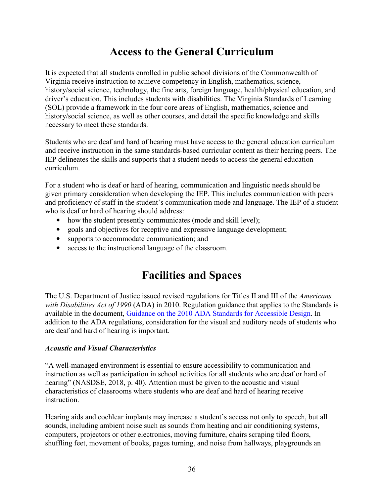# **Access to the General Curriculum**

<span id="page-43-0"></span>It is expected that all students enrolled in public school divisions of the Commonwealth of Virginia receive instruction to achieve competency in English, mathematics, science, history/social science, technology, the fine arts, foreign language, health/physical education, and driver's education. This includes students with disabilities. The Virginia Standards of Learning (SOL) provide a framework in the four core areas of English, mathematics, science and history/social science, as well as other courses, and detail the specific knowledge and skills necessary to meet these standards.

Students who are deaf and hard of hearing must have access to the general education curriculum and receive instruction in the same standards-based curricular content as their hearing peers. The IEP delineates the skills and supports that a student needs to access the general education curriculum.

For a student who is deaf or hard of hearing, communication and linguistic needs should be given primary consideration when developing the IEP. This includes communication with peers and proficiency of staff in the student's communication mode and language. The IEP of a student who is deaf or hard of hearing should address:

- how the student presently communicates (mode and skill level);
- goals and objectives for receptive and expressive language development;
- supports to accommodate communication; and
- access to the instructional language of the classroom.

# **Facilities and Spaces**

The U.S. Department of Justice issued revised regulations for Titles II and III of the *Americans with Disabilities Act of 1990* (ADA) in 2010. Regulation guidance that applies to the Standards is available in the document, [Guidance on the 2010 ADA Standards for Accessible Design.](https://www.ada.gov/regs2010/2010ADAStandards/Guidance_2010ADAStandards.pdf) In addition to the ADA regulations, consideration for the visual and auditory needs of students who are deaf and hard of hearing is important.

## *Acoustic and Visual Characteristics*

"A well-managed environment is essential to ensure accessibility to communication and instruction as well as participation in school activities for all students who are deaf or hard of hearing" (NASDSE, 2018, p. 40). Attention must be given to the acoustic and visual characteristics of classrooms where students who are deaf and hard of hearing receive instruction.

Hearing aids and cochlear implants may increase a student's access not only to speech, but all sounds, including ambient noise such as sounds from heating and air conditioning systems, computers, projectors or other electronics, moving furniture, chairs scraping tiled floors, shuffling feet, movement of books, pages turning, and noise from hallways, playgrounds an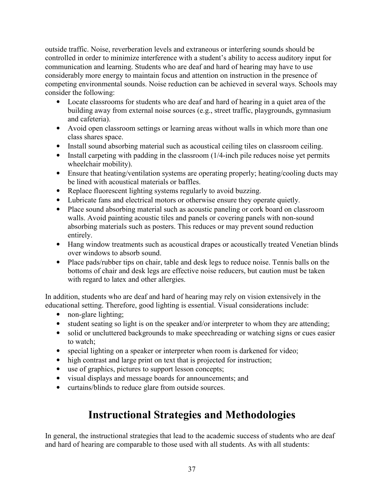outside traffic. Noise, reverberation levels and extraneous or interfering sounds should be controlled in order to minimize interference with a student's ability to access auditory input for communication and learning. Students who are deaf and hard of hearing may have to use considerably more energy to maintain focus and attention on instruction in the presence of competing environmental sounds. Noise reduction can be achieved in several ways. Schools may consider the following:

- Locate classrooms for students who are deaf and hard of hearing in a quiet area of the building away from external noise sources (e.g., street traffic, playgrounds, gymnasium and cafeteria).
- Avoid open classroom settings or learning areas without walls in which more than one class shares space.
- Install sound absorbing material such as acoustical ceiling tiles on classroom ceiling.
- Install carpeting with padding in the classroom (1/4-inch pile reduces noise yet permits wheelchair mobility).
- Ensure that heating/ventilation systems are operating properly; heating/cooling ducts may be lined with acoustical materials or baffles.
- Replace fluorescent lighting systems regularly to avoid buzzing.
- Lubricate fans and electrical motors or otherwise ensure they operate quietly.
- Place sound absorbing material such as acoustic paneling or cork board on classroom walls. Avoid painting acoustic tiles and panels or covering panels with non-sound absorbing materials such as posters. This reduces or may prevent sound reduction entirely.
- Hang window treatments such as acoustical drapes or acoustically treated Venetian blinds over windows to absorb sound.
- Place pads/rubber tips on chair, table and desk legs to reduce noise. Tennis balls on the bottoms of chair and desk legs are effective noise reducers, but caution must be taken with regard to latex and other allergies.

In addition, students who are deaf and hard of hearing may rely on vision extensively in the educational setting. Therefore, good lighting is essential. Visual considerations include:

- non-glare lighting;
- student seating so light is on the speaker and/or interpreter to whom they are attending;
- solid or uncluttered backgrounds to make speechreading or watching signs or cues easier to watch;
- special lighting on a speaker or interpreter when room is darkened for video;
- high contrast and large print on text that is projected for instruction;
- use of graphics, pictures to support lesson concepts;
- visual displays and message boards for announcements; and
- curtains/blinds to reduce glare from outside sources.

# **Instructional Strategies and Methodologies**

In general, the instructional strategies that lead to the academic success of students who are deaf and hard of hearing are comparable to those used with all students. As with all students: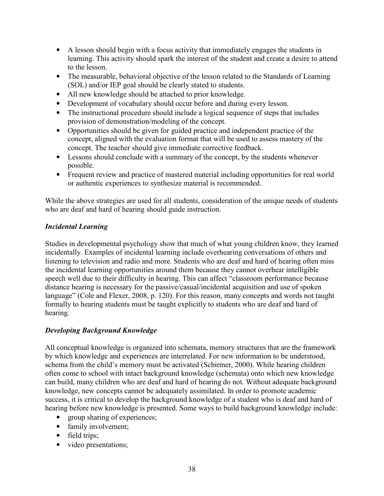- <span id="page-45-0"></span>• A lesson should begin with a focus activity that immediately engages the students in learning. This activity should spark the interest of the student and create a desire to attend to the lesson.
- The measurable, behavioral objective of the lesson related to the Standards of Learning (SOL) and/or IEP goal should be clearly stated to students.
- All new knowledge should be attached to prior knowledge.
- Development of vocabulary should occur before and during every lesson.
- The instructional procedure should include a logical sequence of steps that includes provision of demonstration/modeling of the concept.
- Opportunities should be given for guided practice and independent practice of the concept, aligned with the evaluation format that will be used to assess mastery of the concept. The teacher should give immediate corrective feedback.
- Lessons should conclude with a summary of the concept, by the students whenever possible.
- Frequent review and practice of mastered material including opportunities for real world or authentic experiences to synthesize material is recommended.

While the above strategies are used for all students, consideration of the unique needs of students who are deaf and hard of hearing should guide instruction.

## *Incidental Learning*

Studies in developmental psychology show that much of what young children know, they learned incidentally. Examples of incidental learning include overhearing conversations of others and listening to television and radio and more*.* Students who are deaf and hard of hearing often miss the incidental learning opportunities around them because they cannot overhear intelligible speech well due to their difficulty in hearing. This can affect "classroom performance because distance hearing is necessary for the passive/casual/incidental acquisition and use of spoken language" (Cole and Flexer, 2008, p. 120). For this reason, many concepts and words not taught formally to hearing students must be taught explicitly to students who are deaf and hard of hearing.

## *Developing Background Knowledge*

All conceptual knowledge is organized into schemata, memory structures that are the framework by which knowledge and experiences are interrelated. For new information to be understood, schema from the child's memory must be activated (Schirmer, 2000). While hearing children often come to school with intact background knowledge (schemata) onto which new knowledge can build, many children who are deaf and hard of hearing do not. Without adequate background knowledge, new concepts cannot be adequately assimilated. In order to promote academic success, it is critical to develop the background knowledge of a student who is deaf and hard of hearing before new knowledge is presented. Some ways to build background knowledge include:

- group sharing of experiences;
- family involvement;
- field trips;
- video presentations;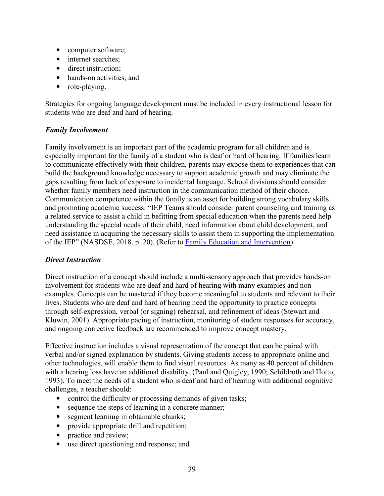- <span id="page-46-0"></span>• computer software;
- internet searches;
- direct instruction;
- hands-on activities; and
- role-playing.

Strategies for ongoing language development must be included in every instructional lesson for students who are deaf and hard of hearing.

## *Family Involvement*

Family involvement is an important part of the academic program for all children and is especially important for the family of a student who is deaf or hard of hearing. If families learn to communicate effectively with their children, parents may expose them to experiences that can build the background knowledge necessary to support academic growth and may eliminate the gaps resulting from lack of exposure to incidental language. School divisions should consider whether family members need instruction in the communication method of their choice. Communication competence within the family is an asset for building strong vocabulary skills and promoting academic success. "IEP Teams should consider parent counseling and training as a related service to assist a child in befitting from special education when the parents need help understanding the special needs of their child, need information about child development, and need assistance in acquiring the necessary skills to assist them in supporting the implementation of the IEP" (NASDSE, 2018, p. 20). (Refer to [Family Education and Intervention\)](#page-14-0)

## *Direct Instruction*

Direct instruction of a concept should include a multi-sensory approach that provides hands-on involvement for students who are deaf and hard of hearing with many examples and nonexamples. Concepts can be mastered if they become meaningful to students and relevant to their lives. Students who are deaf and hard of hearing need the opportunity to practice concepts through self-expression, verbal (or signing) rehearsal, and refinement of ideas (Stewart and Kluwin, 2001). Appropriate pacing of instruction, monitoring of student responses for accuracy, and ongoing corrective feedback are recommended to improve concept mastery.

Effective instruction includes a visual representation of the concept that can be paired with verbal and/or signed explanation by students. Giving students access to appropriate online and other technologies, will enable them to find visual resources. As many as 40 percent of children with a hearing loss have an additional disability. (Paul and Quigley, 1990; Schildroth and Hotto, 1993). To meet the needs of a student who is deaf and hard of hearing with additional cognitive challenges, a teacher should:

- control the difficulty or processing demands of given tasks;
- sequence the steps of learning in a concrete manner;
- segment learning in obtainable chunks;
- provide appropriate drill and repetition;
- practice and review;
- use direct questioning and response; and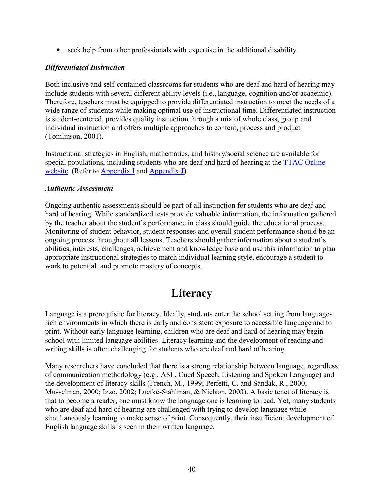• seek help from other professionals with expertise in the additional disability.

## *Differentiated Instruction*

Both inclusive and self-contained classrooms for students who are deaf and hard of hearing may include students with several different ability levels (i.e., language, cognition and/or academic). Therefore, teachers must be equipped to provide differentiated instruction to meet the needs of a wide range of students while making optimal use of instructional time. Differentiated instruction is student-centered, provides quality instruction through a mix of whole class, group and individual instruction and offers multiple approaches to content, process and product (Tomlinson, 2001).

Instructional strategies in English, mathematics, and history/social science are available for special populations, including students who are deaf and hard of hearing at the [TTAC Online](http://www.ttaconline.org/)  [website.](http://www.ttaconline.org/) (Refer to [Appendix I](#page-94-0) and [Appendix J\)](#page-103-0)

## *Authentic Assessment*

Ongoing authentic assessments should be part of all instruction for students who are deaf and hard of hearing. While standardized tests provide valuable information, the information gathered by the teacher about the student's performance in class should guide the educational process. Monitoring of student behavior, student responses and overall student performance should be an ongoing process throughout all lessons. Teachers should gather information about a student's abilities, interests, challenges, achievement and knowledge base and use this information to plan appropriate instructional strategies to match individual learning style, encourage a student to work to potential, and promote mastery of concepts.

## **Literacy**

Language is a prerequisite for literacy. Ideally, students enter the school setting from languagerich environments in which there is early and consistent exposure to accessible language and to print. Without early language learning, children who are deaf and hard of hearing may begin school with limited language abilities. Literacy learning and the development of reading and writing skills is often challenging for students who are deaf and hard of hearing.

Many researchers have concluded that there is a strong relationship between language, regardless of communication methodology (e.g., ASL, Cued Speech, Listening and Spoken Language) and the development of literacy skills (French, M., 1999; Perfetti, C. and Sandak, R., 2000; Musselman, 2000; Izzo, 2002; Luetke-Stahlman, & Nielson, 2003). A basic tenet of literacy is that to become a reader, one must know the language one is learning to read. Yet, many students who are deaf and hard of hearing are challenged with trying to develop language while simultaneously learning to make sense of print. Consequently, their insufficient development of English language skills is seen in their written language.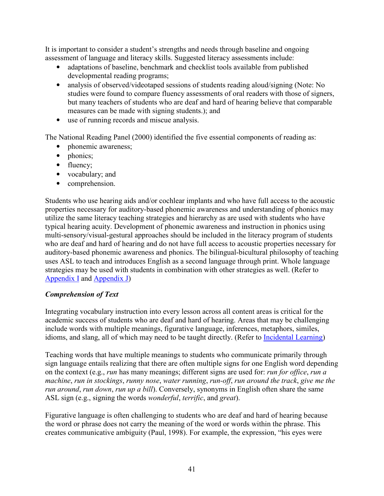It is important to consider a student's strengths and needs through baseline and ongoing assessment of language and literacy skills. Suggested literacy assessments include:

- adaptations of baseline, benchmark and checklist tools available from published developmental reading programs;
- analysis of observed/videotaped sessions of students reading aloud/signing (Note: No studies were found to compare fluency assessments of oral readers with those of signers, but many teachers of students who are deaf and hard of hearing believe that comparable measures can be made with signing students.); and
- use of running records and miscue analysis.

The National Reading Panel (2000) identified the five essential components of reading as:

- phonemic awareness;
- phonics;
- fluency;
- vocabulary; and
- comprehension.

Students who use hearing aids and/or cochlear implants and who have full access to the acoustic properties necessary for auditory-based phonemic awareness and understanding of phonics may utilize the same literacy teaching strategies and hierarchy as are used with students who have typical hearing acuity. Development of phonemic awareness and instruction in phonics using multi-sensory/visual-gestural approaches should be included in the literacy program of students who are deaf and hard of hearing and do not have full access to acoustic properties necessary for auditory-based phonemic awareness and phonics. The bilingual-bicultural philosophy of teaching uses ASL to teach and introduces English as a second language through print. Whole language strategies may be used with students in combination with other strategies as well. (Refer to [Appendix I](#page-94-0) and [Appendix J\)](#page-103-0)

## *Comprehension of Text*

Integrating vocabulary instruction into every lesson across all content areas is critical for the academic success of students who are deaf and hard of hearing. Areas that may be challenging include words with multiple meanings, figurative language, inferences, metaphors, similes, idioms, and slang, all of which may need to be taught directly. (Refer to [Incidental Learning\)](#page-45-0)

Teaching words that have multiple meanings to students who communicate primarily through sign language entails realizing that there are often multiple signs for one English word depending on the context (e.g., *run* has many meanings; different signs are used for: *run for office*, *run a machine*, *run in stockings*, *runny nose*, *water running*, *run-off*, *run around the track*, *give me the run around*, *run down*, *run up a bill*). Conversely, synonyms in English often share the same ASL sign (e.g., signing the words *wonderful*, *terrific*, and *great*).

Figurative language is often challenging to students who are deaf and hard of hearing because the word or phrase does not carry the meaning of the word or words within the phrase. This creates communicative ambiguity (Paul, 1998). For example, the expression, "his eyes were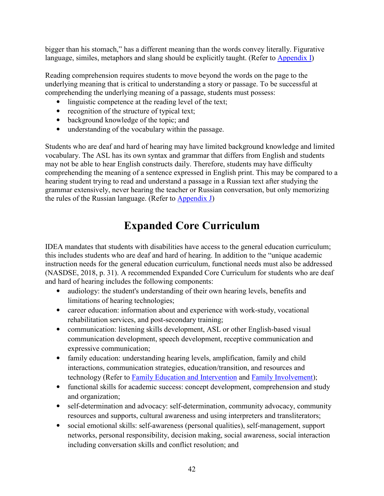bigger than his stomach," has a different meaning than the words convey literally. Figurative language, similes, metaphors and slang should be explicitly taught. (Refer to [Appendix I\)](#page-94-0)

Reading comprehension requires students to move beyond the words on the page to the underlying meaning that is critical to understanding a story or passage. To be successful at comprehending the underlying meaning of a passage, students must possess:

- linguistic competence at the reading level of the text;
- recognition of the structure of typical text;
- background knowledge of the topic; and
- understanding of the vocabulary within the passage.

Students who are deaf and hard of hearing may have limited background knowledge and limited vocabulary. The ASL has its own syntax and grammar that differs from English and students may not be able to hear English constructs daily. Therefore, students may have difficulty comprehending the meaning of a sentence expressed in English print. This may be compared to a hearing student trying to read and understand a passage in a Russian text after studying the grammar extensively, never hearing the teacher or Russian conversation, but only memorizing the rules of the Russian language. (Refer to [Appendix J\)](#page-103-0)

# **Expanded Core Curriculum**

IDEA mandates that students with disabilities have access to the general education curriculum; this includes students who are deaf and hard of hearing. In addition to the "unique academic instruction needs for the general education curriculum, functional needs must also be addressed (NASDSE, 2018, p. 31). A recommended Expanded Core Curriculum for students who are deaf and hard of hearing includes the following components:

- audiology: the student's understanding of their own hearing levels, benefits and limitations of hearing technologies;
- career education: information about and experience with work-study, vocational rehabilitation services, and post-secondary training;
- communication: listening skills development, ASL or other English-based visual communication development, speech development, receptive communication and expressive communication;
- family education: understanding hearing levels, amplification, family and child interactions, communication strategies, education/transition, and resources and technology (Refer to **Family Education and Intervention and [Family Involvement\)](#page-46-0)**;
- functional skills for academic success: concept development, comprehension and study and organization;
- self-determination and advocacy: self-determination, community advocacy, community resources and supports, cultural awareness and using interpreters and transliterators;
- social emotional skills: self-awareness (personal qualities), self-management, support networks, personal responsibility, decision making, social awareness, social interaction including conversation skills and conflict resolution; and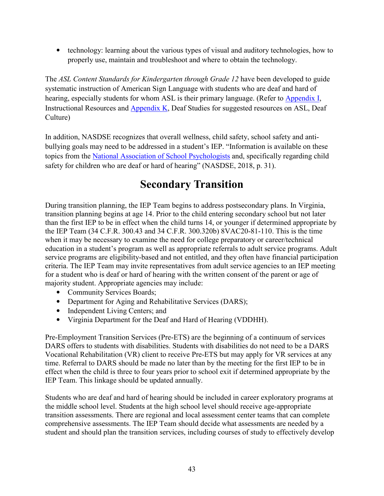• technology: learning about the various types of visual and auditory technologies, how to properly use, maintain and troubleshoot and where to obtain the technology.

The *ASL Content Standards for Kindergarten through Grade 12* have been developed to guide systematic instruction of American Sign Language with students who are deaf and hard of hearing, especially students for whom ASL is their primary language. (Refer to [Appendix I,](#page-94-0) Instructional Resources and [Appendix K,](#page-106-0) Deaf Studies for suggested resources on ASL, Deaf Culture)

In addition, NASDSE recognizes that overall wellness, child safety, school safety and antibullying goals may need to be addressed in a student's IEP. "Information is available on these topics from the [National Association of School Psychologists](http://www.nasponline.org/) and, specifically regarding child safety for children who are deaf or hard of hearing" (NASDSE, 2018, p. 31).

# **Secondary Transition**

During transition planning, the IEP Team begins to address postsecondary plans. In Virginia, transition planning begins at age 14. Prior to the child entering secondary school but not later than the first IEP to be in effect when the child turns 14, or younger if determined appropriate by the IEP Team (34 C.F.R. 300.43 and 34 C.F.R. 300.320b) 8VAC20-81-110. This is the time when it may be necessary to examine the need for college preparatory or career/technical education in a student's program as well as appropriate referrals to adult service programs. Adult service programs are eligibility-based and not entitled, and they often have financial participation criteria. The IEP Team may invite representatives from adult service agencies to an IEP meeting for a student who is deaf or hard of hearing with the written consent of the parent or age of majority student. Appropriate agencies may include:

- Community Services Boards;
- Department for Aging and Rehabilitative Services (DARS);
- Independent Living Centers; and
- Virginia Department for the Deaf and Hard of Hearing (VDDHH).

Pre-Employment Transition Services (Pre-ETS) are the beginning of a continuum of services DARS offers to students with disabilities. Students with disabilities do not need to be a DARS Vocational Rehabilitation (VR) client to receive Pre-ETS but may apply for VR services at any time. Referral to DARS should be made no later than by the meeting for the first IEP to be in effect when the child is three to four years prior to school exit if determined appropriate by the IEP Team. This linkage should be updated annually.

Students who are deaf and hard of hearing should be included in career exploratory programs at the middle school level. Students at the high school level should receive age-appropriate transition assessments. There are regional and local assessment center teams that can complete comprehensive assessments. The IEP Team should decide what assessments are needed by a student and should plan the transition services, including courses of study to effectively develop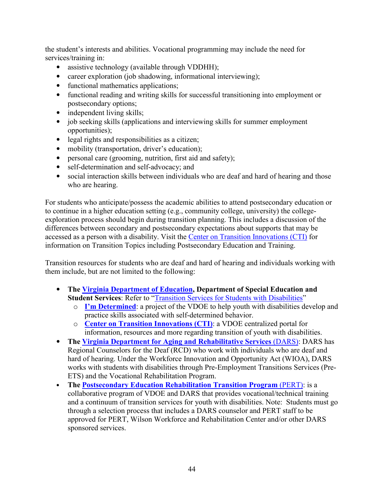the student's interests and abilities. Vocational programming may include the need for services/training in:

- assistive technology (available through VDDHH);
- career exploration (job shadowing, informational interviewing);
- functional mathematics applications;
- functional reading and writing skills for successful transitioning into employment or postsecondary options;
- independent living skills;
- job seeking skills (applications and interviewing skills for summer employment opportunities);
- legal rights and responsibilities as a citizen;
- mobility (transportation, driver's education);
- personal care (grooming, nutrition, first aid and safety);
- self-determination and self-advocacy; and
- social interaction skills between individuals who are deaf and hard of hearing and those who are hearing.

For students who anticipate/possess the academic abilities to attend postsecondary education or to continue in a higher education setting (e.g., community college, university) the collegeexploration process should begin during transition planning. This includes a discussion of the differences between secondary and postsecondary expectations about supports that may be accessed as a person with a disability. Visit the [Center on Transition Innovations \(CTI\)](https://centerontransition.org/) for information on Transition Topics including Postsecondary Education and Training.

Transition resources for students who are deaf and hard of hearing and individuals working with them include, but are not limited to the following:

- **The [Virginia Department of Education,](http://www.doe.virginia.gov/) Department of Special Education and Student Services**: Refer to ["Transition Services for Students with Disabilities"](http://www.doe.virginia.gov/special_ed/transition_svcs/index.shtml) 
	- o **[I'm Determined](http://www.imdetermined.org/)**: a project of the VDOE to help youth with disabilities develop and practice skills associated with self-determined behavior.
	- o **[Center on Transition Innovations \(CTI\)](https://centerontransition.org/)**: a VDOE centralized portal for information, resources and more regarding transition of youth with disabilities.
- **The [Virginia Department for Aging and Rehabilitative Services](https://www.vadars.org/drs/vr/)** (DARS): DARS has Regional Counselors for the Deaf (RCD) who work with individuals who are deaf and hard of hearing. Under the Workforce Innovation and Opportunity Act (WIOA), DARS works with students with disabilities through Pre-Employment Transitions Services (Pre-ETS) and the Vocational Rehabilitation Program.
- **The [Postsecondary Education Rehabilitation Transition Program](http://www.wwrc.virginia.gov/pert.htm)** (PERT): is a collaborative program of VDOE and DARS that provides vocational/technical training and a continuum of transition services for youth with disabilities. Note: Students must go through a selection process that includes a DARS counselor and PERT staff to be approved for PERT, Wilson Workforce and Rehabilitation Center and/or other DARS sponsored services.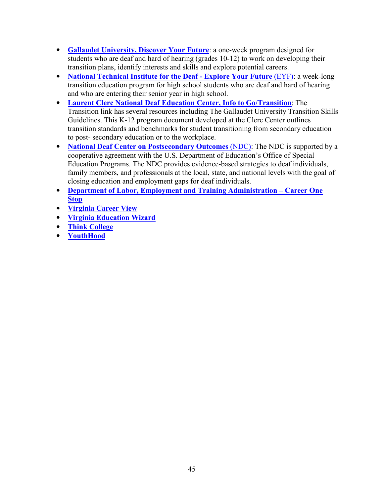- **[Gallaudet University, Discover Your Future](http://www.gallaudet.edu/youth-programs/summer-youth-camps/discover-your-future)**: a one-week program designed for students who are deaf and hard of hearing (grades 10-12) to work on developing their transition plans, identify interests and skills and explore potential careers.
- **National Technical Institute for the Deaf Explore Your Future** *(EYF)*: a week-long transition education program for high school students who are deaf and hard of hearing and who are entering their senior year in high school.
- **[Laurent Clerc National Deaf Education Center, Info to Go/Transition](http://www3.gallaudet.edu/clerc-center/info-to-go/transition.html)**: The Transition link has several resources including The Gallaudet University Transition Skills Guidelines. This K-12 program document developed at the Clerc Center outlines transition standards and benchmarks for student transitioning from secondary education to post- secondary education or to the workplace.
- **National Deaf Center on Postsecondary Outcomes** (NDC): The NDC is supported by a cooperative agreement with the U.S. Department of Education's Office of Special Education Programs. The NDC provides evidence-based strategies to deaf individuals, family members, and professionals at the local, state, and national levels with the goal of closing education and employment gaps for deaf individuals.
- **[Department of Labor, Employment and Training Administration –](http://www.careeronestop.org/studentsandcareeradvisors/studentsandcareeradvisors.aspx) Career One [Stop](http://www.careeronestop.org/studentsandcareeradvisors/studentsandcareeradvisors.aspx)**
- **[Virginia Career View](http://www.vaview.vt.edu/index)**
- **[Virginia Education Wizard](http://www.vawizard.org/)**
- **[Think College](http://www.thinkcollege.net/)**
- **[YouthHood](http://youthhood/)**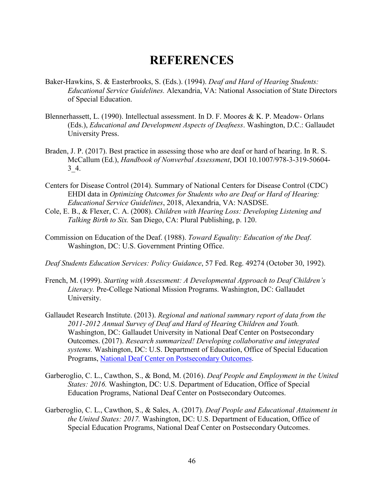# **REFERENCES**

- Baker-Hawkins, S. & Easterbrooks, S. (Eds.). (1994). *Deaf and Hard of Hearing Students: Educational Service Guidelines.* Alexandria, VA: National Association of State Directors of Special Education.
- Blennerhassett, L. (1990). Intellectual assessment. In D. F. Moores & K. P. Meadow- Orlans (Eds.), *Educational and Development Aspects of Deafness*. Washington, D.C.: Gallaudet University Press.
- Braden, J. P. (2017). Best practice in assessing those who are deaf or hard of hearing. In R. S. McCallum (Ed.), *Handbook of Nonverbal Assessment*, DOI 10.1007/978-3-319-50604- 3\_4.
- Centers for Disease Control (2014). Summary of National Centers for Disease Control (CDC) EHDI data in *Optimizing Outcomes for Students who are Deaf or Hard of Hearing: Educational Service Guidelines*, 2018, Alexandria, VA: NASDSE.
- Cole, E. B., & Flexer, C. A. (2008). *Children with Hearing Loss: Developing Listening and Talking Birth to Six.* San Diego, CA: Plural Publishing, p. 120.
- Commission on Education of the Deaf. (1988). *Toward Equality: Education of the Deaf*. Washington, DC: U.S. Government Printing Office.
- *Deaf Students Education Services: Policy Guidance*, 57 Fed. Reg. 49274 (October 30, 1992).
- French, M. (1999). *Starting with Assessment: A Developmental Approach to Deaf Children's Literacy.* Pre-College National Mission Programs. Washington, DC: Gallaudet University.
- Gallaudet Research Institute. (2013). *Regional and national summary report of data from the 2011-2012 Annual Survey of Deaf and Hard of Hearing Children and Youth.*  Washington, DC: Gallaudet University in National Deaf Center on Postsecondary Outcomes. (2017). *Research summarized! Developing collaborative and integrated systems.* Washington, DC: U.S. Department of Education, Office of Special Education Programs, [National Deaf Center on Postsecondary Outcomes.](http://www.nationaldeafcenter.org/)
- Garberoglio, C. L., Cawthon, S., & Bond, M. (2016). *Deaf People and Employment in the United States: 2016.* Washington, DC: U.S. Department of Education, Office of Special Education Programs, National Deaf Center on Postsecondary Outcomes.
- Garberoglio, C. L., Cawthon, S., & Sales, A. (2017). *Deaf People and Educational Attainment in the United States: 2017.* Washington, DC: U.S. Department of Education, Office of Special Education Programs, National Deaf Center on Postsecondary Outcomes.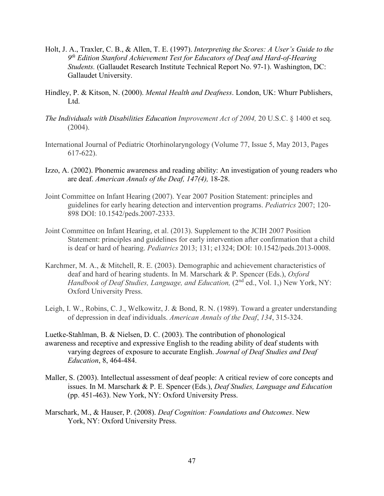- Holt, J. A., Traxler, C. B., & Allen, T. E. (1997). *Interpreting the Scores: A User's Guide to the 9 th Edition Stanford Achievement Test for Educators of Deaf and Hard-of-Hearing Students.* (Gallaudet Research Institute Technical Report No. 97-1). Washington, DC: Gallaudet University.
- Hindley, P. & Kitson, N. (2000). *Mental Health and Deafness*. London, UK: Whurr Publishers, Ltd.
- *The Individuals with Disabilities Education Improvement Act of 2004,* 20 U.S.C. § 1400 et seq.  $(2004)$ .
- International Journal of Pediatric Otorhinolaryngology [\(Volume 77, Issue 5,](http://www.sciencedirect.com/science/journal/01655876/77/5) May 2013, Pages 617-622).
- Izzo, A. (2002). Phonemic awareness and reading ability: An investigation of young readers who are deaf. *American Annals of the Deaf, 147(4),* 18-28.
- Joint Committee on Infant Hearing (2007). Year 2007 Position Statement: principles and guidelines for early hearing detection and intervention programs. *Pediatrics* 2007; 120- 898 DOI: 10.1542/peds.2007-2333.
- Joint Committee on Infant Hearing, et al. (2013). Supplement to the JCIH 2007 Position Statement: principles and guidelines for early intervention after confirmation that a child is deaf or hard of hearing. *Pediatrics* 2013; 131; e1324; DOI: 10.1542/peds.2013-0008.
- Karchmer, M. A., & Mitchell, R. E. (2003). Demographic and achievement characteristics of deaf and hard of hearing students. In M. Marschark & P. Spencer (Eds.), *Oxford Handbook of Deaf Studies, Language, and Education,* (2<sup>nd</sup> ed., Vol. 1,) New York, NY: Oxford University Press.
- Leigh, I. W., Robins, C. J., Welkowitz, J. & Bond, R. N. (1989). Toward a greater understanding of depression in deaf individuals. *American Annals of the Deaf*, *134*, 315-324.

Luetke-Stahlman, B. & Nielsen, D. C. (2003). The contribution of phonological awareness and receptive and expressive English to the reading ability of deaf students with varying degrees of exposure to accurate English. *Journal of Deaf Studies and Deaf Education*, 8, 464-484.

- Maller, S. (2003). Intellectual assessment of deaf people: A critical review of core concepts and issues. In M. Marschark & P. E. Spencer (Eds.), *Deaf Studies, Language and Education* (pp. 451-463). New York, NY: Oxford University Press.
- Marschark, M., & Hauser, P. (2008). *Deaf Cognition: Foundations and Outcomes*. New York, NY: Oxford University Press.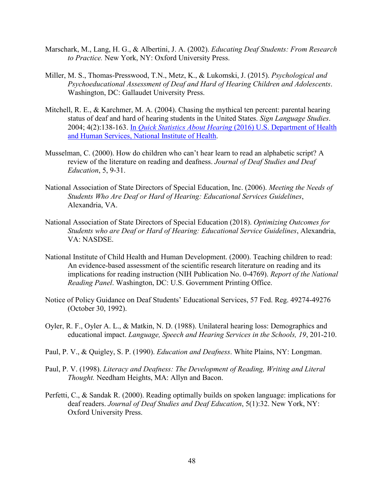- Marschark, M., Lang, H. G., & Albertini, J. A. (2002). *Educating Deaf Students: From Research to Practice.* New York, NY: Oxford University Press.
- Miller, M. S., Thomas-Presswood, T.N., Metz, K., & Lukomski, J. (2015). *Psychological and Psychoeducational Assessment of Deaf and Hard of Hearing Children and Adolescents*. Washington, DC: Gallaudet University Press.
- Mitchell, R. E., & Karchmer, M. A. (2004). Chasing the mythical ten percent: parental hearing status of deaf and hard of hearing students in the United States. *Sign Language Studies*. 2004; 4(2):138-163. In *Quick Statistics About Hearing* [\(2016\) U.S. Department of Health](https://www.nidcd.nih.gov/health/statistics/quick-statistics-hearing#pdf)  [and Human Services, National Institute of Health.](https://www.nidcd.nih.gov/health/statistics/quick-statistics-hearing#pdf)
- Musselman, C. (2000). How do children who can't hear learn to read an alphabetic script? A review of the literature on reading and deafness. *Journal of Deaf Studies and Deaf Education*, 5, 9-31.
- National Association of State Directors of Special Education, Inc. (2006). *Meeting the Needs of Students Who Are Deaf or Hard of Hearing: Educational Services Guidelines*, Alexandria, VA.
- National Association of State Directors of Special Education (2018). *Optimizing Outcomes for Students who are Deaf or Hard of Hearing: Educational Service Guidelines*, Alexandria, VA: NASDSE.
- National Institute of Child Health and Human Development. (2000). Teaching children to read: An evidence-based assessment of the scientific research literature on reading and its implications for reading instruction (NIH Publication No. 0-4769). *Report of the National Reading Panel*. Washington, DC: U.S. Government Printing Office.
- Notice of Policy Guidance on Deaf Students' Educational Services, 57 Fed. Reg. 49274-49276 (October 30, 1992).
- Oyler, R. F., Oyler A. L., & Matkin, N. D. (1988). Unilateral hearing loss: Demographics and educational impact. *Language, Speech and Hearing Services in the Schools, 19*, 201-210.
- Paul, P. V., & Quigley, S. P. (1990). *Education and Deafness*. White Plains, NY: Longman.
- Paul, P. V. (1998). *Literacy and Deafness: The Development of Reading, Writing and Literal Thought.* Needham Heights, MA: Allyn and Bacon.
- Perfetti, C., & Sandak R. (2000). Reading optimally builds on spoken language: implications for deaf readers. *Journal of Deaf Studies and Deaf Education*, 5(1):32. New York, NY: Oxford University Press.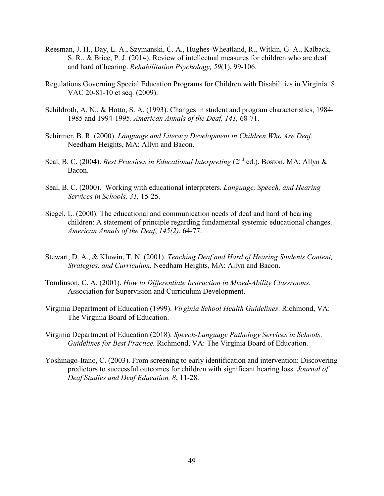- Reesman, J. H., Day, L. A., Szymanski, C. A., Hughes-Wheatland, R., Witkin, G. A., Kalback, S. R., & Brice, P. J. (2014). Review of intellectual measures for children who are deaf and hard of hearing. *Rehabilitation Psychology, 59*(1), 99-106.
- Regulations Governing Special Education Programs for Children with Disabilities in Virginia. 8 VAC 20-81-10 et seq. (2009).
- Schildroth, A. N., & Hotto, S. A. (1993). Changes in student and program characteristics, 1984- 1985 and 1994-1995. *American Annals of the Deaf, 141,* 68-71.
- Schirmer, B. R. (2000). *Language and Literacy Development in Children Who Are Deaf*. Needham Heights, MA: Allyn and Bacon.
- Seal, B. C. (2004). *Best Practices in Educational Interpreting* (2<sup>nd</sup> ed.). Boston, MA: Allyn & Bacon.
- Seal, B. C. (2000). Working with educational interpreters. *Language, Speech, and Hearing Services in Schools, 31,* 15-25.
- Siegel, L. (2000). The educational and communication needs of deaf and hard of hearing children: A statement of principle regarding fundamental systemic educational changes. *American Annals of the Deaf*, *145(2)*. 64-77.
- Stewart, D. A., & Kluwin, T. N. (2001). *Teaching Deaf and Hard of Hearing Students Content, Strategies, and Curriculum.* Needham Heights, MA: Allyn and Bacon.
- Tomlinson, C. A. (2001). *How to Differentiate Instruction in Mixed-Ability Classrooms*. Association for Supervision and Curriculum Development.
- Virginia Department of Education (1999). *Virginia School Health Guidelines*. Richmond, VA: The Virginia Board of Education.
- Virginia Department of Education (2018). *Speech-Language Pathology Services in Schools: Guidelines for Best Practice.* Richmond, VA: The Virginia Board of Education.
- Yoshinago-Itano, C. (2003). From screening to early identification and intervention: Discovering predictors to successful outcomes for children with significant hearing loss. *Journal of Deaf Studies and Deaf Education, 8*, 11-28.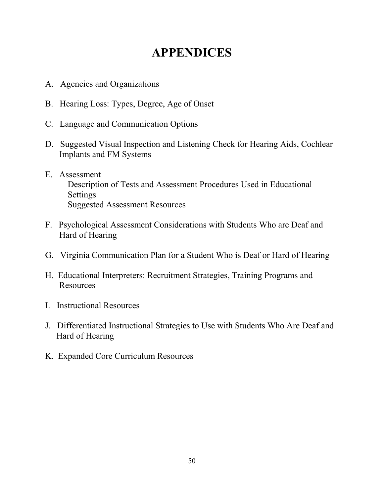# **APPENDICES**

- A. Agencies and Organizations
- B. Hearing Loss: Types, Degree, Age of Onset
- C. Language and Communication Options
- D. Suggested Visual Inspection and Listening Check for Hearing Aids, Cochlear Implants and FM Systems
- E. Assessment Description of Tests and Assessment Procedures Used in Educational Settings Suggested Assessment Resources
- F. Psychological Assessment Considerations with Students Who are Deaf and Hard of Hearing
- G. Virginia Communication Plan for a Student Who is Deaf or Hard of Hearing
- H. Educational Interpreters: Recruitment Strategies, Training Programs and Resources
- I. Instructional Resources
- J. Differentiated Instructional Strategies to Use with Students Who Are Deaf and Hard of Hearing
- K. Expanded Core Curriculum Resources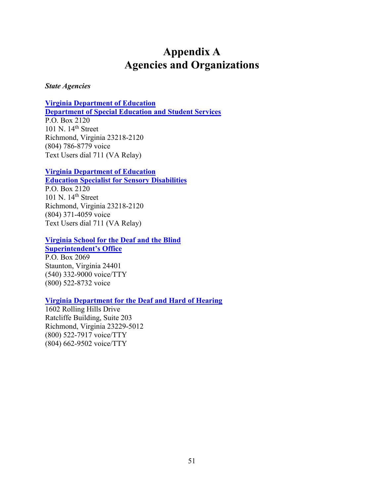## **Appendix A Agencies and Organizations**

#### <span id="page-58-0"></span>*State Agencies*

#### **[Virginia Department of Education](http://www.doe.virginia.gov/)**

**[Department of Special Education and Student Services](http://www.doe.virginia.gov/special_ed/index.shtml)** P.O. Box 2120 101 N. 14th Street Richmond, Virginia 23218-2120 (804) 786-8779 voice Text Users dial 711 (VA Relay)

## **[Virginia Department of Education](http://www.doe.virginia.gov/)**

**[Education Specialist for Sensory Disabilities](http://www.doe.virginia.gov/)**

P.O. Box 2120 101 N. 14th Street Richmond, Virginia 23218-2120 (804) 371-4059 voice Text Users dial 711 (VA Relay)

#### **[Virginia School for the Deaf and the Blind](http://vsdb.k12.va.us/) [Superintendent's Office](http://vsdb.k12.va.us/)**

P.O. Box 2069 Staunton, Virginia 24401 (540) 332-9000 voice/TTY (800) 522-8732 voice

## **[Virginia Department for the Deaf and Hard of Hearing](http://vsdb.k12.va.us/)**

1602 Rolling Hills Drive Ratcliffe Building, Suite 203 Richmond, Virginia 23229-5012 (800) 522-7917 voice/TTY (804) 662-9502 voice/TTY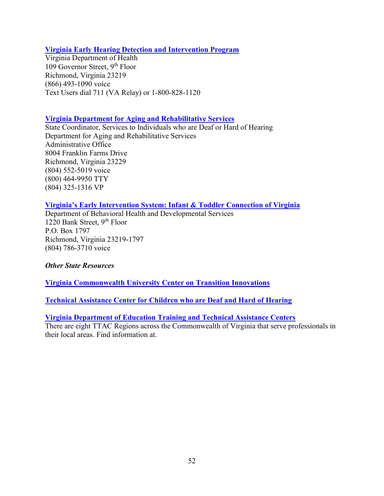#### **[Virginia Early Hearing Detection and Intervention Program](http://www.newbornhearingtestva.com/)**

Virginia Department of Health 109 Governor Street, 9th Floor Richmond, Virginia 23219 (866) 493-1090 voice Text Users dial 711 (VA Relay) or 1-800-828-1120

#### **[Virginia Department for Aging and Rehabilitative Services](http://www.vadars.org/)**

State Coordinator, Services to Individuals who are Deaf or Hard of Hearing Department for Aging and Rehabilitative Services Administrative Office 8004 Franklin Farms Drive Richmond, Virginia 23229 (804) 552-5019 voice (800) 464-9950 TTY (804) 325-1316 VP

#### **[Virginia's Early Intervention System: Infant & Toddler Connection of Virginia](http://www.infantva.org/)**

Department of Behavioral Health and Developmental Services 1220 Bank Street, 9th Floor P.O. Box 1797 Richmond, Virginia 23219-1797 (804) 786-3710 voice

#### *Other State Resources*

**[Virginia Commonwealth University Center on Transition Innovations](https://centerontransition.org/)** 

**[Technical Assistance Center for Children who are Deaf and Hard of Hearing](http://www.partnership.vcu.edu/)**

#### **[Virginia Department of Education Training and Technical Assistance Centers](http://www.ttaconline.org/)**

There are eight TTAC Regions across the Commonwealth of Virginia that serve professionals in their local areas. Find information at.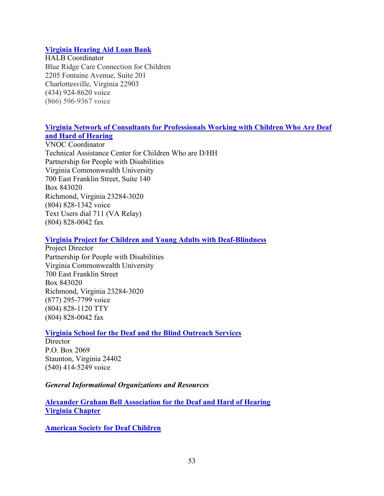#### **[Virginia Hearing Aid Loan Bank](http://www.vdh.virginia.gov/early-hearing-detection-and-intervention/virginia-hearing-aid-loan-bank)**

HALB Coordinator Blue Ridge Care Connection for Children 2205 Fontaine Avenue, Suite 201 Charlottesville, Virginia 22903 (434) 924-8620 voice (866) 596-9367 voice

## **[Virginia Network of Consultants for Professionals Working with Children Who Are Deaf](http://www.vcu.edu/partnership/VNOC)  [and Hard of Hearing](http://www.vcu.edu/partnership/VNOC)**

VNOC Coordinator Technical Assistance Center for Children Who are D/HH Partnership for People with Disabilities Virginia Commonwealth University 700 East Franklin Street, Suite 140 Box 843020 Richmond, Virginia 23284-3020 (804) 828-1342 voice Text Users dial 711 (VA Relay) (804) 828-0042 fax

#### **[Virginia Project for Children and Young Adults with Deaf-Blindness](https://partnership.vcu.edu/programs/education/vadbp/)**

Project Director Partnership for People with Disabilities Virginia Commonwealth University 700 East Franklin Street Box 843020 Richmond, Virginia 23284-3020 (877) 295-7799 voice (804) 828-1120 TTY (804) 828-0042 fax

## **[Virginia School for the Deaf and the Blind Outreach Services](http://www.vsdb.k12.va.us/vsdb/outreach)**

**Director** P.O. Box 2069 Staunton, Virginia 24402 (540) 414-5249 voice

#### *General Informational Organizations and Resources*

**[Alexander Graham Bell Association for the Deaf and Hard of Hearing](http://www.agbell.org/) [Virginia Chapter](mailto:vaagbell@gmail.com)**

**[American Society for Deaf Children](http://deafchildren.org/)**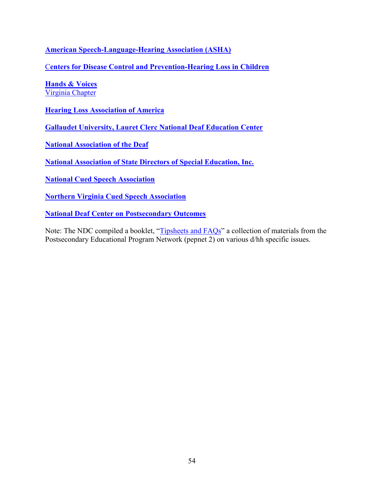**[American Speech-Language-Hearing Association \(ASHA\)](https://www.asha.org/)**

C**[enters for Disease Control and Prevention-Hearing Loss in Children](http://www.cdc.gov/ncbddd/hearingloss/index.html)**

**[Hands & Voices](http://www.handsandvoices.org/)** [Virginia Chapter](mailto:vahandsandvoices@gmail.com)

**[Hearing Loss Association of America](http://www.hearingloss.org/)**

**[Gallaudet University, Lauret Clerc National Deaf Education Center](http://www3.gallaudet.edu/clerc-center.html)** 

**[National Association of the Deaf](https://www.nad.org/)**

**[National Association of State Directors of Special Education, Inc.](http://www.nasdse.org/)** 

**[National Cued Speech Association](http://www.cuedspeech.org/)**

**[Northern Virginia Cued Speech Association](http://www.nvcsa.org/)**

**[National Deaf Center on Postsecondary Outcomes](https://www.nationaldeafcenter.org/)**

Note: The NDC compiled a booklet, "[Tipsheets and FAQs"](https://www.nationaldeafcenter.org/sites/default/files/TipsheetsFAQs.pdf) a collection of materials from the Postsecondary Educational Program Network (pepnet 2) on various d/hh specific issues.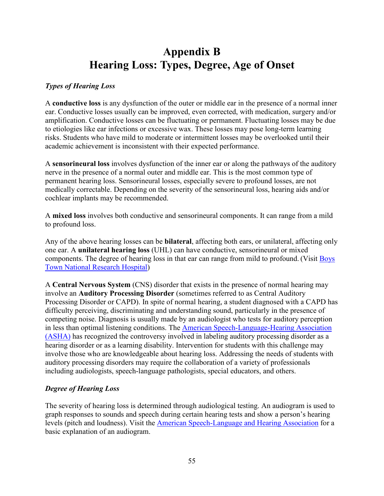## **Appendix B Hearing Loss: Types, Degree, Age of Onset**

## *Types of Hearing Loss*

A **conductive loss** is any dysfunction of the outer or middle ear in the presence of a normal inner ear. Conductive losses usually can be improved, even corrected, with medication, surgery and/or amplification. Conductive losses can be fluctuating or permanent. Fluctuating losses may be due to etiologies like ear infections or excessive wax. These losses may pose long-term learning risks. Students who have mild to moderate or intermittent losses may be overlooked until their academic achievement is inconsistent with their expected performance.

A **sensorineural loss** involves dysfunction of the inner ear or along the pathways of the auditory nerve in the presence of a normal outer and middle ear. This is the most common type of permanent hearing loss. Sensorineural losses, especially severe to profound losses, are not medically correctable. Depending on the severity of the sensorineural loss, hearing aids and/or cochlear implants may be recommended.

A **mixed loss** involves both conductive and sensorineural components. It can range from a mild to profound loss.

Any of the above hearing losses can be **bilateral**, affecting both ears, or unilateral, affecting only one ear. A **unilateral hearing loss** (UHL) can have conductive, sensorineural or mixed components. The degree of hearing loss in that ear can range from mild to profound. (Visit [Boys](https://www.boystownhospital.org/knowledge-center/degrees-hearing-loss) [Town National Research Hospital\)](https://www.boystownhospital.org/knowledge-center/degrees-hearing-loss)

A **Central Nervous System** (CNS) disorder that exists in the presence of normal hearing may involve an **Auditory Processing Disorder** (sometimes referred to as Central Auditory Processing Disorder or CAPD). In spite of normal hearing, a student diagnosed with a CAPD has difficulty perceiving, discriminating and understanding sound, particularly in the presence of competing noise. Diagnosis is usually made by an audiologist who tests for auditory perception in less than optimal listening conditions. The [American Speech-Language-Hearing Association](http://www.asha.org/)  [\(ASHA\)](http://www.asha.org/) has recognized the controversy involved in labeling auditory processing disorder as a hearing disorder or as a learning disability. Intervention for students with this challenge may involve those who are knowledgeable about hearing loss. Addressing the needs of students with auditory processing disorders may require the collaboration of a variety of professionals including audiologists, speech-language pathologists, special educators, and others.

## *Degree of Hearing Loss*

The severity of hearing loss is determined through audiological testing. An audiogram is used to graph responses to sounds and speech during certain hearing tests and show a person's hearing levels (pitch and loudness). Visit the [American Speech-Language and Hearing Association](https://www.asha.org/public/hearing/audiogram) for a basic explanation of an audiogram.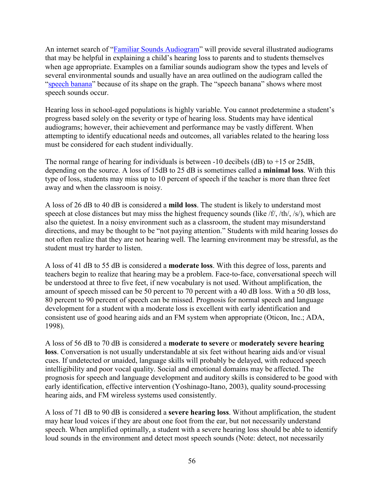An internet search of "[Familiar Sounds Audiogram](https://www.google.com/search?q=familiar+sounds+audiogram&rlz=1C1GCEA_enUS780US780&oq=familiar+sounds+audiogram&aqs=chrome.0.69i59j0l3.5221j0j8&sourceid=chrome&ie=UTF-8)" will provide several illustrated audiograms that may be helpful in explaining a child's hearing loss to parents and to students themselves when age appropriate. Examples on a familiar sounds audiogram show the types and levels of several environmental sounds and usually have an area outlined on the audiogram called the ["speech banana"](https://www.jtc.org/wp-content/uploads/2015/11/Audiogram_What_Does_Child_Hear.pdf) because of its shape on the graph. The "speech banana" shows where most speech sounds occur.

Hearing loss in school-aged populations is highly variable. You cannot predetermine a student's progress based solely on the severity or type of hearing loss. Students may have identical audiograms; however, their achievement and performance may be vastly different. When attempting to identify educational needs and outcomes, all variables related to the hearing loss must be considered for each student individually.

The normal range of hearing for individuals is between -10 decibels (dB) to +15 or 25dB, depending on the source. A loss of 15dB to 25 dB is sometimes called a **minimal loss**. With this type of loss, students may miss up to 10 percent of speech if the teacher is more than three feet away and when the classroom is noisy.

A loss of 26 dB to 40 dB is considered a **mild loss**. The student is likely to understand most speech at close distances but may miss the highest frequency sounds (like /f/, /th/, /s/), which are also the quietest. In a noisy environment such as a classroom, the student may misunderstand directions, and may be thought to be "not paying attention." Students with mild hearing losses do not often realize that they are not hearing well. The learning environment may be stressful, as the student must try harder to listen.

A loss of 41 dB to 55 dB is considered a **moderate loss**. With this degree of loss, parents and teachers begin to realize that hearing may be a problem. Face-to-face, conversational speech will be understood at three to five feet, if new vocabulary is not used. Without amplification, the amount of speech missed can be 50 percent to 70 percent with a 40 dB loss. With a 50 dB loss, 80 percent to 90 percent of speech can be missed. Prognosis for normal speech and language development for a student with a moderate loss is excellent with early identification and consistent use of good hearing aids and an FM system when appropriate (Oticon, Inc.; ADA, 1998).

A loss of 56 dB to 70 dB is considered a **moderate to severe** or **moderately severe hearing loss**. Conversation is not usually understandable at six feet without hearing aids and/or visual cues. If undetected or unaided, language skills will probably be delayed, with reduced speech intelligibility and poor vocal quality. Social and emotional domains may be affected. The prognosis for speech and language development and auditory skills is considered to be good with early identification, effective intervention (Yoshinago-Itano, 2003), quality sound-processing hearing aids, and FM wireless systems used consistently.

A loss of 71 dB to 90 dB is considered a **severe hearing loss**. Without amplification, the student may hear loud voices if they are about one foot from the ear, but not necessarily understand speech. When amplified optimally, a student with a severe hearing loss should be able to identify loud sounds in the environment and detect most speech sounds (Note: detect, not necessarily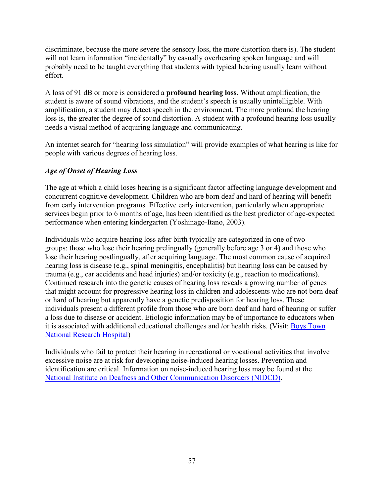discriminate, because the more severe the sensory loss, the more distortion there is). The student will not learn information "incidentally" by casually overhearing spoken language and will probably need to be taught everything that students with typical hearing usually learn without effort.

A loss of 91 dB or more is considered a **profound hearing loss**. Without amplification, the student is aware of sound vibrations, and the student's speech is usually unintelligible. With amplification, a student may detect speech in the environment. The more profound the hearing loss is, the greater the degree of sound distortion. A student with a profound hearing loss usually needs a visual method of acquiring language and communicating.

An internet search for "hearing loss simulation" will provide examples of what hearing is like for people with various degrees of hearing loss.

## *Age of Onset of Hearing Loss*

The age at which a child loses hearing is a significant factor affecting language development and concurrent cognitive development. Children who are born deaf and hard of hearing will benefit from early intervention programs. Effective early intervention, particularly when appropriate services begin prior to 6 months of age, has been identified as the best predictor of age-expected performance when entering kindergarten (Yoshinago-Itano, 2003).

Individuals who acquire hearing loss after birth typically are categorized in one of two groups: those who lose their hearing prelingually (generally before age 3 or 4) and those who lose their hearing postlingually, after acquiring language. The most common cause of acquired hearing loss is disease (e.g., spinal meningitis, encephalitis) but hearing loss can be caused by trauma (e.g., car accidents and head injuries) and/or toxicity (e.g., reaction to medications). Continued research into the genetic causes of hearing loss reveals a growing number of genes that might account for progressive hearing loss in children and adolescents who are not born deaf or hard of hearing but apparently have a genetic predisposition for hearing loss. These individuals present a different profile from those who are born deaf and hard of hearing or suffer a loss due to disease or accident. Etiologic information may be of importance to educators when it is associated with additional educational challenges and /or health risks. (Visit: [Boys Town](https://www.boystownhospital.org/research/hearing-speech-perception)  [National Research Hospital](https://www.boystownhospital.org/research/hearing-speech-perception))

Individuals who fail to protect their hearing in recreational or vocational activities that involve excessive noise are at risk for developing noise-induced hearing losses. Prevention and identification are critical. Information on noise-induced hearing loss may be found at the [National Institute on Deafness and Other Communication Disorders \(NIDCD\).](https://www.nidcd.nih.gov/)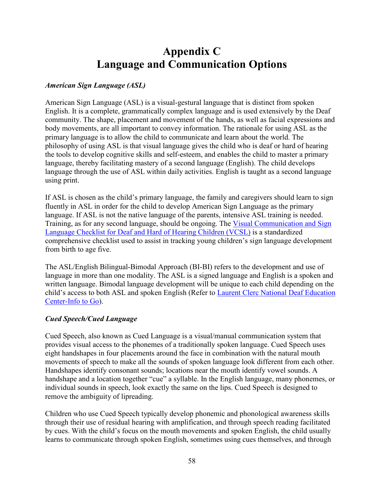## **Appendix C Language and Communication Options**

## *American Sign Language (ASL)*

American Sign Language (ASL) is a visual-gestural language that is distinct from spoken English. It is a complete, grammatically complex language and is used extensively by the Deaf community. The shape, placement and movement of the hands, as well as facial expressions and body movements, are all important to convey information. The rationale for using ASL as the primary language is to allow the child to communicate and learn about the world. The philosophy of using ASL is that visual language gives the child who is deaf or hard of hearing the tools to develop cognitive skills and self-esteem, and enables the child to master a primary language, thereby facilitating mastery of a second language (English). The child develops language through the use of ASL within daily activities. English is taught as a second language using print.

If ASL is chosen as the child's primary language, the family and caregivers should learn to sign fluently in ASL in order for the child to develop American Sign Language as the primary language. If ASL is not the native language of the parents, intensive ASL training is needed. Training, as for any second language, should be ongoing. The [Visual Communication and Sign](http://vl2.gallaudet.edu/resources/vcsl)  [Language Checklist for Deaf and Hard of Hearing Children \(VCSL\)](http://vl2.gallaudet.edu/resources/vcsl) is a standardized comprehensive checklist used to assist in tracking young children's sign language development from birth to age five.

The ASL/English Bilingual-Bimodal Approach (BI-BI) refers to the development and use of language in more than one modality. The ASL is a signed language and English is a spoken and written language. Bimodal language development will be unique to each child depending on the child's access to both ASL and spoken English (Refer to [Laurent Clerc National Deaf Education](http://www3.gallaudet.edu/clerc-center/info-to-go/language-and-communication.html)  [Center-Info to Go\)](http://www3.gallaudet.edu/clerc-center/info-to-go/language-and-communication.html).

## *Cued Speech/Cued Language*

Cued Speech, also known as Cued Language is a visual/manual communication system that provides visual access to the phonemes of a traditionally spoken language. Cued Speech uses eight handshapes in four placements around the face in combination with the natural mouth movements of speech to make all the sounds of spoken language look different from each other. Handshapes identify consonant sounds; locations near the mouth identify vowel sounds. A handshape and a location together "cue" a syllable. In the English language, many phonemes, or individual sounds in speech, look exactly the same on the lips. Cued Speech is designed to remove the ambiguity of lipreading.

Children who use Cued Speech typically develop phonemic and phonological awareness skills through their use of residual hearing with amplification, and through speech reading facilitated by cues. With the child's focus on the mouth movements and spoken English, the child usually learns to communicate through spoken English, sometimes using cues themselves, and through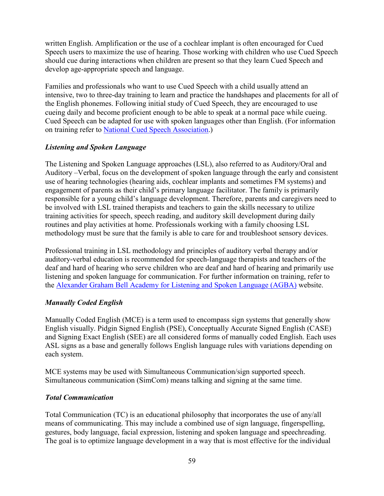written English. Amplification or the use of a cochlear implant is often encouraged for Cued Speech users to maximize the use of hearing. Those working with children who use Cued Speech should cue during interactions when children are present so that they learn Cued Speech and develop age-appropriate speech and language.

Families and professionals who want to use Cued Speech with a child usually attend an intensive, two to three-day training to learn and practice the handshapes and placements for all of the English phonemes. Following initial study of Cued Speech, they are encouraged to use cueing daily and become proficient enough to be able to speak at a normal pace while cueing. Cued Speech can be adapted for use with spoken languages other than English. (For information on training refer to [National Cued Speech Association.](http://www.cuedspeech.org/))

## *Listening and Spoken Language*

The Listening and Spoken Language approaches (LSL), also referred to as Auditory/Oral and Auditory –Verbal, focus on the development of spoken language through the early and consistent use of hearing technologies (hearing aids, cochlear implants and sometimes FM systems) and engagement of parents as their child's primary language facilitator. The family is primarily responsible for a young child's language development. Therefore, parents and caregivers need to be involved with LSL trained therapists and teachers to gain the skills necessary to utilize training activities for speech, speech reading, and auditory skill development during daily routines and play activities at home. Professionals working with a family choosing LSL methodology must be sure that the family is able to care for and troubleshoot sensory devices.

Professional training in LSL methodology and principles of auditory verbal therapy and/or auditory-verbal education is recommended for speech-language therapists and teachers of the deaf and hard of hearing who serve children who are deaf and hard of hearing and primarily use listening and spoken language for communication. For further information on training, refer to the [Alexander Graham Bell Academy for Listening and Spoken Language \(AGBA\)](http://www.agbell.org/) website.

## *Manually Coded English*

Manually Coded English (MCE) is a term used to encompass sign systems that generally show English visually. Pidgin Signed English (PSE), Conceptually Accurate Signed English (CASE) and Signing Exact English (SEE) are all considered forms of manually coded English. Each uses ASL signs as a base and generally follows English language rules with variations depending on each system.

MCE systems may be used with Simultaneous Communication/sign supported speech. Simultaneous communication (SimCom) means talking and signing at the same time.

## *Total Communication*

Total Communication (TC) is an educational philosophy that incorporates the use of any/all means of communicating. This may include a combined use of sign language, fingerspelling, gestures, body language, facial expression, listening and spoken language and speechreading. The goal is to optimize language development in a way that is most effective for the individual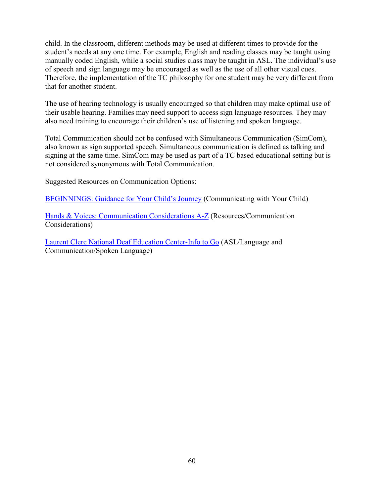child. In the classroom, different methods may be used at different times to provide for the student's needs at any one time. For example, English and reading classes may be taught using manually coded English, while a social studies class may be taught in ASL. The individual's use of speech and sign language may be encouraged as well as the use of all other visual cues. Therefore, the implementation of the TC philosophy for one student may be very different from that for another student.

The use of hearing technology is usually encouraged so that children may make optimal use of their usable hearing. Families may need support to access sign language resources. They may also need training to encourage their children's use of listening and spoken language.

Total Communication should not be confused with Simultaneous Communication (SimCom), also known as sign supported speech. Simultaneous communication is defined as talking and signing at the same time. SimCom may be used as part of a TC based educational setting but is not considered synonymous with Total Communication.

Suggested Resources on Communication Options:

[BEGINNINGS: Guidance for Your Child's Journey](http://www.ncbegin.org/) (Communicating with Your Child)

[Hands & Voices: Communication Considerations A-Z](http://www.handsandvoices.org/) (Resources/Communication Considerations)

[Laurent Clerc National Deaf Education Center-Info to Go](http://www3.gallaudet.edu/clerc-center/info-to-go) (ASL/Language and Communication/Spoken Language)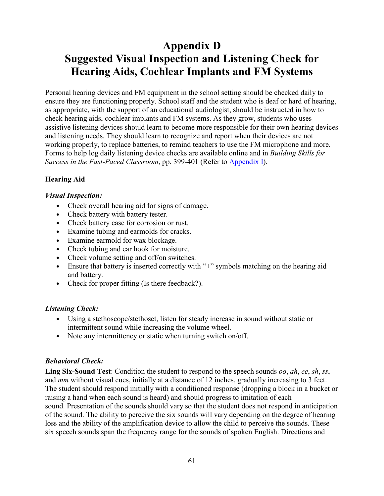# <span id="page-68-0"></span>**Appendix D Suggested Visual Inspection and Listening Check for Hearing Aids, Cochlear Implants and FM Systems**

Personal hearing devices and FM equipment in the school setting should be checked daily to ensure they are functioning properly. School staff and the student who is deaf or hard of hearing, as appropriate, with the support of an educational audiologist, should be instructed in how to check hearing aids, cochlear implants and FM systems. As they grow, students who uses assistive listening devices should learn to become more responsible for their own hearing devices and listening needs. They should learn to recognize and report when their devices are not working properly, to replace batteries, to remind teachers to use the FM microphone and more. Forms to help log daily listening device checks are available online and in *Building Skills for Success in the Fast-Paced Classroom*, pp. 399-401 (Refer to [Appendix I\)](#page-94-0).

## **Hearing Aid**

#### *Visual Inspection:*

- Check overall hearing aid for signs of damage.
- Check battery with battery tester.
- Check battery case for corrosion or rust.
- Examine tubing and earmolds for cracks.
- Examine earmold for wax blockage.
- Check tubing and ear hook for moisture.
- Check volume setting and off/on switches.
- Ensure that battery is inserted correctly with "+" symbols matching on the hearing aid and battery.
- Check for proper fitting (Is there feedback?).

## *Listening Check:*

- Using a stethoscope/stethoset, listen for steady increase in sound without static or intermittent sound while increasing the volume wheel.
- Note any intermittency or static when turning switch on/off.

## *Behavioral Check:*

**Ling Six-Sound Test**: Condition the student to respond to the speech sounds *oo*, *ah*, *ee*, *sh*, *ss*, and *mm* without visual cues, initially at a distance of 12 inches, gradually increasing to 3 feet. The student should respond initially with a conditioned response (dropping a block in a bucket or raising a hand when each sound is heard) and should progress to imitation of each sound. Presentation of the sounds should vary so that the student does not respond in anticipation of the sound. The ability to perceive the six sounds will vary depending on the degree of hearing loss and the ability of the amplification device to allow the child to perceive the sounds. These six speech sounds span the frequency range for the sounds of spoken English. Directions and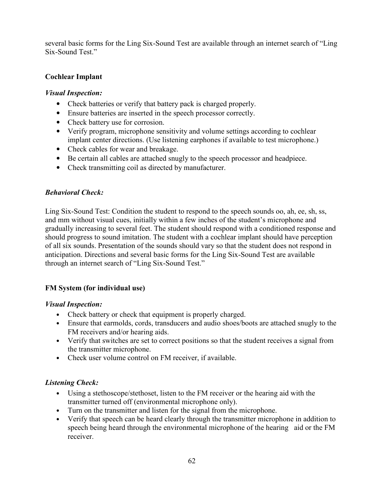several basic forms for the Ling Six-Sound Test are available through an internet search of "Ling Six-Sound Test."

## **Cochlear Implant**

## *Visual Inspection:*

- Check batteries or verify that battery pack is charged properly.
- Ensure batteries are inserted in the speech processor correctly.
- Check battery use for corrosion.
- Verify program, microphone sensitivity and volume settings according to cochlear implant center directions. (Use listening earphones if available to test microphone.)
- Check cables for wear and breakage.
- Be certain all cables are attached snugly to the speech processor and headpiece.
- Check transmitting coil as directed by manufacturer.

## *Behavioral Check:*

Ling Six-Sound Test: Condition the student to respond to the speech sounds oo, ah, ee, sh, ss, and mm without visual cues, initially within a few inches of the student's microphone and gradually increasing to several feet. The student should respond with a conditioned response and should progress to sound imitation. The student with a cochlear implant should have perception of all six sounds. Presentation of the sounds should vary so that the student does not respond in anticipation. Directions and several basic forms for the Ling Six-Sound Test are available through an internet search of "Ling Six-Sound Test."

## **FM System (for individual use)**

## *Visual Inspection:*

- Check battery or check that equipment is properly charged.
- Ensure that earmolds, cords, transducers and audio shoes/boots are attached snugly to the FM receivers and/or hearing aids.
- Verify that switches are set to correct positions so that the student receives a signal from the transmitter microphone.
- Check user volume control on FM receiver, if available.

## *Listening Check:*

- Using a stethoscope/stethoset, listen to the FM receiver or the hearing aid with the transmitter turned off (environmental microphone only).
- Turn on the transmitter and listen for the signal from the microphone.
- Verify that speech can be heard clearly through the transmitter microphone in addition to speech being heard through the environmental microphone of the hearing aid or the FM receiver.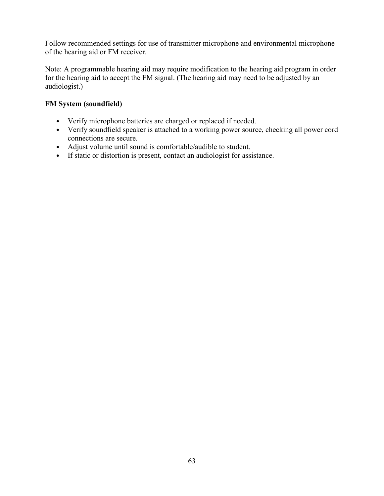Follow recommended settings for use of transmitter microphone and environmental microphone of the hearing aid or FM receiver.

Note: A programmable hearing aid may require modification to the hearing aid program in order for the hearing aid to accept the FM signal. (The hearing aid may need to be adjusted by an audiologist.)

## **FM System (soundfield)**

- Verify microphone batteries are charged or replaced if needed.
- Verify soundfield speaker is attached to a working power source, checking all power cord connections are secure.
- Adjust volume until sound is comfortable/audible to student.
- If static or distortion is present, contact an audiologist for assistance.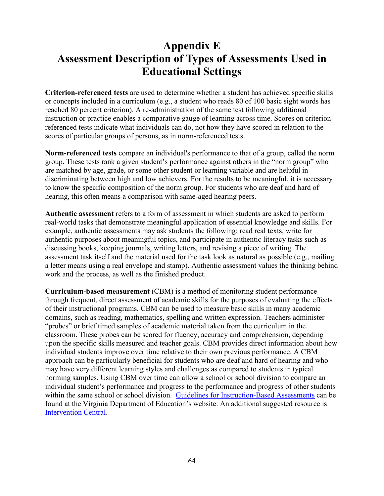## **Appendix E Assessment Description of Types of Assessments Used in Educational Settings**

**Criterion-referenced tests** are used to determine whether a student has achieved specific skills or concepts included in a curriculum (e.g., a student who reads 80 of 100 basic sight words has reached 80 percent criterion). A re-administration of the same test following additional instruction or practice enables a comparative gauge of learning across time. Scores on criterionreferenced tests indicate what individuals can do, not how they have scored in relation to the scores of particular groups of persons, as in norm-referenced tests.

**Norm-referenced tests** compare an individual's performance to that of a group, called the norm group. These tests rank a given student's performance against others in the "norm group" who are matched by age, grade, or some other student or learning variable and are helpful in discriminating between high and low achievers. For the results to be meaningful, it is necessary to know the specific composition of the norm group. For students who are deaf and hard of hearing, this often means a comparison with same-aged hearing peers.

**Authentic assessment** refers to a form of assessment in which students are asked to perform real-world tasks that demonstrate meaningful application of essential knowledge and skills. For example, authentic assessments may ask students the following: read real texts, write for authentic purposes about meaningful topics, and participate in authentic literacy tasks such as discussing books, keeping journals, writing letters, and revising a piece of writing. The assessment task itself and the material used for the task look as natural as possible (e.g., mailing a letter means using a real envelope and stamp). Authentic assessment values the thinking behind work and the process, as well as the finished product.

**Curriculum-based measurement** (CBM) is a method of monitoring student performance through frequent, direct assessment of academic skills for the purposes of evaluating the effects of their instructional programs. CBM can be used to measure basic skills in many academic domains, such as reading, mathematics, spelling and written expression. Teachers administer "probes" or brief timed samples of academic material taken from the curriculum in the classroom. These probes can be scored for fluency, accuracy and comprehension, depending upon the specific skills measured and teacher goals. CBM provides direct information about how individual students improve over time relative to their own previous performance. A CBM approach can be particularly beneficial for students who are deaf and hard of hearing and who may have very different learning styles and challenges as compared to students in typical norming samples. Using CBM over time can allow a school or school division to compare an individual student's performance and progress to the performance and progress of other students within the same school or school division. [Guidelines for Instruction-Based Assessments](http://www.doe.virginia.gov/testing/special_ed/instruction-based_assessment.pdf) can be found at the Virginia Department of Education's website. An additional suggested resource is [Intervention Central.](http://www.interventioncentral.org/)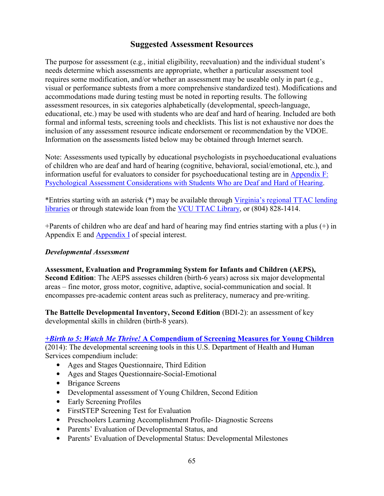### **Suggested Assessment Resources**

The purpose for assessment (e.g., initial eligibility, reevaluation) and the individual student's needs determine which assessments are appropriate, whether a particular assessment tool requires some modification, and/or whether an assessment may be useable only in part (e.g., visual or performance subtests from a more comprehensive standardized test). Modifications and accommodations made during testing must be noted in reporting results. The following assessment resources, in six categories alphabetically (developmental, speech-language, educational, etc.) may be used with students who are deaf and hard of hearing. Included are both formal and informal tests, screening tools and checklists. This list is not exhaustive nor does the inclusion of any assessment resource indicate endorsement or recommendation by the VDOE. Information on the assessments listed below may be obtained through Internet search.

Note: Assessments used typically by educational psychologists in psychoeducational evaluations of children who are deaf and hard of hearing (cognitive, behavioral, social/emotional, etc.), and information useful for evaluators to consider for psychoeducational testing are in [Appendix F:](#page-79-0)  [Psychological Assessment Considerations with Students Who are Deaf and Hard of Hearing.](#page-79-0)

\*Entries starting with an asterisk (\*) may be available through [Virginia's regional TTAC lending](https://ttaconline.org/regional-ttacs)  [libraries](https://ttaconline.org/regional-ttacs) or through statewide loan from the [VCU TTAC Library,](https://ttac.vcu.edu/library) or (804) 828-1414.

+Parents of children who are deaf and hard of hearing may find entries starting with a plus (+) in Appendix E and [Appendix I](#page-94-0) of special interest.

#### *Developmental Assessment*

**Assessment, Evaluation and Programming System for Infants and Children (AEPS), Second Edition**: The AEPS assesses children (birth-6 years) across six major developmental areas – fine motor, gross motor, cognitive, adaptive, social-communication and social. It encompasses pre-academic content areas such as preliteracy, numeracy and pre-writing.

**The Battelle Developmental Inventory, Second Edition** (BDI-2): an assessment of key developmental skills in children (birth-8 years).

#### *+Birth to 5: Watch Me Thrive!* **[A Compendium of Screening Measures for Young Children](https://eclkc.ohs.acf.hhs.gov/sites/default/files/pdf/screening-compendium-march2014.pdf)**

(2014): The developmental screening tools in this U.S. Department of Health and Human Services compendium include:

- Ages and Stages Questionnaire, Third Edition
- Ages and Stages Questionnaire-Social-Emotional
- Brigance Screens
- Developmental assessment of Young Children, Second Edition
- Early Screening Profiles
- FirstSTEP Screening Test for Evaluation
- Preschoolers Learning Accomplishment Profile- Diagnostic Screens
- Parents' Evaluation of Developmental Status, and
- Parents' Evaluation of Developmental Status: Developmental Milestones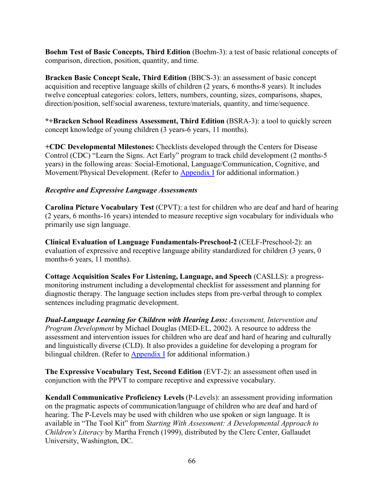**Boehm Test of Basic Concepts, Third Edition** (Boehm-3): a test of basic relational concepts of comparison, direction, position, quantity, and time.

**Bracken Basic Concept Scale, Third Edition** (BBCS-3): an assessment of basic concept acquisition and receptive language skills of children (2 years, 6 months-8 years). It includes twelve conceptual categories: colors, letters, numbers, counting, sizes, comparisons, shapes, direction/position, self/social awareness, texture/materials, quantity, and time/sequence.

**\*+Bracken School Readiness Assessment, Third Edition** (BSRA-3): a tool to quickly screen concept knowledge of young children (3 years-6 years, 11 months).

**+CDC Developmental Milestones:** Checklists developed through the Centers for Disease Control (CDC) "Learn the Signs. Act Early" program to track child development (2 months-5 years) in the following areas: Social-Emotional, Language/Communication, Cognitive, and Movement/Physical Development. (Refer to [Appendix I](#page-94-0) for additional information.)

#### *Receptive and Expressive Language Assessments*

**Carolina Picture Vocabulary Test** (CPVT): a test for children who are deaf and hard of hearing (2 years, 6 months-16 years) intended to measure receptive sign vocabulary for individuals who primarily use sign language.

**Clinical Evaluation of Language Fundamentals-Preschool-2** (CELF-Preschool-2): an evaluation of expressive and receptive language ability standardized for children (3 years, 0 months-6 years, 11 months).

**Cottage Acquisition Scales For Listening, Language, and Speech** (CASLLS): a progressmonitoring instrument including a developmental checklist for assessment and planning for diagnostic therapy. The language section includes steps from pre-verbal through to complex sentences including pragmatic development.

*Dual-Language Learning for Children with Hearing Loss: Assessment, Intervention and Program Development* by Michael Douglas (MED-EL, 2002). A resource to address the assessment and intervention issues for children who are deaf and hard of hearing and culturally and linguistically diverse (CLD). It also provides a guideline for developing a program for bilingual children. (Refer to [Appendix I](#page-94-0) for additional information.)

**The Expressive Vocabulary Test, Second Edition** (EVT-2): an assessment often used in conjunction with the PPVT to compare receptive and expressive vocabulary.

**Kendall Communicative Proficiency Levels** (P-Levels): an assessment providing information on the pragmatic aspects of communication/language of children who are deaf and hard of hearing. The P-Levels may be used with children who use spoken or sign language. It is available in "The Tool Kit" from *Starting With Assessment: A Developmental Approach to Children's Literacy* by Martha French (1999), distributed by the Clerc Center, Gallaudet University, Washington, DC.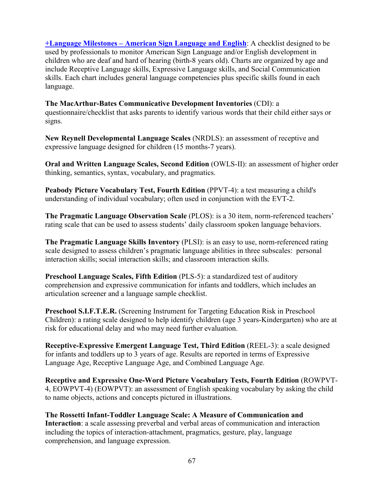**[+Language Milestones – American Sign Language and English](https://www.ieccwa.org/uploads/IECC2019/HANDOUTS/KEY_14046753/KansasKSSDMilestones.pdf)**: A checklist designed to be used by professionals to monitor American Sign Language and/or English development in children who are deaf and hard of hearing (birth-8 years old). Charts are organized by age and include Receptive Language skills, Expressive Language skills, and Social Communication skills. Each chart includes general language competencies plus specific skills found in each language.

**The MacArthur-Bates Communicative Development Inventories** (CDI): a questionnaire/checklist that asks parents to identify various words that their child either says or signs.

**New Reynell Developmental Language Scales** (NRDLS): an assessment of receptive and expressive language designed for children (15 months-7 years).

**Oral and Written Language Scales, Second Edition** (OWLS-II): an assessment of higher order thinking, semantics, syntax, vocabulary, and pragmatics.

Peabody Picture Vocabulary Test, Fourth Edition (PPVT-4): a test measuring a child's understanding of individual vocabulary; often used in conjunction with the EVT-2.

**The Pragmatic Language Observation Scale** (PLOS): is a 30 item, norm-referenced teachers' rating scale that can be used to assess students' daily classroom spoken language behaviors.

**The Pragmatic Language Skills Inventory** (PLSI): is an easy to use, norm-referenced rating scale designed to assess children's pragmatic language abilities in three subscales: personal interaction skills; social interaction skills; and classroom interaction skills.

**Preschool Language Scales, Fifth Edition (PLS-5): a standardized test of auditory** comprehension and expressive communication for infants and toddlers, which includes an articulation screener and a language sample checklist.

**Preschool S.I.F.T.E.R.** (Screening Instrument for Targeting Education Risk in Preschool Children): a rating scale designed to help identify children (age 3 years-Kindergarten) who are at risk for educational delay and who may need further evaluation.

**Receptive-Expressive Emergent Language Test, Third Edition** (REEL-3): a scale designed for infants and toddlers up to 3 years of age. Results are reported in terms of Expressive Language Age, Receptive Language Age, and Combined Language Age.

**Receptive and Expressive One-Word Picture Vocabulary Tests, Fourth Edition** (ROWPVT-4, EOWPVT-4) (EOWPVT): an assessment of English speaking vocabulary by asking the child to name objects, actions and concepts pictured in illustrations.

**The Rossetti Infant-Toddler Language Scale: A Measure of Communication and Interaction**: a scale assessing preverbal and verbal areas of communication and interaction including the topics of interaction-attachment, pragmatics, gesture, play, language comprehension, and language expression.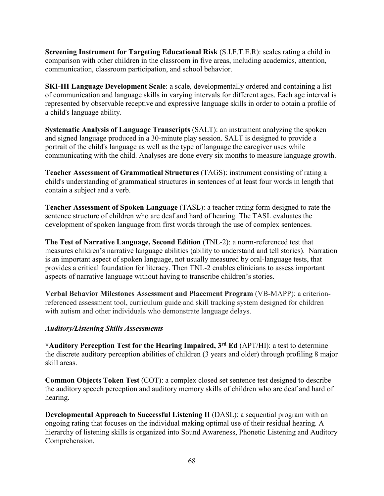**Screening Instrument for Targeting Educational Risk** (S.I.F.T.E.R): scales rating a child in comparison with other children in the classroom in five areas, including academics, attention, communication, classroom participation, and school behavior.

**SKI-HI Language Development Scale**: a scale, developmentally ordered and containing a list of communication and language skills in varying intervals for different ages. Each age interval is represented by observable receptive and expressive language skills in order to obtain a profile of a child's language ability.

**Systematic Analysis of Language Transcripts** (SALT): an instrument analyzing the spoken and signed language produced in a 30-minute play session. SALT is designed to provide a portrait of the child's language as well as the type of language the caregiver uses while communicating with the child. Analyses are done every six months to measure language growth.

**Teacher Assessment of Grammatical Structures** (TAGS): instrument consisting of rating a child's understanding of grammatical structures in sentences of at least four words in length that contain a subject and a verb.

**Teacher Assessment of Spoken Language** (TASL): a teacher rating form designed to rate the sentence structure of children who are deaf and hard of hearing. The TASL evaluates the development of spoken language from first words through the use of complex sentences.

**The Test of Narrative Language, Second Edition** (TNL-2): a norm-referenced test that measures children's narrative language abilities (ability to understand and tell stories). Narration is an important aspect of spoken language, not usually measured by oral-language tests, that provides a critical foundation for literacy. Then TNL-2 enables clinicians to assess important aspects of narrative language without having to transcribe children's stories.

**Verbal Behavior Milestones Assessment and Placement Program** (VB-MAPP): a criterionreferenced assessment tool, curriculum guide and skill tracking system designed for children with autism and other individuals who demonstrate language delays.

#### *Auditory/Listening Skills Assessments*

**\*Auditory Perception Test for the Hearing Impaired, 3rd Ed** (APT/HI): a test to determine the discrete auditory perception abilities of children (3 years and older) through profiling 8 major skill areas.

**Common Objects Token Test** (COT): a complex closed set sentence test designed to describe the auditory speech perception and auditory memory skills of children who are deaf and hard of hearing.

**Developmental Approach to Successful Listening II (DASL): a sequential program with an** ongoing rating that focuses on the individual making optimal use of their residual hearing. A hierarchy of listening skills is organized into Sound Awareness, Phonetic Listening and Auditory Comprehension.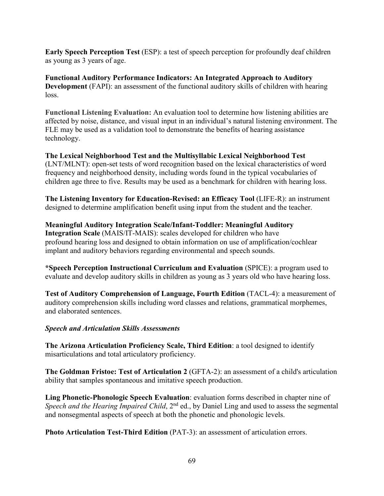**Early Speech Perception Test** (ESP): a test of speech perception for profoundly deaf children as young as 3 years of age.

**Functional Auditory Performance Indicators: An Integrated Approach to Auditory Development** (FAPI): an assessment of the functional auditory skills of children with hearing loss.

**Functional Listening Evaluation:** An evaluation tool to determine how listening abilities are affected by noise, distance, and visual input in an individual's natural listening environment. The FLE may be used as a validation tool to demonstrate the benefits of hearing assistance technology.

**The Lexical Neighborhood Test and the Multisyllabic Lexical Neighborhood Test**  (LNT/MLNT): open-set tests of word recognition based on the lexical characteristics of word frequency and neighborhood density, including words found in the typical vocabularies of children age three to five. Results may be used as a benchmark for children with hearing loss.

**The Listening Inventory for Education-Revised: an Efficacy Tool** (LIFE-R): an instrument designed to determine amplification benefit using input from the student and the teacher.

**Meaningful Auditory Integration Scale/Infant-Toddler: Meaningful Auditory Integration Scale** (MAIS/IT-MAIS): scales developed for children who have profound hearing loss and designed to obtain information on use of amplification/cochlear implant and auditory behaviors regarding environmental and speech sounds.

**\*Speech Perception Instructional Curriculum and Evaluation** (SPICE): a program used to evaluate and develop auditory skills in children as young as 3 years old who have hearing loss.

**Test of Auditory Comprehension of Language, Fourth Edition** (TACL-4): a measurement of auditory comprehension skills including word classes and relations, grammatical morphemes, and elaborated sentences.

#### *Speech and Articulation Skills Assessments*

**The Arizona Articulation Proficiency Scale, Third Edition**: a tool designed to identify misarticulations and total articulatory proficiency.

**The Goldman Fristoe: Test of Articulation 2** (GFTA-2): an assessment of a child's articulation ability that samples spontaneous and imitative speech production.

**Ling Phonetic-Phonologic Speech Evaluation**: evaluation forms described in chapter nine of *Speech and the Hearing Impaired Child*, 2<sup>nd</sup> ed., by Daniel Ling and used to assess the segmental and nonsegmental aspects of speech at both the phonetic and phonologic levels.

**Photo Articulation Test-Third Edition** (PAT-3): an assessment of articulation errors.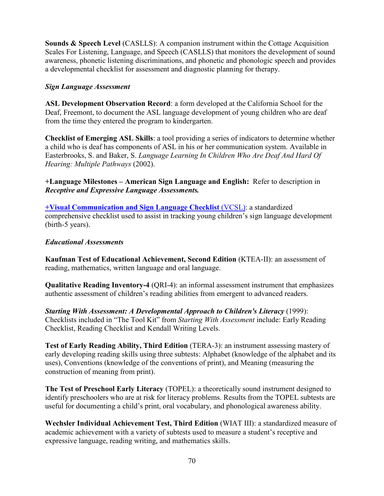**Sounds & Speech Level** (CASLLS): A companion instrument within the Cottage Acquisition Scales For Listening, Language, and Speech (CASLLS) that monitors the development of sound awareness, phonetic listening discriminations, and phonetic and phonologic speech and provides a developmental checklist for assessment and diagnostic planning for therapy.

#### *Sign Language Assessment*

**ASL Development Observation Record**: a form developed at the California School for the Deaf, Freemont, to document the ASL language development of young children who are deaf from the time they entered the program to kindergarten.

**Checklist of Emerging ASL Skills**: a tool providing a series of indicators to determine whether a child who is deaf has components of ASL in his or her communication system. Available in Easterbrooks, S. and Baker, S. *Language Learning In Children Who Are Deaf And Hard Of Hearing: Multiple Pathways* (2002).

**+Language Milestones – American Sign Language and English:** Refer to description in *Receptive and Expressive Language Assessments.*

**[+Visual Communication and Sign Language Checklist](http://vl2.gallaudet.edu/resources/vcsl)** (VCSL): a standardized comprehensive checklist used to assist in tracking young children's sign language development (birth-5 years).

#### *Educational Assessments*

**Kaufman Test of Educational Achievement, Second Edition** (KTEA-II): an assessment of reading, mathematics, written language and oral language.

**Qualitative Reading Inventory-4** (QRI-4): an informal assessment instrument that emphasizes authentic assessment of children's reading abilities from emergent to advanced readers.

*Starting With Assessment: A Developmental Approach to Children's Literacy* (1999): Checklists included in "The Tool Kit" from *Starting With Assessment* include: Early Reading Checklist, Reading Checklist and Kendall Writing Levels.

**Test of Early Reading Ability, Third Edition** (TERA-3): an instrument assessing mastery of early developing reading skills using three subtests: Alphabet (knowledge of the alphabet and its uses), Conventions (knowledge of the conventions of print), and Meaning (measuring the construction of meaning from print).

**The Test of Preschool Early Literacy** (TOPEL): a theoretically sound instrument designed to identify preschoolers who are at risk for literacy problems. Results from the TOPEL subtests are useful for documenting a child's print, oral vocabulary, and phonological awareness ability.

**Wechsler Individual Achievement Test, Third Edition** (WIAT III): a standardized measure of academic achievement with a variety of subtests used to measure a student's receptive and expressive language, reading writing, and mathematics skills.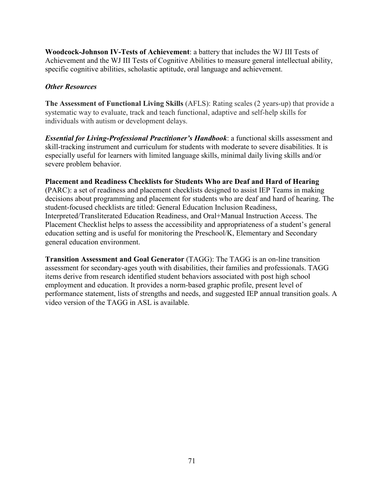**Woodcock-Johnson IV-Tests of Achievement**: a battery that includes the WJ III Tests of Achievement and the WJ III Tests of Cognitive Abilities to measure general intellectual ability, specific cognitive abilities, scholastic aptitude, oral language and achievement.

#### *Other Resources*

**The Assessment of Functional Living Skills** (AFLS): Rating scales (2 years-up) that provide a systematic way to evaluate, track and teach functional, adaptive and self-help skills for individuals with autism or development delays.

*Essential for Living-Professional Practitioner's Handbook*: a functional skills assessment and skill-tracking instrument and curriculum for students with moderate to severe disabilities. It is especially useful for learners with limited language skills, minimal daily living skills and/or severe problem behavior.

#### **Placement and Readiness Checklists for Students Who are Deaf and Hard of Hearing**

(PARC): a set of readiness and placement checklists designed to assist IEP Teams in making decisions about programming and placement for students who are deaf and hard of hearing. The student-focused checklists are titled: General Education Inclusion Readiness, Interpreted/Transliterated Education Readiness, and Oral+Manual Instruction Access. The Placement Checklist helps to assess the accessibility and appropriateness of a student's general education setting and is useful for monitoring the Preschool/K, Elementary and Secondary general education environment.

**Transition Assessment and Goal Generator** (TAGG): The TAGG is an on-line transition assessment for secondary-ages youth with disabilities, their families and professionals. TAGG items derive from research identified student behaviors associated with post high school employment and education. It provides a norm-based graphic profile, present level of performance statement, lists of strengths and needs, and suggested IEP annual transition goals. A video version of the TAGG in ASL is available.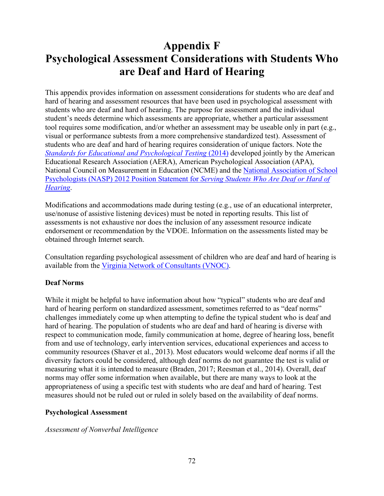## <span id="page-79-0"></span>**Appendix F Psychological Assessment Considerations with Students Who are Deaf and Hard of Hearing**

This appendix provides information on assessment considerations for students who are deaf and hard of hearing and assessment resources that have been used in psychological assessment with students who are deaf and hard of hearing. The purpose for assessment and the individual student's needs determine which assessments are appropriate, whether a particular assessment tool requires some modification, and/or whether an assessment may be useable only in part (e.g., visual or performance subtests from a more comprehensive standardized test). Assessment of students who are deaf and hard of hearing requires consideration of unique factors. Note the *[Standards for Educational and Psychological Testing](http://www.apa.org/science/programs/testing/standards.aspx)* (2014) developed jointly by the [American](http://www.aera.net/) [Educational Research Association](http://www.aera.net/) (AERA), [American Psychological Association](http://www.apa.org/index.aspx) (APA), [National Council on Measurement in Education](http://www.ncme.org/) (NCME) and the [National Association of School](https://www.nasponline.org/research-and-policy/professional-positions/position-statements)  [Psychologists \(NASP\) 2012 Position Statement for](https://www.nasponline.org/research-and-policy/professional-positions/position-statements) *Serving Students Who Are Deaf or Hard of [Hearing](https://www.nasponline.org/research-and-policy/professional-positions/position-statements)*.

Modifications and accommodations made during testing (e.g., use of an educational interpreter, use/nonuse of assistive listening devices) must be noted in reporting results. This list of assessments is not exhaustive nor does the inclusion of any assessment resource indicate endorsement or recommendation by the VDOE. Information on the assessments listed may be obtained through Internet search.

Consultation regarding psychological assessment of children who are deaf and hard of hearing is available from the [Virginia Network of Consultants \(VNOC\).](https://partnership.vcu.edu/VNOC)

#### **Deaf Norms**

While it might be helpful to have information about how "typical" students who are deaf and hard of hearing perform on standardized assessment, sometimes referred to as "deaf norms" challenges immediately come up when attempting to define the typical student who is deaf and hard of hearing. The population of students who are deaf and hard of hearing is diverse with respect to communication mode, family communication at home, degree of hearing loss, benefit from and use of technology, early intervention services, educational experiences and access to community resources (Shaver et al., 2013). Most educators would welcome deaf norms if all the diversity factors could be considered, although deaf norms do not guarantee the test is valid or measuring what it is intended to measure (Braden, 2017; Reesman et al., 2014). Overall, deaf norms may offer some information when available, but there are many ways to look at the appropriateness of using a specific test with students who are deaf and hard of hearing. Test measures should not be ruled out or ruled in solely based on the availability of deaf norms.

#### **Psychological Assessment**

#### *Assessment of Nonverbal Intelligence*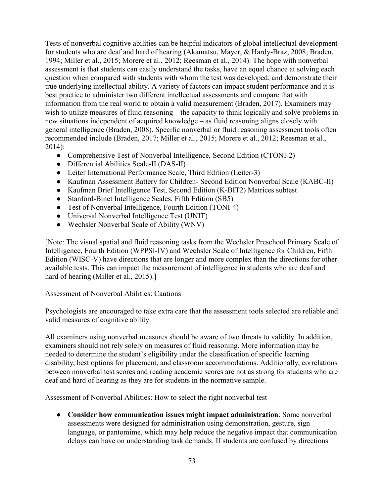Tests of nonverbal cognitive abilities can be helpful indicators of global intellectual development for students who are deaf and hard of hearing (Akamatsu, Mayer, & Hardy-Braz, 2008; Braden, 1994; Miller et al., 2015; Morere et al., 2012; Reesman et al., 2014). The hope with nonverbal assessment is that students can easily understand the tasks, have an equal chance at solving each question when compared with students with whom the test was developed, and demonstrate their true underlying intellectual ability. A variety of factors can impact student performance and it is best practice to administer two different intellectual assessments and compare that with information from the real world to obtain a valid measurement (Braden, 2017). Examiners may wish to utilize measures of fluid reasoning – the capacity to think logically and solve problems in new situations independent of acquired knowledge – as fluid reasoning aligns closely with general intelligence (Braden, 2008). Specific nonverbal or fluid reasoning assessment tools often recommended include (Braden, 2017; Miller et al., 2015; Morere et al., 2012; Reesman et al., 2014):

- Comprehensive Test of Nonverbal Intelligence, Second Edition (CTONI-2)
- Differential Abilities Scale-II (DAS-II)
- Leiter International Performance Scale, Third Edition (Leiter-3)
- Kaufman Assessment Battery for Children- Second Edition Nonverbal Scale (KABC-II)
- Kaufman Brief Intelligence Test, Second Edition (K-BIT2) Matrices subtest
- Stanford-Binet Intelligence Scales, Fifth Edition (SB5)
- Test of Nonverbal Intelligence, Fourth Edition (TONI-4)
- Universal Nonverbal Intelligence Test (UNIT)
- Wechsler Nonverbal Scale of Ability (WNV)

[Note: The visual spatial and fluid reasoning tasks from the Wechsler Preschool Primary Scale of Intelligence, Fourth Edition (WPPSI-IV) and Wechsler Scale of Intelligence for Children, Fifth Edition (WISC-V) have directions that are longer and more complex than the directions for other available tests. This can impact the measurement of intelligence in students who are deaf and hard of hearing (Miller et al., 2015).

Assessment of Nonverbal Abilities: Cautions

Psychologists are encouraged to take extra care that the assessment tools selected are reliable and valid measures of cognitive ability.

All examiners using nonverbal measures should be aware of two threats to validity. In addition, examiners should not rely solely on measures of fluid reasoning. More information may be needed to determine the student's eligibility under the classification of specific learning disability, best options for placement, and classroom accommodations. Additionally, correlations between nonverbal test scores and reading academic scores are not as strong for students who are deaf and hard of hearing as they are for students in the normative sample.

Assessment of Nonverbal Abilities: How to select the right nonverbal test

● **Consider how communication issues might impact administration**: Some nonverbal assessments were designed for administration using demonstration, gesture, sign language, or pantomime, which may help reduce the negative impact that communication delays can have on understanding task demands. If students are confused by directions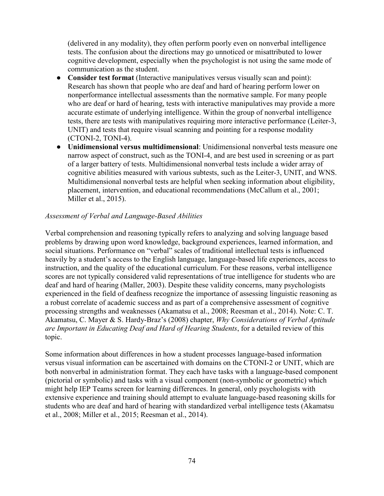(delivered in any modality), they often perform poorly even on nonverbal intelligence tests. The confusion about the directions may go unnoticed or misattributed to lower cognitive development, especially when the psychologist is not using the same mode of communication as the student.

- **Consider test format** (Interactive manipulatives versus visually scan and point): Research has shown that people who are deaf and hard of hearing perform lower on nonperformance intellectual assessments than the normative sample. For many people who are deaf or hard of hearing, tests with interactive manipulatives may provide a more accurate estimate of underlying intelligence. Within the group of nonverbal intelligence tests, there are tests with manipulatives requiring more interactive performance (Leiter-3, UNIT) and tests that require visual scanning and pointing for a response modality (CTONI-2, TONI-4).
- **Unidimensional versus multidimensional**: Unidimensional nonverbal tests measure one narrow aspect of construct, such as the TONI-4, and are best used in screening or as part of a larger battery of tests. Multidimensional nonverbal tests include a wider array of cognitive abilities measured with various subtests, such as the Leiter-3, UNIT, and WNS. Multidimensional nonverbal tests are helpful when seeking information about eligibility, placement, intervention, and educational recommendations (McCallum et al., 2001; Miller et al., 2015).

#### *Assessment of Verbal and Language-Based Abilities*

Verbal comprehension and reasoning typically refers to analyzing and solving language based problems by drawing upon word knowledge, background experiences, learned information, and social situations. Performance on "verbal" scales of traditional intellectual tests is influenced heavily by a student's access to the English language, language-based life experiences, access to instruction, and the quality of the educational curriculum. For these reasons, verbal intelligence scores are not typically considered valid representations of true intelligence for students who are deaf and hard of hearing (Maller, 2003). Despite these validity concerns, many psychologists experienced in the field of deafness recognize the importance of assessing linguistic reasoning as a robust correlate of academic success and as part of a comprehensive assessment of cognitive processing strengths and weaknesses (Akamatsu et al., 2008; Reesman et al., 2014). Note: C. T. Akamatsu, C. Mayer & S. Hardy-Braz's (2008) chapter, *Why Considerations of Verbal Aptitude are Important in Educating Deaf and Hard of Hearing Students*, for a detailed review of this topic.

Some information about differences in how a student processes language-based information versus visual information can be ascertained with domains on the CTONI-2 or UNIT, which are both nonverbal in administration format. They each have tasks with a language-based component (pictorial or symbolic) and tasks with a visual component (non-symbolic or geometric) which might help IEP Teams screen for learning differences. In general, only psychologists with extensive experience and training should attempt to evaluate language-based reasoning skills for students who are deaf and hard of hearing with standardized verbal intelligence tests (Akamatsu et al., 2008; Miller et al., 2015; Reesman et al., 2014).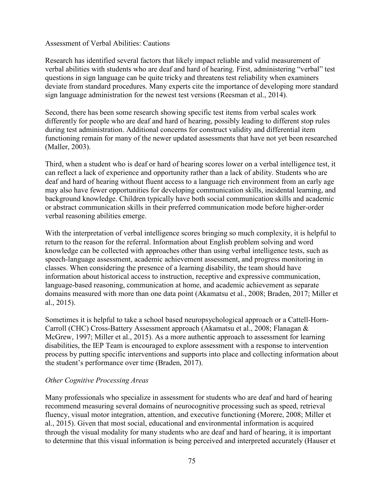#### Assessment of Verbal Abilities: Cautions

Research has identified several factors that likely impact reliable and valid measurement of verbal abilities with students who are deaf and hard of hearing. First, administering "verbal" test questions in sign language can be quite tricky and threatens test reliability when examiners deviate from standard procedures. Many experts cite the importance of developing more standard sign language administration for the newest test versions (Reesman et al., 2014).

Second, there has been some research showing specific test items from verbal scales work differently for people who are deaf and hard of hearing, possibly leading to different stop rules during test administration. Additional concerns for construct validity and differential item functioning remain for many of the newer updated assessments that have not yet been researched (Maller, 2003).

Third, when a student who is deaf or hard of hearing scores lower on a verbal intelligence test, it can reflect a lack of experience and opportunity rather than a lack of ability. Students who are deaf and hard of hearing without fluent access to a language rich environment from an early age may also have fewer opportunities for developing communication skills, incidental learning, and background knowledge. Children typically have both social communication skills and academic or abstract communication skills in their preferred communication mode before higher-order verbal reasoning abilities emerge.

With the interpretation of verbal intelligence scores bringing so much complexity, it is helpful to return to the reason for the referral. Information about English problem solving and word knowledge can be collected with approaches other than using verbal intelligence tests, such as speech-language assessment, academic achievement assessment, and progress monitoring in classes. When considering the presence of a learning disability, the team should have information about historical access to instruction, receptive and expressive communication, language-based reasoning, communication at home, and academic achievement as separate domains measured with more than one data point (Akamatsu et al., 2008; Braden, 2017; Miller et al., 2015).

Sometimes it is helpful to take a school based neuropsychological approach or a Cattell-Horn-Carroll (CHC) Cross-Battery Assessment approach (Akamatsu et al., 2008; Flanagan & McGrew, 1997; Miller et al., 2015). As a more authentic approach to assessment for learning disabilities, the IEP Team is encouraged to explore assessment with a response to intervention process by putting specific interventions and supports into place and collecting information about the student's performance over time (Braden, 2017).

#### *Other Cognitive Processing Areas*

Many professionals who specialize in assessment for students who are deaf and hard of hearing recommend measuring several domains of neurocognitive processing such as speed, retrieval fluency, visual motor integration, attention, and executive functioning (Morere, 2008; Miller et al., 2015). Given that most social, educational and environmental information is acquired through the visual modality for many students who are deaf and hard of hearing, it is important to determine that this visual information is being perceived and interpreted accurately (Hauser et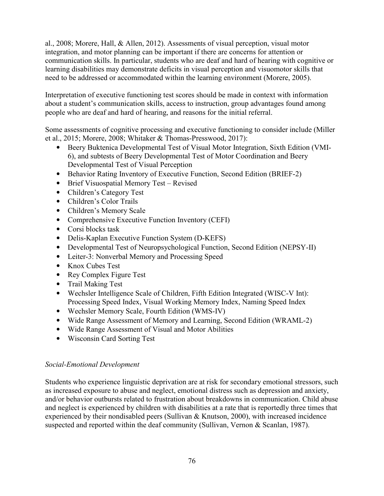al., 2008; Morere, Hall, & Allen, 2012). Assessments of visual perception, visual motor integration, and motor planning can be important if there are concerns for attention or communication skills. In particular, students who are deaf and hard of hearing with cognitive or learning disabilities may demonstrate deficits in visual perception and visuomotor skills that need to be addressed or accommodated within the learning environment (Morere, 2005).

Interpretation of executive functioning test scores should be made in context with information about a student's communication skills, access to instruction, group advantages found among people who are deaf and hard of hearing, and reasons for the initial referral.

Some assessments of cognitive processing and executive functioning to consider include (Miller et al., 2015; Morere, 2008; Whitaker & Thomas-Presswood, 2017):

- Beery Buktenica Developmental Test of Visual Motor Integration, Sixth Edition (VMI-6), and subtests of Beery Developmental Test of Motor Coordination and Beery Developmental Test of Visual Perception
- Behavior Rating Inventory of Executive Function, Second Edition (BRIEF-2)
- Brief Visuospatial Memory Test Revised
- Children's Category Test
- Children's Color Trails
- Children's Memory Scale
- Comprehensive Executive Function Inventory (CEFI)
- Corsi blocks task
- Delis-Kaplan Executive Function System (D-KEFS)
- Developmental Test of Neuropsychological Function, Second Edition (NEPSY-II)
- Leiter-3: Nonverbal Memory and Processing Speed
- Knox Cubes Test
- Rey Complex Figure Test
- Trail Making Test
- Wechsler Intelligence Scale of Children, Fifth Edition Integrated (WISC-V Int): Processing Speed Index, Visual Working Memory Index, Naming Speed Index
- Wechsler Memory Scale, Fourth Edition (WMS-IV)
- Wide Range Assessment of Memory and Learning, Second Edition (WRAML-2)
- Wide Range Assessment of Visual and Motor Abilities
- Wisconsin Card Sorting Test

#### *Social-Emotional Development*

Students who experience linguistic deprivation are at risk for secondary emotional stressors, such as increased exposure to abuse and neglect, emotional distress such as depression and anxiety, and/or behavior outbursts related to frustration about breakdowns in communication. Child abuse and neglect is experienced by children with disabilities at a rate that is reportedly three times that experienced by their nondisabled peers (Sullivan & Knutson, 2000), with increased incidence suspected and reported within the deaf community (Sullivan, Vernon & Scanlan, 1987).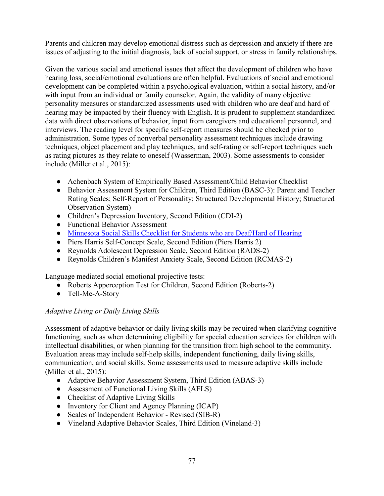Parents and children may develop emotional distress such as depression and anxiety if there are issues of adjusting to the initial diagnosis, lack of social support, or stress in family relationships.

Given the various social and emotional issues that affect the development of children who have hearing loss, social/emotional evaluations are often helpful. Evaluations of social and emotional development can be completed within a psychological evaluation, within a social history, and/or with input from an individual or family counselor. Again, the validity of many objective personality measures or standardized assessments used with children who are deaf and hard of hearing may be impacted by their fluency with English. It is prudent to supplement standardized data with direct observations of behavior, input from caregivers and educational personnel, and interviews. The reading level for specific self-report measures should be checked prior to administration. Some types of nonverbal personality assessment techniques include drawing techniques, object placement and play techniques, and self-rating or self-report techniques such as rating pictures as they relate to oneself (Wasserman, 2003). Some assessments to consider include (Miller et al., 2015):

- Achenbach System of Empirically Based Assessment/Child Behavior Checklist
- Behavior Assessment System for Children, Third Edition (BASC-3): Parent and Teacher Rating Scales; Self-Report of Personality; Structured Developmental History; Structured Observation System)
- Children's Depression Inventory, Second Edition (CDI-2)
- Functional Behavior Assessment
- Minnesota Social Skills Checklist for Students who are Deaf/Hard of Hearing
- Piers Harris Self-Concept Scale, Second Edition (Piers Harris 2)
- Reynolds Adolescent Depression Scale, Second Edition (RADS-2)
- Reynolds Children's Manifest Anxiety Scale, Second Edition (RCMAS-2)

Language mediated social emotional projective tests:

- Roberts Apperception Test for Children, Second Edition (Roberts-2)
- Tell-Me-A-Story

#### *Adaptive Living or Daily Living Skills*

Assessment of adaptive behavior or daily living skills may be required when clarifying cognitive functioning, such as when determining eligibility for special education services for children with intellectual disabilities, or when planning for the transition from high school to the community. Evaluation areas may include self-help skills, independent functioning, daily living skills, communication, and social skills. Some assessments used to measure adaptive skills include (Miller et al., 2015):

- Adaptive Behavior Assessment System, Third Edition (ABAS-3)
- Assessment of Functional Living Skills (AFLS)
- Checklist of Adaptive Living Skills
- Inventory for Client and Agency Planning (ICAP)
- Scales of Independent Behavior Revised (SIB-R)
- Vineland Adaptive Behavior Scales, Third Edition (Vineland-3)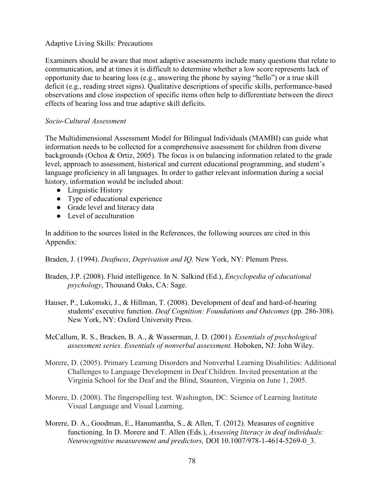#### Adaptive Living Skills: Precautions

Examiners should be aware that most adaptive assessments include many questions that relate to communication, and at times it is difficult to determine whether a low score represents lack of opportunity due to hearing loss (e.g., answering the phone by saying "hello") or a true skill deficit (e.g., reading street signs). Qualitative descriptions of specific skills, performance-based observations and close inspection of specific items often help to differentiate between the direct effects of hearing loss and true adaptive skill deficits.

#### *Socio-Cultural Assessment*

The Multidimensional Assessment Model for Bilingual Individuals (MAMBI) can guide what information needs to be collected for a comprehensive assessment for children from diverse backgrounds (Ochoa & Ortiz, 2005). The focus is on balancing information related to the grade level, approach to assessment, historical and current educational programming, and student's language proficiency in all languages. In order to gather relevant information during a social history, information would be included about:

- Linguistic History
- Type of educational experience
- Grade level and literacy data
- Level of acculturation

In addition to the sources listed in the References, the following sources are cited in this Appendix:

Braden, J. (1994). *Deafness, Deprivation and IQ.* New York, NY: Plenum Press.

- Braden, J.P. (2008). Fluid intelligence. In N. Salkind (Ed.), *Encyclopedia of educational psychology*, Thousand Oaks, CA: Sage.
- Hauser, P., Lukomski, J., & Hillman, T. (2008). Development of deaf and hard-of-hearing students' executive function. *Deaf Cognition: Foundations and Outcomes* (pp. 286-308). New York, NY: Oxford University Press.

McCallum, R. S., Bracken, B. A., & Wasserman, J. D. (2001). *Essentials of psychological assessment series. Essentials of nonverbal assessment.* Hoboken, NJ: John Wiley.

- Morere, D. (2005). Primary Learning Disorders and Nonverbal Learning Disabilities: Additional Challenges to Language Development in Deaf Children. Invited presentation at the Virginia School for the Deaf and the Blind, Staunton, Virginia on June 1, 2005.
- Morere, D. (2008). The fingerspelling test. Washington, DC: Science of Learning Institute Visual Language and Visual Learning.
- Morere, D. A., Goodman, E., Hanumantha, S., & Allen, T. (2012). Measures of cognitive functioning. In D. Morere and T. Allen (Eds.), *Assessing literacy in deaf individuals: Neurocognitive measurement and predictors,* DOI 10.1007/978-1-4614-5269-0\_3.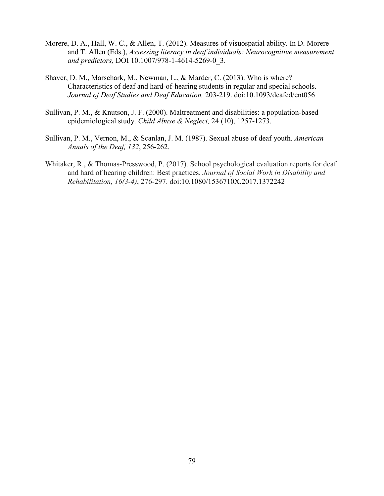- Morere, D. A., Hall, W. C., & Allen, T. (2012). Measures of visuospatial ability. In D. Morere and T. Allen (Eds.), *Assessing literacy in deaf individuals: Neurocognitive measurement and predictors,* DOI 10.1007/978-1-4614-5269-0\_3.
- Shaver, D. M., Marschark, M., Newman, L., & Marder, C. (2013). Who is where? Characteristics of deaf and hard-of-hearing students in regular and special schools. *Journal of Deaf Studies and Deaf Education,* 203-219. doi:10.1093/deafed/ent056
- Sullivan, P. M., & Knutson, J. F. (2000). Maltreatment and disabilities: a population-based epidemiological study. *Child Abuse & Neglect,* 24 (10), 1257-1273.
- Sullivan, P. M., Vernon, M., & Scanlan, J. M. (1987). Sexual abuse of deaf youth. *American Annals of the Deaf, 132*, 256-262.
- Whitaker, R., & Thomas-Presswood, P. (2017). School psychological evaluation reports for deaf and hard of hearing children: Best practices. *Journal of Social Work in Disability and Rehabilitation, 16(3-4)*, 276-297. doi:10.1080/1536710X.2017.1372242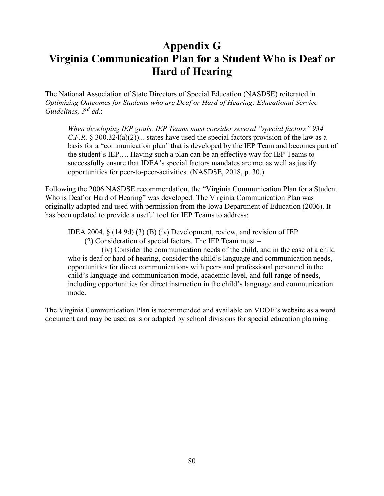### **Appendix G Virginia Communication Plan for a Student Who is Deaf or Hard of Hearing**

The National Association of State Directors of Special Education (NASDSE) reiterated in *Optimizing Outcomes for Students who are Deaf or Hard of Hearing: Educational Service Guidelines, 3rd ed.*:

*When developing IEP goals, IEP Teams must consider several "special factors" 934 C.F.R.* § 300.324(a)(2))... states have used the special factors provision of the law as a basis for a "communication plan" that is developed by the IEP Team and becomes part of the student's IEP…. Having such a plan can be an effective way for IEP Teams to successfully ensure that IDEA's special factors mandates are met as well as justify opportunities for peer-to-peer-activities. (NASDSE, 2018, p. 30.)

Following the 2006 NASDSE recommendation, the "Virginia Communication Plan for a Student Who is Deaf or Hard of Hearing" was developed. The Virginia Communication Plan was originally adapted and used with permission from the Iowa Department of Education (2006). It has been updated to provide a useful tool for IEP Teams to address:

IDEA 2004, § (14 9d) (3) (B) (iv) Development, review, and revision of IEP.

(2) Consideration of special factors. The IEP Team must –

 (iv) Consider the communication needs of the child, and in the case of a child who is deaf or hard of hearing, consider the child's language and communication needs, opportunities for direct communications with peers and professional personnel in the child's language and communication mode, academic level, and full range of needs, including opportunities for direct instruction in the child's language and communication mode.

The Virginia Communication Plan is recommended and available on VDOE's website as a word document and may be used as is or adapted by school divisions for special education planning.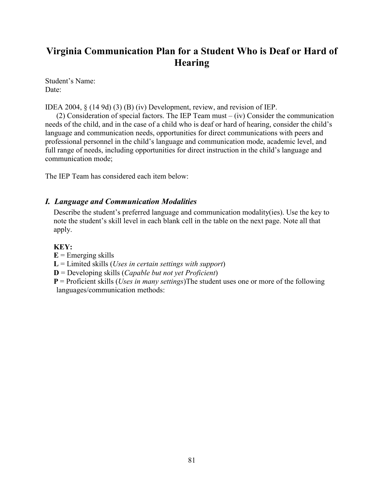### **Virginia Communication Plan for a Student Who is Deaf or Hard of Hearing**

Student's Name: Date:

IDEA 2004, § (14 9d) (3) (B) (iv) Development, review, and revision of IEP.

 (2) Consideration of special factors. The IEP Team must – (iv) Consider the communication needs of the child, and in the case of a child who is deaf or hard of hearing, consider the child's language and communication needs, opportunities for direct communications with peers and professional personnel in the child's language and communication mode, academic level, and full range of needs, including opportunities for direct instruction in the child's language and communication mode;

The IEP Team has considered each item below:

#### *I. Language and Communication Modalities*

Describe the student's preferred language and communication modality(ies). Use the key to note the student's skill level in each blank cell in the table on the next page. Note all that apply.

#### **KEY:**

 $E =$  Emerging skills

**L** = Limited skills (*Uses in certain settings with support*)

**D** = Developing skills (*Capable but not yet Proficient*)

**P** = Proficient skills (*Uses in many settings*)The student uses one or more of the following languages/communication methods: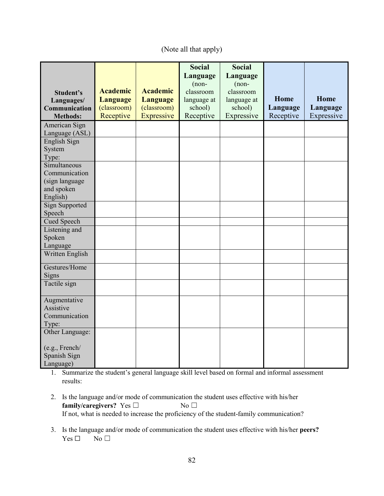#### (Note all that apply)

|                                  |                 |                 | <b>Social</b> | <b>Social</b> |           |            |
|----------------------------------|-----------------|-----------------|---------------|---------------|-----------|------------|
|                                  |                 |                 | Language      | Language      |           |            |
|                                  |                 |                 | $(non-$       | $(non-$       |           |            |
| Student's                        | <b>Academic</b> | <b>Academic</b> | classroom     | classroom     |           |            |
|                                  | Language        | <b>Language</b> | language at   | language at   | Home      | Home       |
| Languages/                       | (classroom)     | (classroom)     | school)       | school)       | Language  | Language   |
| Communication<br><b>Methods:</b> | Receptive       | Expressive      | Receptive     | Expressive    | Receptive | Expressive |
|                                  |                 |                 |               |               |           |            |
| American Sign                    |                 |                 |               |               |           |            |
| Language (ASL)                   |                 |                 |               |               |           |            |
| English Sign                     |                 |                 |               |               |           |            |
| System                           |                 |                 |               |               |           |            |
| Type:                            |                 |                 |               |               |           |            |
| Simultaneous                     |                 |                 |               |               |           |            |
| Communication                    |                 |                 |               |               |           |            |
| (sign language                   |                 |                 |               |               |           |            |
| and spoken                       |                 |                 |               |               |           |            |
| English)                         |                 |                 |               |               |           |            |
| <b>Sign Supported</b>            |                 |                 |               |               |           |            |
| Speech                           |                 |                 |               |               |           |            |
| <b>Cued Speech</b>               |                 |                 |               |               |           |            |
| Listening and                    |                 |                 |               |               |           |            |
| Spoken                           |                 |                 |               |               |           |            |
| Language                         |                 |                 |               |               |           |            |
| Written English                  |                 |                 |               |               |           |            |
| Gestures/Home                    |                 |                 |               |               |           |            |
| Signs                            |                 |                 |               |               |           |            |
| Tactile sign                     |                 |                 |               |               |           |            |
| Augmentative                     |                 |                 |               |               |           |            |
| Assistive                        |                 |                 |               |               |           |            |
| Communication                    |                 |                 |               |               |           |            |
| Type:                            |                 |                 |               |               |           |            |
| Other Language:                  |                 |                 |               |               |           |            |
|                                  |                 |                 |               |               |           |            |
| (e.g., French/                   |                 |                 |               |               |           |            |
| Spanish Sign                     |                 |                 |               |               |           |            |
| Language)                        |                 |                 |               |               |           |            |

1. Summarize the student's general language skill level based on formal and informal assessment results:

- 2. Is the language and/or mode of communication the student uses effective with his/her **family/caregivers?** Yes □ No □ If not, what is needed to increase the proficiency of the student-family communication?
- 3. Is the language and/or mode of communication the student uses effective with his/her **peers?**   $Yes \Box \qquad No \Box$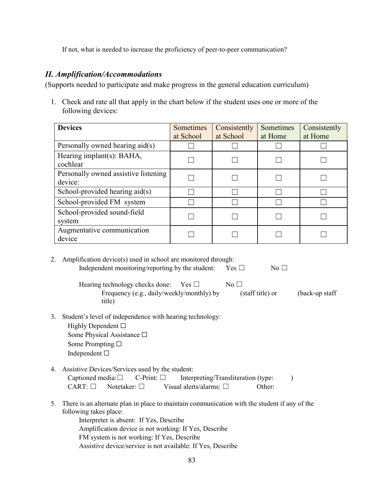If not, what is needed to increase the proficiency of peer-to-peer communication?

#### *II. Amplification/Accommodations*

(Supports needed to participate and make progress in the general education curriculum)

1. Check and rate all that apply in the chart below if the student uses one or more of the following devices:

| <b>Devices</b>                                  | <b>Sometimes</b><br>at School | Consistently<br>at School | Sometimes<br>at Home | Consistently<br>at Home |
|-------------------------------------------------|-------------------------------|---------------------------|----------------------|-------------------------|
| Personally owned hearing aid(s)                 |                               |                           |                      |                         |
| Hearing implant(s): BAHA,<br>cochlear           |                               |                           |                      |                         |
| Personally owned assistive listening<br>device: |                               |                           |                      |                         |
| School-provided hearing $aid(s)$                |                               |                           |                      |                         |
| School-provided FM system                       |                               |                           |                      |                         |
| School-provided sound-field<br>system           |                               |                           |                      |                         |
| Augmentative communication<br>device            |                               |                           |                      |                         |

2. Amplification device(s) used in school are monitored through: Independent monitoring/reporting by the student: Yes  $\Box$  No  $\Box$ Hearing technology checks done: Yes  $□$  No  $□$ Frequency (e.g., daily/weekly/monthly) by (staff title) or (back-up staff title) 3. Student's level of independence with hearing technology: Highly Dependent  $\square$ Some Physical Assistance □ Some Prompting □ Independent ☐ 4. Assistive Devices/Services used by the student: Captioned media: $\Box$  C-Print:  $\Box$  Interpreting/Transliteration (type: ) CART: ☐ Notetaker: ☐ Visual alerts/alarms: ☐ Other:

- 5. There is an alternate plan in place to maintain communication with the student if any of the following takes place: Interpreter is absent: If Yes, Describe Amplification device is not working: If Yes, Describe FM system is not working: If Yes, Describe
	- Assistive device/service is not available: If Yes, Describe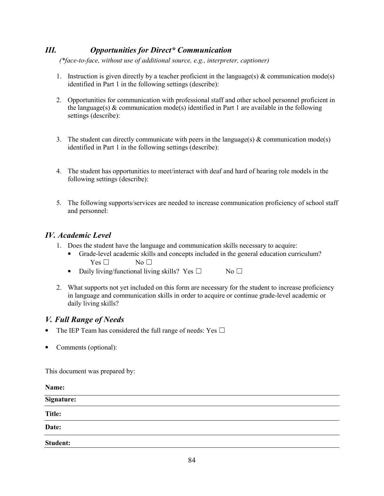### *III. Opportunities for Direct\* Communication*

 *(\*face-to-face, without use of additional source, e.g., interpreter, captioner)* 

- 1. Instruction is given directly by a teacher proficient in the language(s)  $\&$  communication mode(s) identified in Part 1 in the following settings (describe):
- 2. Opportunities for communication with professional staff and other school personnel proficient in the language(s)  $\&$  communication mode(s) identified in Part 1 are available in the following settings (describe):
- 3. The student can directly communicate with peers in the language(s)  $\&$  communication mode(s) identified in Part 1 in the following settings (describe):
- 4. The student has opportunities to meet/interact with deaf and hard of hearing role models in the following settings (describe):
- 5. The following supports/services are needed to increase communication proficiency of school staff and personnel:

#### *IV. Academic Level*

- 1. Does the student have the language and communication skills necessary to acquire:
	- Grade-level academic skills and concepts included in the general education curriculum?  $Yes \Box$  No  $\Box$
	- Daily living/functional living skills? Yes  $\Box$  No  $\Box$
- 2. What supports not yet included on this form are necessary for the student to increase proficiency in language and communication skills in order to acquire or continue grade-level academic or daily living skills?

#### *V. Full Range of Needs*

- The IEP Team has considered the full range of needs: Yes  $\Box$
- Comments (optional):

This document was prepared by:

| Name:                                           |  |  |
|-------------------------------------------------|--|--|
| Signature:<br>and the state of the state of the |  |  |
| <b>Title:</b>                                   |  |  |
| Date:                                           |  |  |
| Student:                                        |  |  |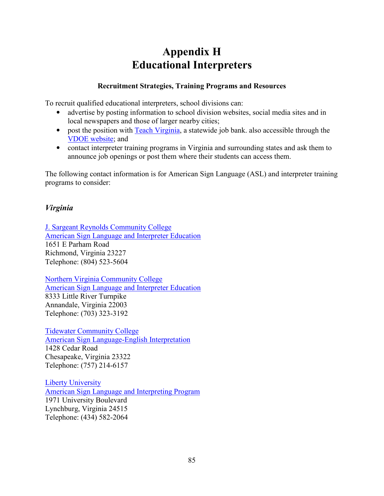## **Appendix H Educational Interpreters**

#### **Recruitment Strategies, Training Programs and Resources**

To recruit qualified educational interpreters, school divisions can:

- advertise by posting information to school division websites, social media sites and in local newspapers and those of larger nearby cities;
- post the position with [Teach Virginia,](http://www.teachers-teachers.com/) a statewide job bank, also accessible through the [VDOE website;](http://www.doe.virginia.gov/teaching/jobs/index.shtml) and
- contact interpreter training programs in Virginia and surrounding states and ask them to announce job openings or post them where their students can access them.

The following contact information is for American Sign Language (ASL) and interpreter training programs to consider:

### *Virginia*

[J. Sargeant Reynolds Community College](http://www.reynolds.edu/_onlinecatalog/current/academic-programs/degrees-associate/american-sign-language-english-interpretation.aspx)  [American Sign Language and Interpreter Education](http://www.reynolds.edu/_onlinecatalog/current/academic-programs/degrees-associate/american-sign-language-english-interpretation.aspx) 1651 E Parham Road Richmond, Virginia 23227 Telephone: (804) 523-5604

[Northern Virginia Community College](https://www.nvcc.edu/courses/summarydetail.aspx?prefix=ASL) [American Sign Language and Interpreter Education](https://www.nvcc.edu/courses/summarydetail.aspx?prefix=ASL)  8333 Little River Turnpike Annandale, Virginia 22003 Telephone: (703) 323-3192

[Tidewater Community College](https://www.tcc.edu/academics/arts-humanities/programs/american-sign-language-english-interpretation-degree)  [American Sign Language-English Interpretation](https://www.tcc.edu/academics/arts-humanities/programs/american-sign-language-english-interpretation-degree)  1428 Cedar Road Chesapeake, Virginia 23322 Telephone: (757) 214-6157

[Liberty University](http://www.liberty.edu/index.cfm?PID=28195)  [American Sign Language and Interpreting Program](http://www.liberty.edu/index.cfm?PID=28195) 1971 University Boulevard Lynchburg, Virginia 24515 Telephone: (434) 582-2064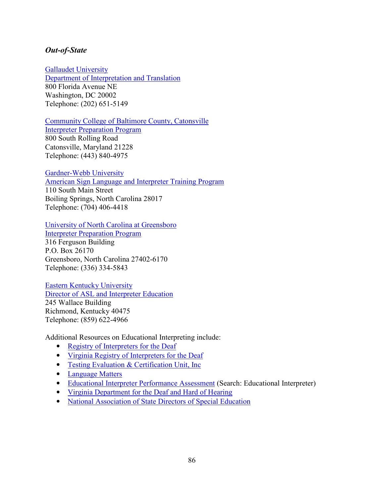#### *Out-of-State*

[Gallaudet University](http://www.gallaudet.edu/interpretation.html) 

[Department of Interpretation and Translation](http://www.gallaudet.edu/interpretation.html) 800 Florida Avenue NE Washington, DC 20002 Telephone: (202) 651-5149

[Community College of Baltimore County, Catonsville](http://www.ccbcmd.edu/Programs-and-Courses/Schools-and-Academic-Departments/School-of-Liberal-Arts/Communication-Arts/Interpreter-Preparation.aspx) 

[Interpreter Preparation Program](http://www.ccbcmd.edu/Programs-and-Courses/Schools-and-Academic-Departments/School-of-Liberal-Arts/Communication-Arts/Interpreter-Preparation.aspx) 800 South Rolling Road Catonsville, Maryland 21228 Telephone: (443) 840-4975

[Gardner-Webb University](https://gardner-webb.edu/academic-programs-and-resources/colleges-and-schools/arts-and-sciences/schools-and-departments/world-languages/undergraduate-programs/american-sign-language/index) 

[American Sign Language and Interpreter Training Program](https://gardner-webb.edu/academic-programs-and-resources/colleges-and-schools/arts-and-sciences/schools-and-departments/world-languages/undergraduate-programs/american-sign-language/index) 110 South Main Street Boiling Springs, North Carolina 28017 Telephone: (704) 406-4418

[University of North Carolina at Greensboro](http://www.uncg.edu/ses/under/interprep.html) 

[Interpreter Preparation Program](http://www.uncg.edu/ses/under/interprep.html) 316 Ferguson Building P.O. Box 26170 Greensboro, North Carolina 27402-6170 Telephone: (336) 334-5843

[Eastern Kentucky University](http://www.aslie.eku.edu/)  [Director of ASL and Interpreter Education](http://www.aslie.eku.edu/) 245 Wallace Building Richmond, Kentucky 40475 Telephone: (859) 622-4966

Additional Resources on Educational Interpreting include:

- Registry of Interpreters for the Deaf
- [Virginia Registry of Interpreters for the Deaf](http://www.vrid.org/)
- Testing Evaluation & Certification Unit, Inc.
- [Language Matters](http://www.language-matters.com/)
- [Educational Interpreter Performance Assessment](https://www.boystownhospital.org/) (Search: Educational Interpreter)
- [Virginia Department for the Deaf and Hard of Hearing](https://www.vddhh.org/)
- [National Association of State Directors of Special Education](http://www.nasdse.org/)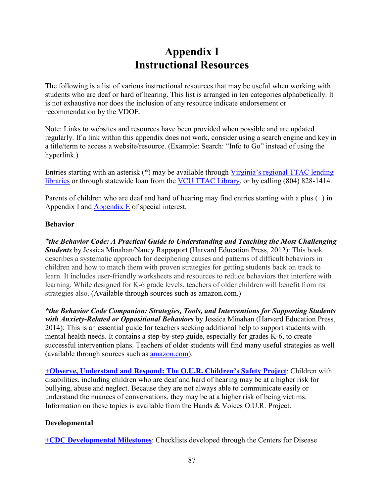### **Appendix I Instructional Resources**

<span id="page-94-0"></span>The following is a list of various instructional resources that may be useful when working with students who are deaf or hard of hearing. This list is arranged in ten categories alphabetically. It is not exhaustive nor does the inclusion of any resource indicate endorsement or recommendation by the VDOE.

Note: Links to websites and resources have been provided when possible and are updated regularly. If a link within this appendix does not work, consider using a search engine and key in a title/term to access a website/resource. (Example: Search: "Info to Go" instead of using the hyperlink.)

Entries starting with an asterisk (\*) may be available through [Virginia's regional TTAC lending](https://ttaconline.org/regional-ttacs)  [libraries](https://ttaconline.org/regional-ttacs) or through statewide loan from the [VCU TTAC Library,](https://ttac.vcu.edu/library) or by calling (804) 828-1414.

Parents of children who are deaf and hard of hearing may find entries starting with a plus (+) in Appendix I and [Appendix E](#page-71-0) of special interest.

#### **Behavior**

*\*the Behavior Code: A Practical Guide to Understanding and Teaching the Most Challenging Students* by Jessica Minahan/Nancy Rappaport (Harvard Education Press, 2012): This book describes a systematic approach for deciphering causes and patterns of difficult behaviors in children and how to match them with proven strategies for getting students back on track to learn. It includes user-friendly worksheets and resources to reduce behaviors that interfere with learning. While designed for K-6 grade levels, teachers of older children will benefit from its strategies also. (Available through sources such as amazon.com.)

*\*the Behavior Code Companion: Strategies, Tools, and Interventions for Supporting Students with Anxiety-Related or Oppositional Behaviors* by Jessica Minahan (Harvard Education Press, 2014): This is an essential guide for teachers seeking additional help to support students with mental health needs. It contains a step-by-step guide, especially for grades K-6, to create successful intervention plans. Teachers of older students will find many useful strategies as well (available through sources such as [amazon.com\)](https://www.amazon.com/).

**[+Observe, Understand and Respond: The O.U.R. Children's Safety Project](http://www.handsandvoices.org/resources/OUR/index.htm)**: Children with disabilities, including children who are deaf and hard of hearing may be at a higher risk for bullying, abuse and neglect. Because they are not always able to communicate easily or understand the nuances of conversations, they may be at a higher risk of being victims. Information on these topics is available from the Hands & Voices O.U.R. Project.

#### **Developmental**

**[+CDC Developmental Milestones](https://www.cdc.gov/ncbddd/actearly/milestones/index.html)**: Checklists developed through the Centers for Disease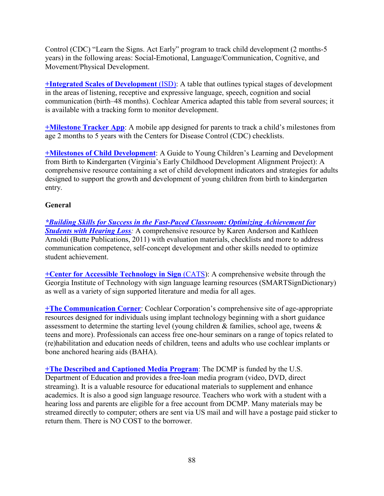Control (CDC) "Learn the Signs. Act Early" program to track child development (2 months-5 years) in the following areas: Social-Emotional, Language/Communication, Cognitive, and Movement/Physical Development.

**[+Integrated Scales of Development](http://www.cochlear.com/wps/wcm/connect/in/home/support/rehabilitation-resources/early-intervention/scales-of-development-isd)** (ISD): A table that outlines typical stages of development in the areas of listening, receptive and expressive language, speech, cognition and social communication (birth–48 months). Cochlear America adapted this table from several sources; it is available with a tracking form to monitor development.

**[+Milestone Tracker App](https://www.cdc.gov/ncbddd/actearly/milestones-app.html)**: A mobile app designed for parents to track a child's milestones from age 2 months to 5 years with the Centers for Disease Control (CDC) checklists.

**[+Milestones of Child Development](http://va.gapitc.org/wp-content/uploads/2014/03/Milestones_Revised2014.pdf)**: A Guide to Young Children's Learning and Development from Birth to Kindergarten (Virginia's Early Childhood Development Alignment Project): A comprehensive resource containing a set of child development indicators and strategies for adults designed to support the growth and development of young children from birth to kindergarten entry.

#### **General**

*[\\*Building Skills for Success in the Fast-Paced Classroom: Optimizing Achievement for](https://successforkidswithhearingloss.com/)  [Students with Hearing Loss](https://successforkidswithhearingloss.com/):* A comprehensive resource by Karen Anderson and Kathleen Arnoldi (Butte Publications, 2011) with evaluation materials, checklists and more to address communication competence, self-concept development and other skills needed to optimize student achievement.

**[+Center for Accessible Technology in Sign](http://www.cats.gatech.edu/)** (CATS): A comprehensive website through the Georgia Institute of Technology with sign language learning resources (SMARTSignDictionary) as well as a variety of sign supported literature and media for all ages.

**[+The Communication Corner](http://www.cochlear.com/wps/wcm/connect/us/communication-corner)**: Cochlear Corporation's comprehensive site of age-appropriate resources designed for individuals using implant technology beginning with a short guidance assessment to determine the starting level (young children  $\&$  families, school age, tweens  $\&$ teens and more). Professionals can access free one-hour seminars on a range of topics related to (re)habilitation and education needs of children, teens and adults who use cochlear implants or bone anchored hearing aids (BAHA).

**[+The Described and Captioned Media Program](http://www.dcmp.org/)**: The DCMP is funded by the U.S. Department of Education and provides a free-loan media program (video, DVD, direct streaming). It is a valuable resource for educational materials to supplement and enhance academics. It is also a good sign language resource. Teachers who work with a student with a hearing loss and parents are eligible for a free account from DCMP. Many materials may be streamed directly to computer; others are sent via US mail and will have a postage paid sticker to return them. There is NO COST to the borrower.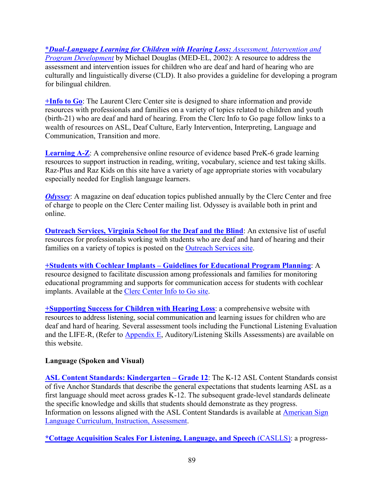\**[Dual-Language Learning for Children with Hearing Loss:](http://www.medel.com/) Assessment, Intervention and [Program Development](http://www.medel.com/)* by Michael Douglas (MED-EL, 2002): A resource to address the assessment and intervention issues for children who are deaf and hard of hearing who are culturally and linguistically diverse (CLD). It also provides a guideline for developing a program for bilingual children.

**[+Info to Go](http://www3.gallaudet.edu/clerc-center/info-to-go.html)**: The Laurent Clerc Center site is designed to share information and provide resources with professionals and families on a variety of topics related to children and youth (birth-21) who are deaf and hard of hearing. From the Clerc Info to Go page follow links to a wealth of resources on ASL, Deaf Culture, Early Intervention, Interpreting, Language and Communication, Transition and more.

**[Learning A-Z](https://www.learninga-z.com/)**: A comprehensive online resource of evidence based PreK-6 grade learning resources to support instruction in reading, writing, vocabulary, science and test taking skills. Raz-Plus and Raz Kids on this site have a variety of age appropriate stories with vocabulary especially needed for English language learners.

*[Odyssey](http://www3.gallaudet.edu/clerc-center/our-resources/odyssey-magazine.html)*: A magazine on deaf education topics published annually by the Clerc Center and free of charge to people on the Clerc Center mailing list. Odyssey is available both in print and online.

**[Outreach Services, Virginia School for the Deaf and the Blind](https://www.vsdb.k12.va.us/vsdb/outreach/):** An extensive list of useful resources for professionals working with students who are deaf and hard of hearing and their families on a variety of topics is posted on the [Outreach Services site.](https://www.vsdb.k12.va.us/vsdb/outreach/)

**[+Students with Cochlear Implants – Guidelines for Educational Program Planning](http://www3.gallaudet.edu/clerc-center/info-to-go.html)**: A resource designed to facilitate discussion among professionals and families for monitoring educational programming and supports for communication access for students with cochlear implants. Available at the [Clerc Center Info to Go site.](http://www3.gallaudet.edu/clerc-center/info-to-go.html)

**[+Supporting Success for Children with Hearing Loss](https://successforkidswithhearingloss.com/)**: a comprehensive website with resources to address listening, social communication and learning issues for children who are deaf and hard of hearing. Several assessment tools including the Functional Listening Evaluation and the LIFE-R, (Refer to [Appendix E,](#page-71-0) Auditory/Listening Skills Assessments) are available on this website.

#### **Language (Spoken and Visual)**

**[ASL Content Standards: Kindergarten – Grade 12](https://www.gallaudet.edu/k-12-asl-content-standards)**: The K-12 ASL Content Standards consist of five Anchor Standards that describe the general expectations that students learning ASL as a first language should meet across grades K-12. The subsequent grade-level standards delineate the specific knowledge and skills that students should demonstrate as they progress. Information on lessons aligned with the ASL Content Standards is available at [American Sign](https://www.aslcia.com/)  [Language Curriculum, Instruction, Assessment.](https://www.aslcia.com/)

**[\\*Cottage Acquisition Scales For Listening, Language, and Speech](http://www.sunshinecottage.org/)** (CASLLS): a progress-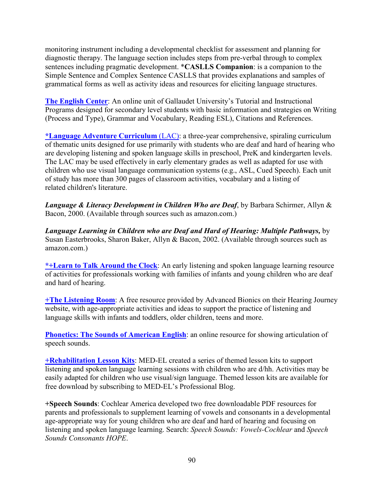monitoring instrument including a developmental checklist for assessment and planning for diagnostic therapy. The language section includes steps from pre-verbal through to complex sentences including pragmatic development. \***CASLLS Companion**: is a companion to the Simple Sentence and Complex Sentence CASLLS that provides explanations and samples of grammatical forms as well as activity ideas and resources for eliciting language structures.

**[The English Center](http://www.gallaudet.edu/tutorial-and-instructional-programs/english-center)**: An online unit of Gallaudet University's Tutorial and Instructional Programs designed for secondary level students with basic information and strategies on Writing (Process and Type), Grammar and Vocabulary, Reading ESL), Citations and References.

**[\\*Language Adventure Curriculum](http://www.sunshinecottage.org/)** (LAC): a three-year comprehensive, spiraling curriculum of thematic units designed for use primarily with students who are deaf and hard of hearing who are developing listening and spoken language skills in preschool, PreK and kindergarten levels. The LAC may be used effectively in early elementary grades as well as adapted for use with children who use visual language communication systems (e.g., ASL, Cued Speech). Each unit of study has more than 300 pages of classroom activities, vocabulary and a listing of related children's literature.

*Language & Literacy Development in Children Who are Deaf*, by Barbara Schirmer, Allyn & Bacon, 2000. (Available through sources such as amazon.com.)

*Language Learning in Children who are Deaf and Hard of Hearing: Multiple Pathways,* by Susan Easterbrooks, Sharon Baker, Allyn & Bacon, 2002. (Available through sources such as amazon.com.)

**[\\*+Learn to Talk Around the Clock](https://www.learntotalkaroundtheclock.com/)**: An early listening and spoken language learning resource of activities for professionals working with families of infants and young children who are deaf and hard of hearing.

**[+The Listening Room](http://www.hearingjourney.com/)**: A free resource provided by Advanced Bionics on their Hearing Journey website, with age-appropriate activities and ideas to support the practice of listening and language skills with infants and toddlers, older children, teens and more.

**[Phonetics: The Sounds of American English](http://soundsofspeech.uiowa.edu/resources/english/english.html):** an online resource for showing articulation of speech sounds.

**[+Rehabilitation Lesson Kits](https://blog.medel.pro/rehabilitation-lesson-kit-1/)**: MED-EL created a series of themed lesson kits to support listening and spoken language learning sessions with children who are d/hh. Activities may be easily adapted for children who use visual/sign language. Themed lesson kits are available for free download by subscribing to MED-EL's Professional Blog.

**+Speech Sounds**: Cochlear America developed two free downloadable PDF resources for parents and professionals to supplement learning of vowels and consonants in a developmental age-appropriate way for young children who are deaf and hard of hearing and focusing on listening and spoken language learning. Search: *Speech Sounds: Vowels-Cochlear* and *Speech Sounds Consonants HOPE*.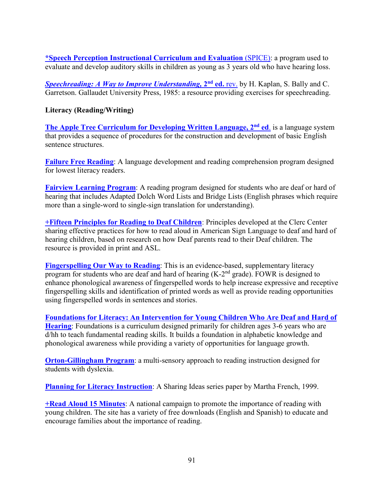**[\\*Speech Perception Instructional Curriculum and](https://cid.edu/professionals/shop/cid-spice-2nd-edition/) Evaluation** (SPICE): a program used to evaluate and develop auditory skills in children as young as 3 years old who have hearing loss.

**[Speechreading: A Way to Improve Understanding,](http://gupress.gallaudet.edu/2746.html) 2<sup>nd</sup> ed. rev.** by H. Kaplan, S. Bally and C. Garretson. Gallaudet University Press, 1985: a resource providing exercises for speechreading.

#### **Literacy (Reading/Writing)**

**[The Apple Tree Curriculum for Developing Written Language, 2](http://ganderpublishing.com/product/apple-tree-curriculum-for-developing-written-language.asp)nd ed**. is a language system that provides a sequence of procedures for the construction and development of basic English sentence structures.

**[Failure Free Reading](http://www.failurefree.com/)**: A language development and reading comprehension program designed for lowest literacy readers.

**[Fairview Learning Program](https://www.fairviewlearning.com/)**: A reading program designed for students who are deaf or hard of hearing that includes Adapted Dolch Word Lists and Bridge Lists (English phrases which require more than a single-word to single-sign translation for understanding).

**[+Fifteen Principles for Reading to Deaf Children](http://www3.gallaudet.edu/clerc-center/info-to-go/literacy.html)**: Principles developed at the Clerc Center sharing effective practices for how to read aloud in American Sign Language to deaf and hard of hearing children, based on research on how Deaf parents read to their Deaf children. The resource is provided in print and ASL.

**[Fingerspelling Our Way to Reading](https://clad.education.gsu.edu/curriculum/fingerspelling-way-reading/):** This is an evidence-based, supplementary literacy program for students who are deaf and hard of hearing  $(K-2<sup>nd</sup>$  grade). FOWR is designed to enhance phonological awareness of fingerspelled words to help increase expressive and receptive fingerspelling skills and identification of printed words as well as provide reading opportunities using fingerspelled words in sentences and stories.

**[Foundations for Literacy: An Intervention for Young Children Who Are Deaf and Hard of](https://clad.education.gsu.edu/foundations-literacy-home/)  [Hearing](https://clad.education.gsu.edu/foundations-literacy-home/)**: Foundations is a curriculum designed primarily for children ages 3-6 years who are d/hh to teach fundamental reading skills. It builds a foundation in alphabetic knowledge and phonological awareness while providing a variety of opportunities for language growth.

**[Orton-Gillingham Program](https://www.orton-gillingham.com/)**: a multi-sensory approach to reading instruction designed for students with dyslexia.

**[Planning for Literacy Instruction](https://www3.gallaudet.edu/Documents/Clerc/SI-Planning.pdf)**: A Sharing Ideas series paper by Martha French, 1999.

**[+Read Aloud 15 Minutes](http://www.readaloud.org/)**: A national campaign to promote the importance of reading with young children. The site has a variety of free downloads (English and Spanish) to educate and encourage families about the importance of reading.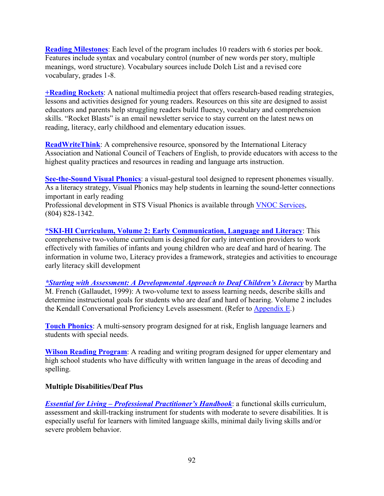**[Reading Milestones](http://www.proedinc.com/)**: Each level of the program includes 10 readers with 6 stories per book. Features include syntax and vocabulary control (number of new words per story, multiple meanings, word structure). Vocabulary sources include Dolch List and a revised core vocabulary, grades 1-8.

**[+Reading Rockets](http://www.readingrockets.org/)**: A national multimedia project that offers research-based reading strategies, lessons and activities designed for young readers. Resources on this site are designed to assist educators and parents help struggling readers build fluency, vocabulary and comprehension skills. "Rocket Blasts" is an email newsletter service to stay current on the latest news on reading, literacy, early childhood and elementary education issues.

**[ReadWriteThink](http://www.readwritethink.org/):** A comprehensive resource, sponsored by the International Literacy Association and National Council of Teachers of English, to provide educators with access to the highest quality practices and resources in reading and language arts instruction.

**[See-the-Sound Visual Phonics](http://www.seethesound.org/)**: a visual-gestural tool designed to represent phonemes visually. As a literacy strategy, Visual Phonics may help students in learning the sound-letter connections important in early reading

Professional development in STS Visual Phonics is available through [VNOC Services](https://partnership.vcu.edu/VNOC/), (804) 828-1342.

**\*SKI-HI [Curriculum, Volume 2: Early Communication, Language and Literacy](http://www.hopepubl.com/)**: This comprehensive two-volume curriculum is designed for early intervention providers to work effectively with families of infants and young children who are deaf and hard of hearing. The information in volume two, Literacy provides a framework, strategies and activities to encourage early literacy skill development

*[\\*Starting with Assessment: A Developmental Approach to Deaf Children's Literacy](http://clerccenter2.gallaudet.edu/products/?id=183)* by Martha M. French (Gallaudet, 1999): A two-volume text to assess learning needs, describe skills and determine instructional goals for students who are deaf and hard of hearing. Volume 2 includes the Kendall Conversational Proficiency Levels assessment. (Refer to [Appendix E.](#page-71-0))

**[Touch Phonics](http://eps.schoolspecialty.com/)**: A multi-sensory program designed for at risk, English language learners and students with special needs.

**[Wilson Reading Program](http://www.wilsonlanguage.com/)**: A reading and writing program designed for upper elementary and high school students who have difficulty with written language in the areas of decoding and spelling.

#### **Multiple Disabilities/Deaf Plus**

*[Essential for Living – Professional Practitioner's Handbook](https://difflearn.com/products/essential-for-living-practitioners-handbook)*: a functional skills curriculum, assessment and skill-tracking instrument for students with moderate to severe disabilities. It is especially useful for learners with limited language skills, minimal daily living skills and/or severe problem behavior.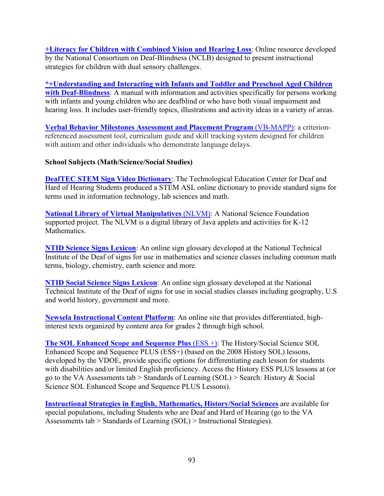**[+Literacy for Children with Combined Vision and Hearing Loss](http://literacy.nationaldb.org/)**: Online resource developed by the National Consortium on Deaf-Blindness (NCLB) designed to present instructional strategies for children with dual sensory challenges.

**[\\*+Understanding and Interacting with Infants and Toddler and Preschool Aged Children](https://hopepubl.com/categories.php)  [with Deaf-Blindness](https://hopepubl.com/categories.php)**: A manual with information and activities specifically for persons working with infants and young children who are deafblind or who have both visual impairment and hearing loss. It includes user-friendly topics, illustrations and activity ideas in a variety of areas.

**[Verbal Behavior Milestones Assessment and Placement Program](http://www.marksundberg.com/vb-mapp.htm)** (VB-MAPP): a criterionreferenced assessment tool, curriculum guide and skill tracking system designed for children with autism and other individuals who demonstrate language delays.

#### **School Subjects (Math/Science/Social Studies)**

**[DeafTEC STEM Sign Video Dictionary](http://deaftec.org/stem-sign-video-dictionary)**: The Technological Education Center for Deaf and Hard of Hearing Students produced a STEM ASL online dictionary to provide standard signs for terms used in information technology, lab sciences and math.

**[National Library of Virtual Manipulatives](http://nlvm.usu.edu/en/nav/vlibrary.html)** (NLVM): A National Science Foundation supported project. The NLVM is a digital library of Java applets and activities for K-12 Mathematics.

**[NTID Science Signs Lexicon](https://wiki.rit.edu/display/sciencelexicon/Science+Signs+Lexicon)**: An online sign glossary developed at the National Technical Institute of the Deaf of signs for use in mathematics and science classes including common math terms, biology, chemistry, earth science and more.

**[NTID Social Science Signs Lexicon](https://wiki.rit.edu/display/SSSL/Social+Science+Signs+Lexicon+Home)**: An online sign glossary developed at the National Technical Institute of the Deaf of signs for use in social studies classes including geography, U.S and world history, government and more.

**[Newsela Instructional Content Platform](https://newsela.com/)**: An online site that provides differentiated, highinterest texts organized by content area for grades 2 through high school.

**[The SOL Enhanced Scope and Sequence Plus](http://ttaconline.org/search-sol-ess) (ESS +):** The History/Social Science SOL Enhanced Scope and Sequence PLUS (ESS+) (based on the 2008 History SOL) lessons, developed by the VDOE, provide specific options for differentiating each lesson for students with disabilities and/or limited English proficiency. Access the History ESS PLUS lessons at (or go to the VA Assessments tab > Standards of Learning (SOL) > Search: History & Social Science SOL Enhanced Scope and Sequence PLUS Lessons).

**[Instructional Strategies in English, Mathematics, History/Social Sciences](http://ttaconline.org/instructional-strategies)** are available for special populations, including Students who are Deaf and Hard of Hearing (go to the VA Assessments tab > Standards of Learning (SOL) > Instructional Strategies).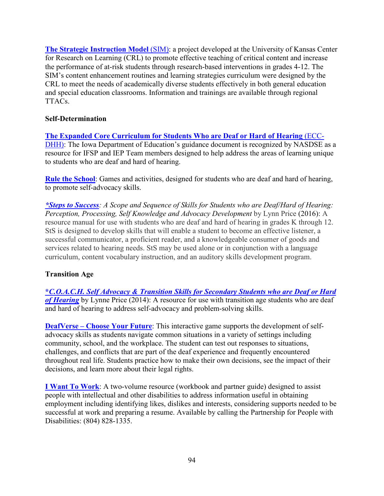**[The Strategic Instruction Model](http://www.ttaconline.org/)** (SIM): a project developed at the University of Kansas Center for Research on Learning (CRL) to promote effective teaching of critical content and increase the performance of at-risk students through research-based interventions in grades 4-12. The SIM's content enhancement routines and learning strategies curriculum were designed by the CRL to meet the needs of academically diverse students effectively in both general education and special education classrooms. Information and trainings are available through regional TTACs.

#### **Self-Determination**

**[The Expanded Core Curriculum for Students Who are Deaf or Hard of Hearing](https://wvde.state.wv.us/osp/ECC-DHHJanuary2013.pdf)** (ECC-[DHH\):](https://wvde.state.wv.us/osp/ECC-DHHJanuary2013.pdf) The Iowa Department of Education's guidance document is recognized by NASDSE as a resource for IFSP and IEP Team members designed to help address the areas of learning unique to students who are deaf and hard of hearing.

**[Rule the School](https://rule-the-school.com/)**: Games and activities, designed for students who are deaf and hard of hearing, to promote self-advocacy skills.

*[\\*Steps to Success](https://successforkidswithhearingloss.com/): A Scope and Sequence of Skills for Students who are Deaf/Hard of Hearing: Perception, Processing, Self Knowledge and Advocacy Development* by Lynn Price (2016): A resource manual for use with students who are deaf and hard of hearing in grades K through 12. StS is designed to develop skills that will enable a student to become an effective listener, a successful communicator, a proficient reader, and a knowledgeable consumer of goods and services related to hearing needs. StS may be used alone or in conjunction with a language curriculum, content vocabulary instruction, and an auditory skills development program.

#### **Transition Age**

**\****C.O.A.C.H. [Self Advocacy & Transition Skills for Secondary Students who are Deaf or Hard](https://successforkidswithhearingloss.com/)*  of **Hearing** by Lynne Price (2014): A resource for use with transition age students who are deaf and hard of hearing to address self-advocacy and problem-solving skills.

**[DeafVerse – Choose Your Future](https://www.nationaldeafcenter.org/game)**: This interactive game supports the development of selfadvocacy skills as students navigate common situations in a variety of settings including community, school, and the workplace. The student can test out responses to situations, challenges, and conflicts that are part of the deaf experience and frequently encountered throughout real life. Students practice how to make their own decisions, see the impact of their decisions, and learn more about their legal rights.

**[I Want To Work](http://www.personcenteredpractices.org/)**: A two-volume resource (workbook and partner guide) designed to assist people with intellectual and other disabilities to address information useful in obtaining employment including identifying likes, dislikes and interests, considering supports needed to be successful at work and preparing a resume. Available by calling the Partnership for People with Disabilities: (804) 828-1335.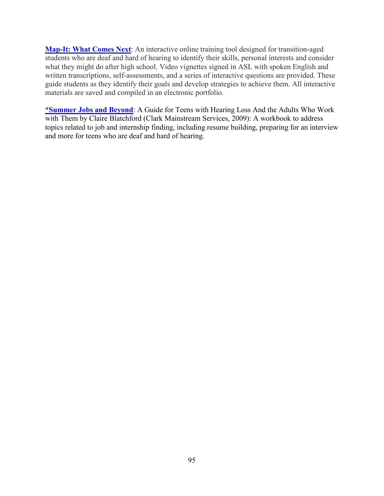**[Map-It: What Comes Next](https://dcmp.org/learn/465-map-it-what-comes-next-module)**: An interactive online training tool designed for transition-aged students who are deaf and hard of hearing to identify their skills, personal interests and consider what they might do after high school. Video vignettes signed in ASL with spoken English and written transcriptions, self-assessments, and a series of interactive questions are provided. These guide students as they identify their goals and develop strategies to achieve them. All interactive materials are saved and compiled in an electronic portfolio.

**[\\*Summer Jobs and Beyond](http://www.clarkeschools.org/services/educational-products/store)**: A Guide for Teens with Hearing Loss And the Adults Who Work with Them by Claire Blatchford (Clark Mainstream Services, 2009): A workbook to address topics related to job and internship finding, including resume building, preparing for an interview and more for teens who are deaf and hard of hearing.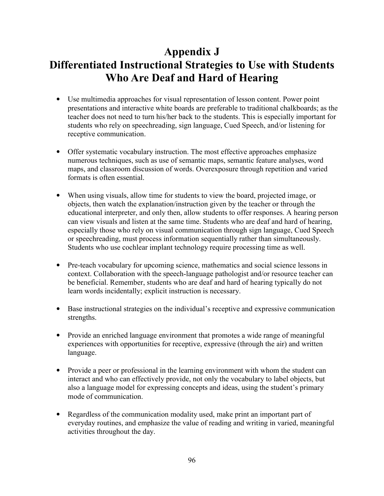# **Appendix J Differentiated Instructional Strategies to Use with Students Who Are Deaf and Hard of Hearing**

- Use multimedia approaches for visual representation of lesson content. Power point presentations and interactive white boards are preferable to traditional chalkboards; as the teacher does not need to turn his/her back to the students. This is especially important for students who rely on speechreading, sign language, Cued Speech, and/or listening for receptive communication.
- Offer systematic vocabulary instruction. The most effective approaches emphasize numerous techniques, such as use of semantic maps, semantic feature analyses, word maps, and classroom discussion of words. Overexposure through repetition and varied formats is often essential.
- When using visuals, allow time for students to view the board, projected image, or objects, then watch the explanation/instruction given by the teacher or through the educational interpreter, and only then, allow students to offer responses. A hearing person can view visuals and listen at the same time. Students who are deaf and hard of hearing, especially those who rely on visual communication through sign language, Cued Speech or speechreading, must process information sequentially rather than simultaneously. Students who use cochlear implant technology require processing time as well.
- Pre-teach vocabulary for upcoming science, mathematics and social science lessons in context. Collaboration with the speech-language pathologist and/or resource teacher can be beneficial. Remember, students who are deaf and hard of hearing typically do not learn words incidentally; explicit instruction is necessary.
- Base instructional strategies on the individual's receptive and expressive communication strengths.
- Provide an enriched language environment that promotes a wide range of meaningful experiences with opportunities for receptive, expressive (through the air) and written language.
- Provide a peer or professional in the learning environment with whom the student can interact and who can effectively provide, not only the vocabulary to label objects, but also a language model for expressing concepts and ideas, using the student's primary mode of communication.
- Regardless of the communication modality used, make print an important part of everyday routines, and emphasize the value of reading and writing in varied, meaningful activities throughout the day.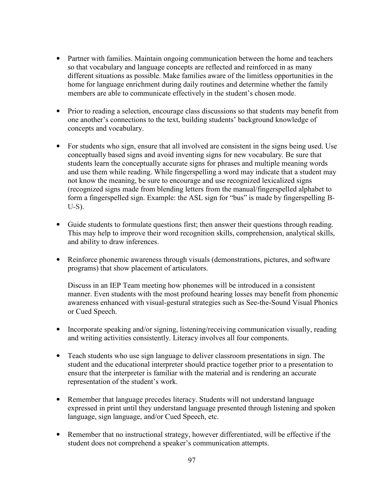- Partner with families. Maintain ongoing communication between the home and teachers so that vocabulary and language concepts are reflected and reinforced in as many different situations as possible. Make families aware of the limitless opportunities in the home for language enrichment during daily routines and determine whether the family members are able to communicate effectively in the student's chosen mode.
- Prior to reading a selection, encourage class discussions so that students may benefit from one another's connections to the text, building students' background knowledge of concepts and vocabulary.
- For students who sign, ensure that all involved are consistent in the signs being used. Use conceptually based signs and avoid inventing signs for new vocabulary. Be sure that students learn the conceptually accurate signs for phrases and multiple meaning words and use them while reading. While fingerspelling a word may indicate that a student may not know the meaning, be sure to encourage and use recognized lexicalized signs (recognized signs made from blending letters from the manual/fingerspelled alphabet to form a fingerspelled sign. Example: the ASL sign for "bus" is made by fingerspelling B-U-S).
- Guide students to formulate questions first; then answer their questions through reading. This may help to improve their word recognition skills, comprehension, analytical skills, and ability to draw inferences.
- Reinforce phonemic awareness through visuals (demonstrations, pictures, and software programs) that show placement of articulators.

Discuss in an IEP Team meeting how phonemes will be introduced in a consistent manner. Even students with the most profound hearing losses may benefit from phonemic awareness enhanced with visual-gestural strategies such as See-the-Sound Visual Phonics or Cued Speech.

- Incorporate speaking and/or signing, listening/receiving communication visually, reading and writing activities consistently. Literacy involves all four components.
- Teach students who use sign language to deliver classroom presentations in sign. The student and the educational interpreter should practice together prior to a presentation to ensure that the interpreter is familiar with the material and is rendering an accurate representation of the student's work.
- Remember that language precedes literacy. Students will not understand language expressed in print until they understand language presented through listening and spoken language, sign language, and/or Cued Speech, etc.
- Remember that no instructional strategy, however differentiated, will be effective if the student does not comprehend a speaker's communication attempts.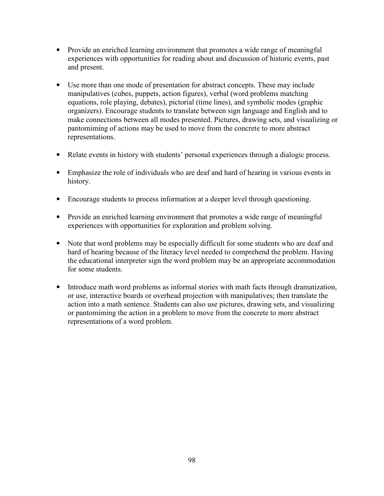- Provide an enriched learning environment that promotes a wide range of meaningful experiences with opportunities for reading about and discussion of historic events, past and present.
- Use more than one mode of presentation for abstract concepts. These may include manipulatives (cubes, puppets, action figures), verbal (word problems matching equations, role playing, debates), pictorial (time lines), and symbolic modes (graphic organizers). Encourage students to translate between sign language and English and to make connections between all modes presented. Pictures, drawing sets, and visualizing or pantomiming of actions may be used to move from the concrete to more abstract representations.
- Relate events in history with students' personal experiences through a dialogic process.
- Emphasize the role of individuals who are deaf and hard of hearing in various events in history.
- Encourage students to process information at a deeper level through questioning.
- Provide an enriched learning environment that promotes a wide range of meaningful experiences with opportunities for exploration and problem solving.
- Note that word problems may be especially difficult for some students who are deaf and hard of hearing because of the literacy level needed to comprehend the problem. Having the educational interpreter sign the word problem may be an appropriate accommodation for some students.
- Introduce math word problems as informal stories with math facts through dramatization, or use, interactive boards or overhead projection with manipulatives; then translate the action into a math sentence. Students can also use pictures, drawing sets, and visualizing or pantomiming the action in a problem to move from the concrete to more abstract representations of a word problem.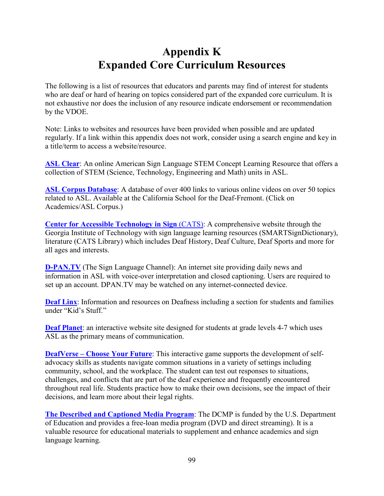## **Appendix K Expanded Core Curriculum Resources**

The following is a list of resources that educators and parents may find of interest for students who are deaf or hard of hearing on topics considered part of the expanded core curriculum. It is not exhaustive nor does the inclusion of any resource indicate endorsement or recommendation by the VDOE.

Note: Links to websites and resources have been provided when possible and are updated regularly. If a link within this appendix does not work, consider using a search engine and key in a title/term to access a website/resource.

**[ASL Clear](http://www.asleducation.org/pages/stem.html)**: An online American Sign Language STEM Concept Learning Resource that offers a collection of STEM (Science, Technology, Engineering and Math) units in ASL.

**[ASL Corpus Database](https://www.csdeagles.com/)**: A database of over 400 links to various online videos on over 50 topics related to ASL. Available at the California School for the Deaf-Fremont. (Click on Academics/ASL Corpus.)

**[Center for Accessible Technology in Sign](http://www.cats.gatech.edu/)** (CATS): A comprehensive website through the Georgia Institute of Technology with sign language learning resources (SMARTSignDictionary), literature (CATS Library) which includes Deaf History, Deaf Culture, Deaf Sports and more for all ages and interests.

**[D-PAN.TV](https://dpan.tv/)** (The Sign Language Channel): An internet site providing daily news and information in ASL with voice-over interpretation and closed captioning. Users are required to set up an account. DPAN.TV may be watched on any internet-connected device.

**[Deaf Linx](http://www.deaflinx.com/)**: Information and resources on Deafness including a section for students and families under "Kid's Stuff."

**[Deaf Planet](http://www.deafplanet.com/)**: an interactive website site designed for students at grade levels 4-7 which uses ASL as the primary means of communication.

**[DeafVerse – Choose Your Future](https://www.nationaldeafcenter.org/game)**: This interactive game supports the development of selfadvocacy skills as students navigate common situations in a variety of settings including community, school, and the workplace. The student can test out responses to situations, challenges, and conflicts that are part of the deaf experience and frequently encountered throughout real life. Students practice how to make their own decisions, see the impact of their decisions, and learn more about their legal rights.

**[The Described and Captioned Media Program](http://www.dcmp.org/)**: The DCMP is funded by the U.S. Department of Education and provides a free-loan media program (DVD and direct streaming). It is a valuable resource for educational materials to supplement and enhance academics and sign language learning.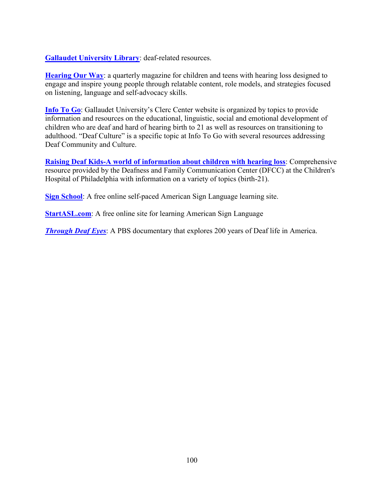**[Gallaudet University Library](http://www.gallaudet.edu/library.html)**: deaf-related resources.

**[Hearing Our Way](https://www.hearingourway.com/)**: a quarterly magazine for children and teens with hearing loss designed to engage and inspire young people through relatable content, role models, and strategies focused on listening, language and self-advocacy skills.

**[Info To Go](http://www3.gallaudet.edu/clerc-center/info-to-go/deaf-culture.html)**: Gallaudet University's Clerc Center website is organized by topics to provide information and resources on the educational, linguistic, social and emotional development of children who are deaf and hard of hearing birth to 21 as well as resources on transitioning to adulthood. "Deaf Culture" is a specific topic at Info To Go with several resources addressing Deaf Community and Culture.

**Raising Deaf Kids-A world of information about children with hearing loss**: Comprehensive resource provided by the Deafness and Family Communication Center (DFCC) at the Children's Hospital of Philadelphia with information on a variety of topics (birth-21).

**[Sign School](https://www.signschool.com/)**: A free online self-paced American Sign Language learning site.

**[StartASL.com](https://www.startasl.com/learn-sign-language-asl_html):** A free online site for learning American Sign Language

*[Through Deaf Eyes](http://www.pbs.org/weta/throughdeafeyes):* A PBS documentary that explores 200 years of Deaf life in America.